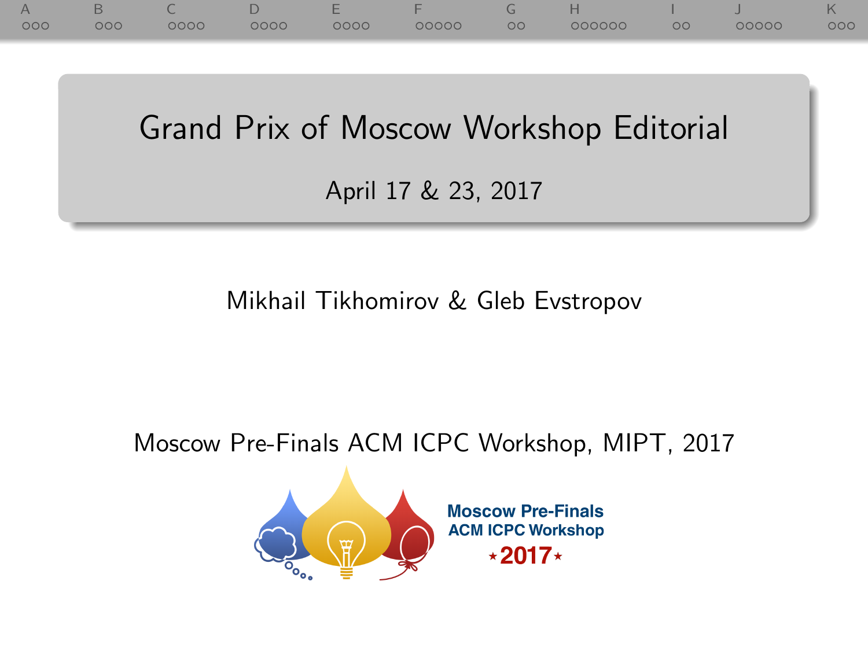|     | 12. |      |      | and the second state of the local | <b>TELL</b> |    |        |         |       | K   |
|-----|-----|------|------|-----------------------------------|-------------|----|--------|---------|-------|-----|
| 000 | 000 | 0000 | 0000 | 0000                              | 00000       | 00 | 000000 | $\circ$ | 00000 | 000 |

Grand Prix of Moscow Workshop Editorial

April 17 & 23, 2017

Mikhail Tikhomirov & Gleb Evstropov

Moscow Pre-Finals ACM ICPC Workshop, MIPT, 2017



**Moscow Pre-Finals ACM ICPC Workshop**  $\star 2017 \star$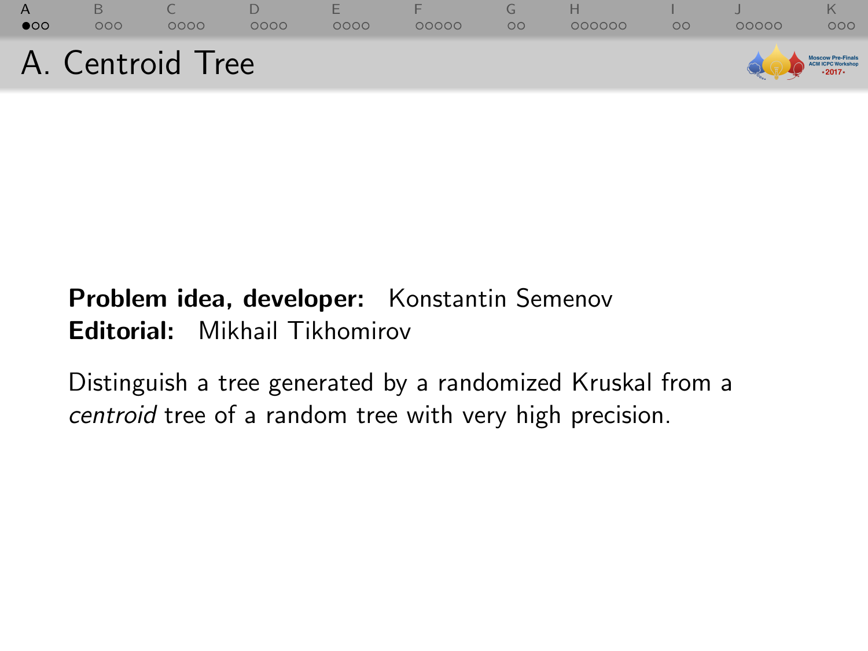<span id="page-1-0"></span>

# Problem idea, developer: Konstantin Semenov Editorial: Mikhail Tikhomirov

Distinguish a tree generated by a randomized Kruskal from a centroid tree of a random tree with very high precision.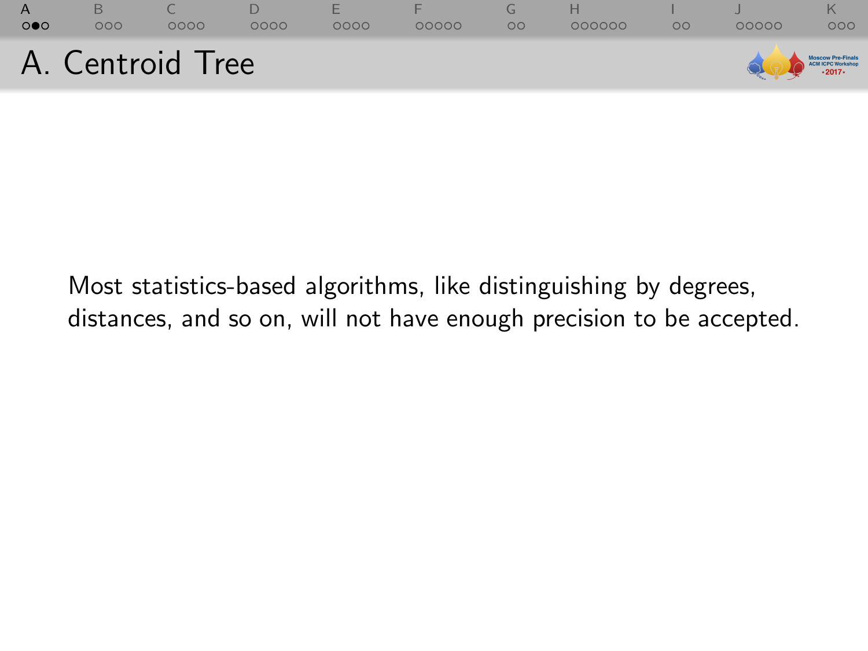| $\mathbf{A}$<br>$\circ \bullet \circ$ | 000              | 0000 | 0000 | <b>F</b><br>0000 | 00000 | OO | 000000 | ററ | 00000                           | 000 |
|---------------------------------------|------------------|------|------|------------------|-------|----|--------|----|---------------------------------|-----|
|                                       | A. Centroid Tree |      |      |                  |       |    |        |    | Moscow Pro-Finals<br>2017-2017- |     |

Most statistics-based algorithms, like distinguishing by degrees, distances, and so on, will not have enough precision to be accepted.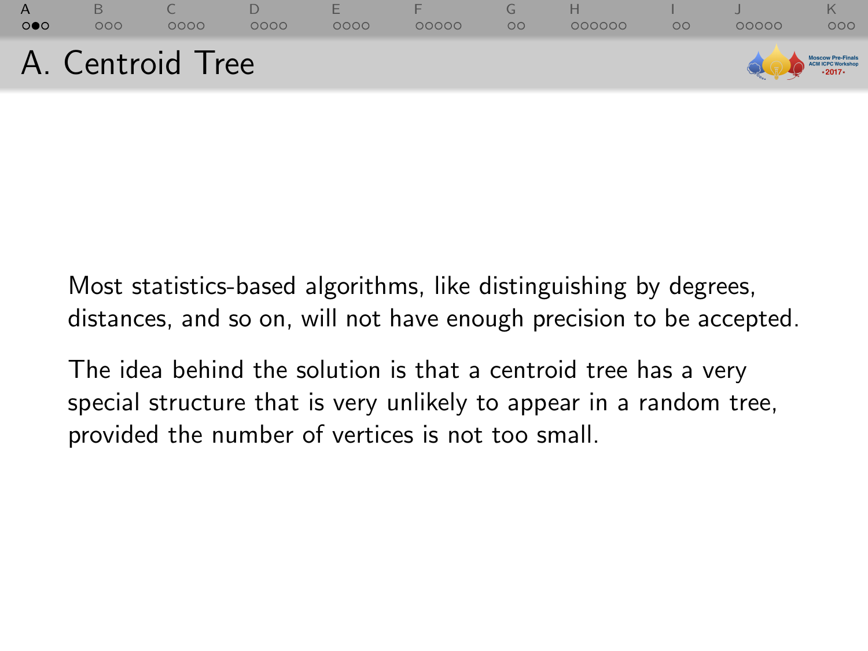

Most statistics-based algorithms, like distinguishing by degrees, distances, and so on, will not have enough precision to be accepted.

The idea behind the solution is that a centroid tree has a very special structure that is very unlikely to appear in a random tree, provided the number of vertices is not too small.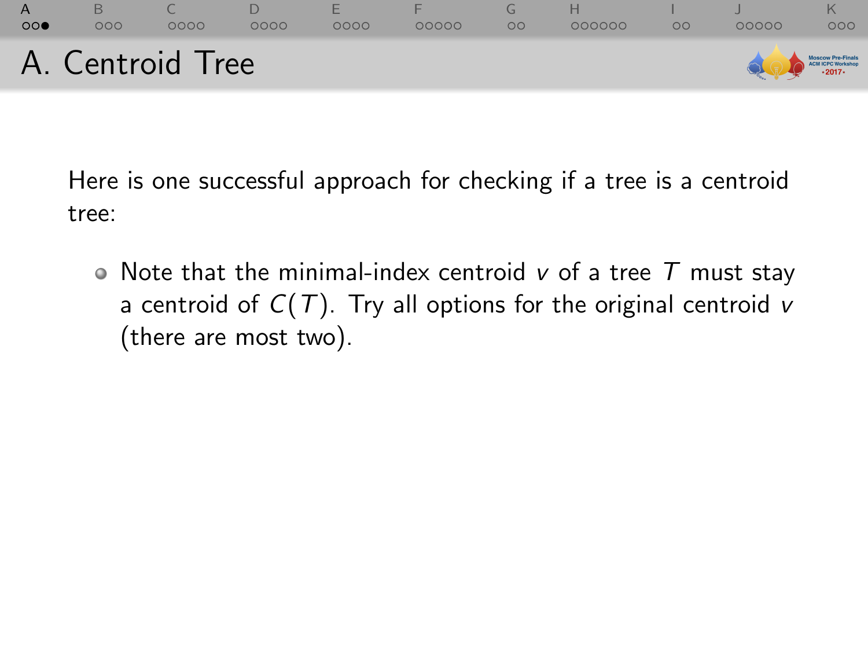

Here is one successful approach for checking if a tree is a centroid tree:

 $\bullet$  Note that the minimal-index centroid v of a tree  $T$  must stay a centroid of  $C(T)$ . Try all options for the original centroid v (there are most two).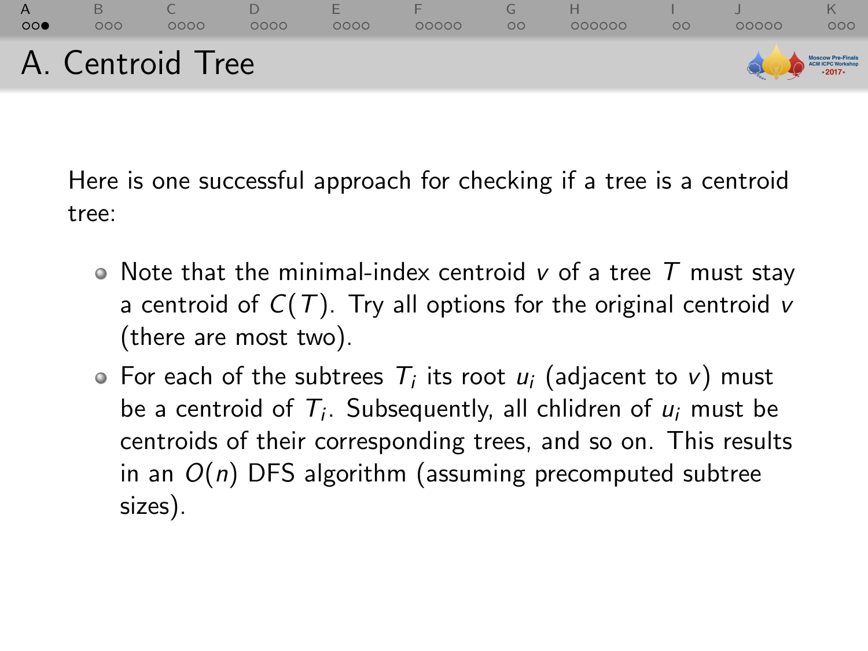

Here is one successful approach for checking if a tree is a centroid tree:

- $\bullet$  Note that the minimal-index centroid v of a tree T must stay a centroid of  $C(T)$ . Try all options for the original centroid v (there are most two).
- For each of the subtrees  $T_i$  its root  $u_i$  (adjacent to v) must be a centroid of  $T_i$ . Subsequently, all chlidren of  $u_i$  must be centroids of their corresponding trees, and so on. This results in an  $O(n)$  DFS algorithm (assuming precomputed subtree sizes).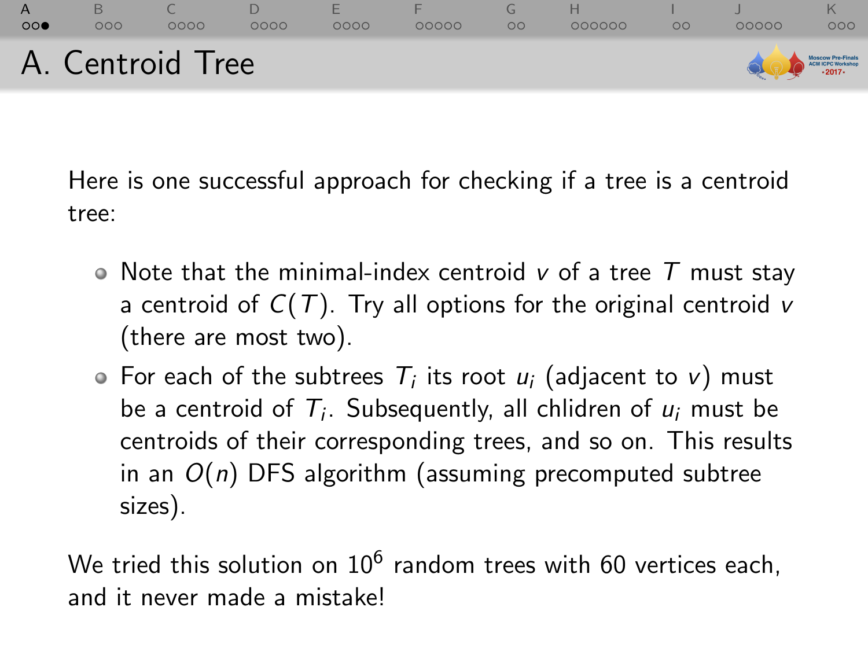

Here is one successful approach for checking if a tree is a centroid tree:

- $\bullet$  Note that the minimal-index centroid v of a tree T must stay a centroid of  $C(T)$ . Try all options for the original centroid v (there are most two).
- For each of the subtrees  $T_i$  its root  $u_i$  (adjacent to v) must be a centroid of  $T_i$ . Subsequently, all chlidren of  $u_i$  must be centroids of their corresponding trees, and so on. This results in an  $O(n)$  DFS algorithm (assuming precomputed subtree sizes).

We tried this solution on  $10^6$  random trees with 60 vertices each, and it never made a mistake!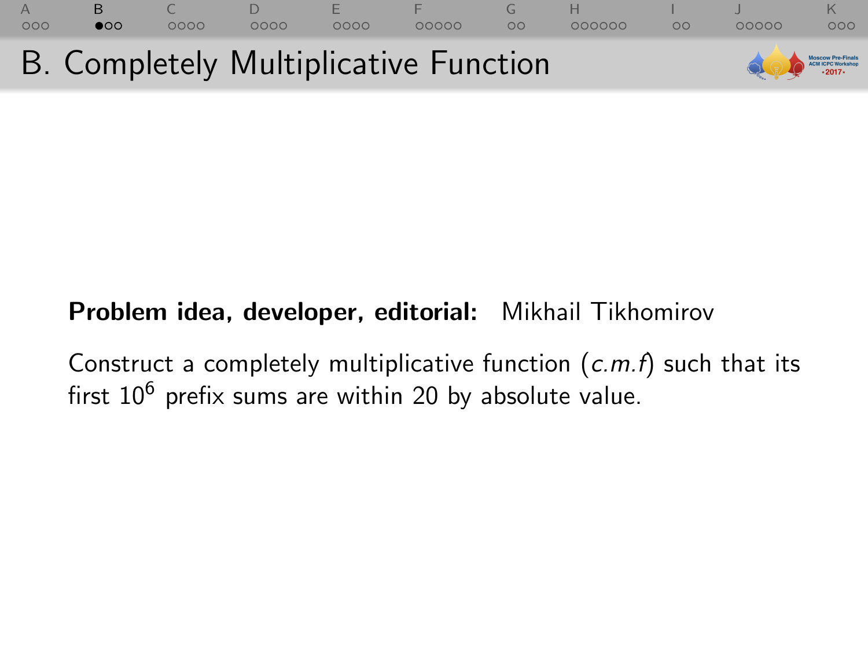<span id="page-7-0"></span>

# Problem idea, developer, editorial: Mikhail Tikhomirov

Construct a completely multiplicative function  $(c.m.f)$  such that its first  $10^6$  prefix sums are within 20 by absolute value.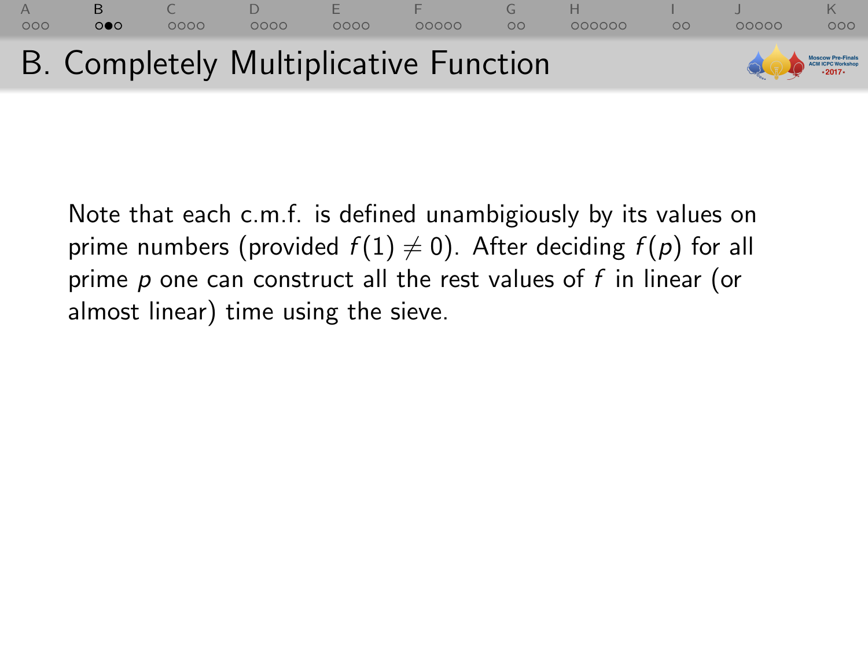

Note that each c.m.f. is defined unambigiously by its values on prime numbers (provided  $f(1) \neq 0$ ). After deciding  $f(p)$  for all prime  $p$  one can construct all the rest values of  $f$  in linear (or almost linear) time using the sieve.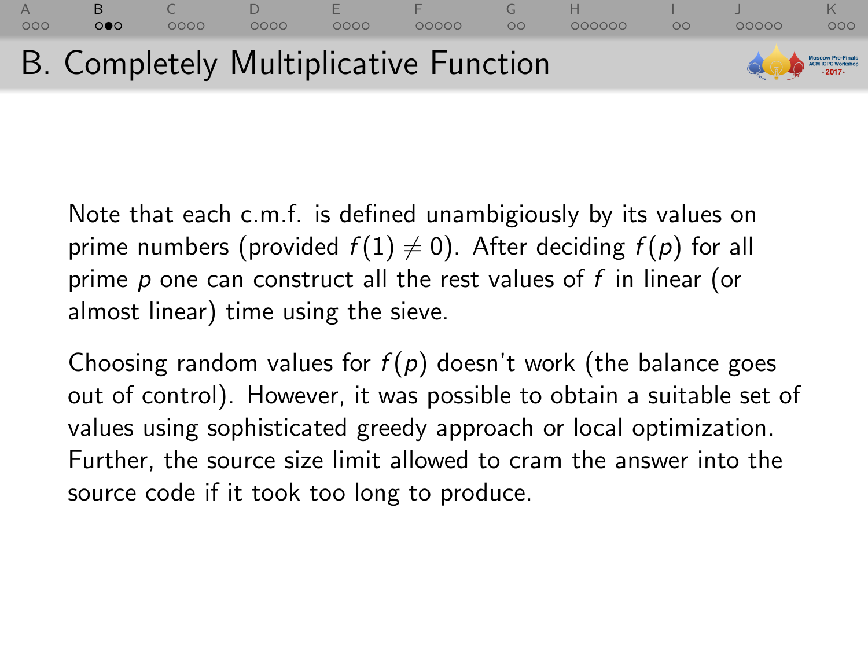

Note that each c.m.f. is defined unambigiously by its values on prime numbers (provided  $f(1) \neq 0$ ). After deciding  $f(p)$  for all prime  $p$  one can construct all the rest values of  $f$  in linear (or almost linear) time using the sieve.

Choosing random values for  $f(p)$  doesn't work (the balance goes out of control). However, it was possible to obtain a suitable set of values using sophisticated greedy approach or local optimization. Further, the source size limit allowed to cram the answer into the source code if it took too long to produce.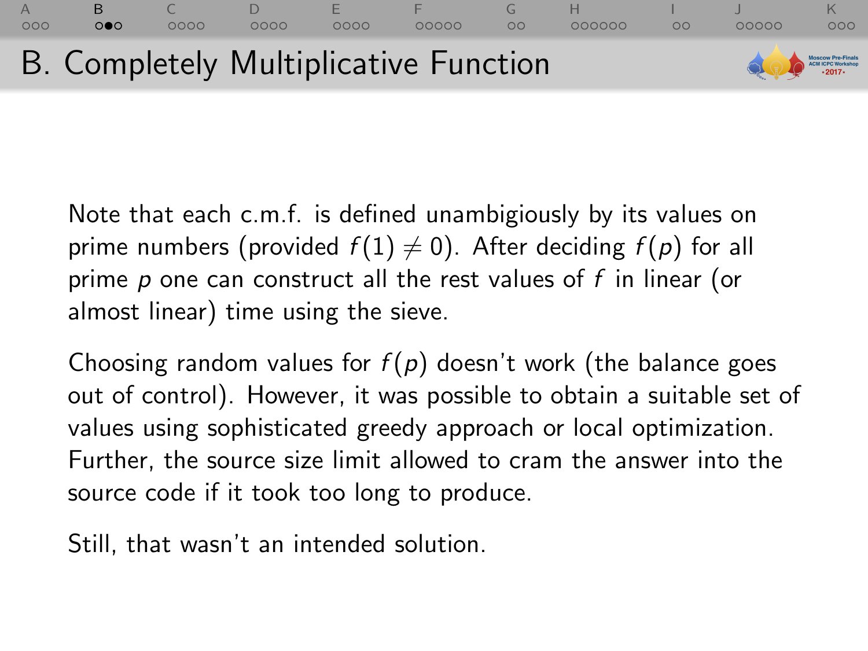

Note that each c.m.f. is defined unambigiously by its values on prime numbers (provided  $f(1) \neq 0$ ). After deciding  $f(p)$  for all prime  $p$  one can construct all the rest values of  $f$  in linear (or almost linear) time using the sieve.

Choosing random values for  $f(p)$  doesn't work (the balance goes out of control). However, it was possible to obtain a suitable set of values using sophisticated greedy approach or local optimization. Further, the source size limit allowed to cram the answer into the source code if it took too long to produce.

Still, that wasn't an intended solution.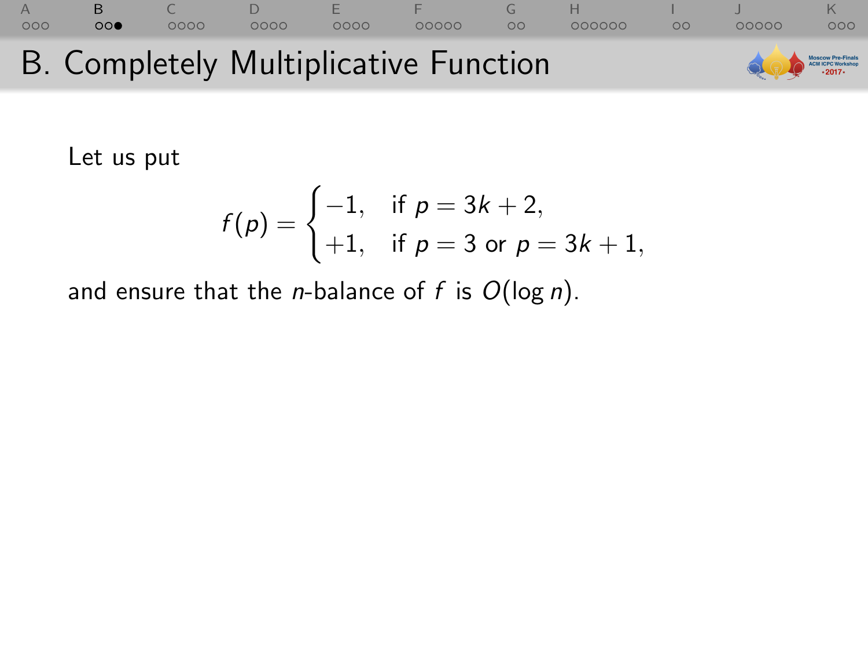### [A](#page-1-0) [B](#page-7-0) [C](#page-16-0) [D](#page-28-0) [E](#page-37-0) [F](#page-45-0) [G](#page-56-0) [H](#page-60-0) [I](#page-79-0) [J](#page-82-0) [K](#page-88-0) B. Completely Multiplicative Function ow Pre-Final **ICM ICPC Workshop**  $.2017.$

Let us put

$$
f(p) = \begin{cases} -1, & \text{if } p = 3k + 2, \\ +1, & \text{if } p = 3 \text{ or } p = 3k + 1, \end{cases}
$$

and ensure that the *n*-balance of f is  $O(\log n)$ .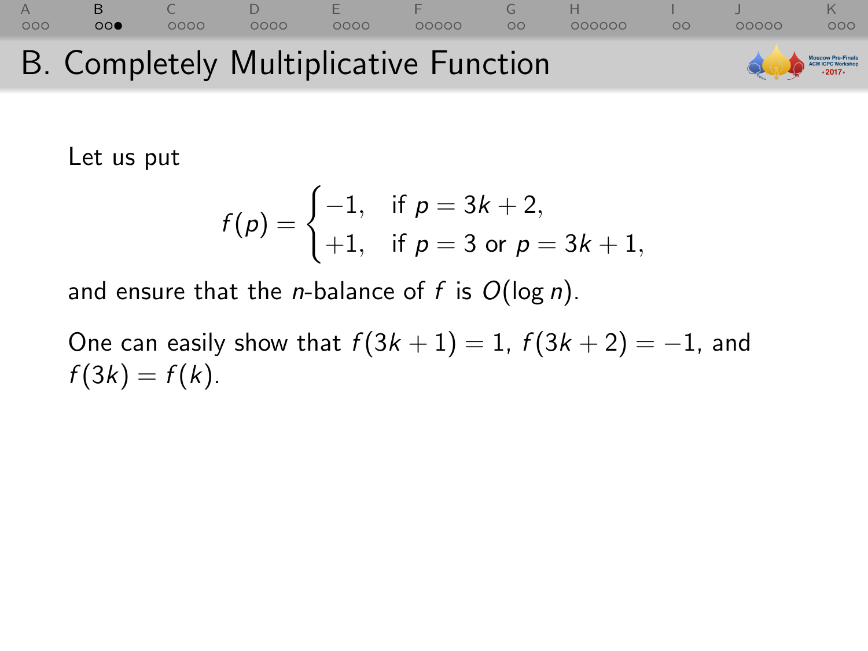### [A](#page-1-0) [B](#page-7-0) [C](#page-16-0) [D](#page-28-0) [E](#page-37-0) [F](#page-45-0) [G](#page-56-0) [H](#page-60-0) [I](#page-79-0) [J](#page-82-0) [K](#page-88-0) B. Completely Multiplicative Function **IN ICPC Worksho**

Let us put

$$
f(p) = \begin{cases} -1, & \text{if } p = 3k + 2, \\ +1, & \text{if } p = 3 \text{ or } p = 3k + 1, \end{cases}
$$

and ensure that the *n*-balance of  $f$  is  $O(\log n)$ .

One can easily show that  $f(3k + 1) = 1$ ,  $f(3k + 2) = -1$ , and  $f(3k) = f(k)$ .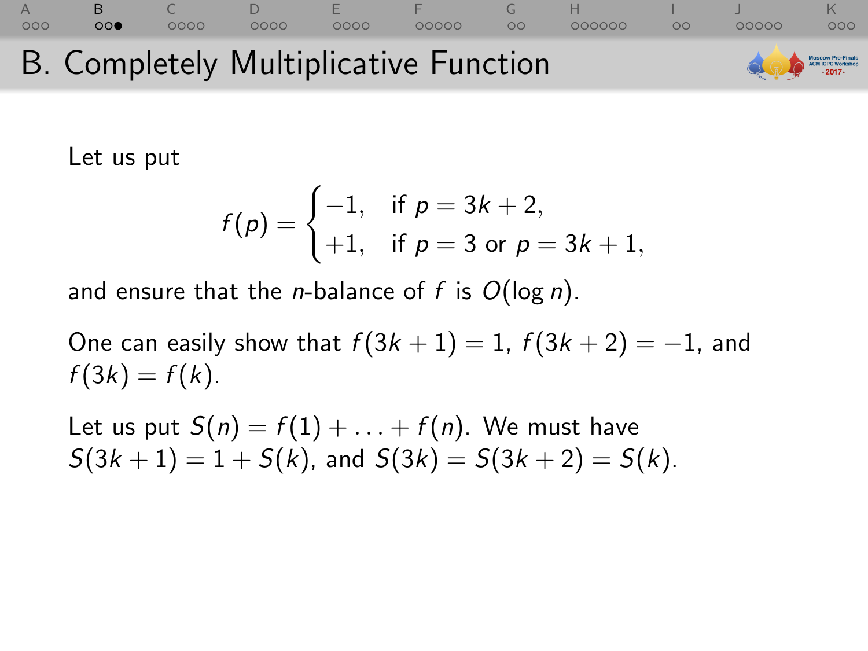### [A](#page-1-0) [B](#page-7-0) [C](#page-16-0) [D](#page-28-0) [E](#page-37-0) [F](#page-45-0) [G](#page-56-0) [H](#page-60-0) [I](#page-79-0) [J](#page-82-0) [K](#page-88-0)  $00000$  $000$ B. Completely Multiplicative Function **oscow Pre-Final**<br>CM ICPC Worksho

Let us put

$$
f(p) = \begin{cases} -1, & \text{if } p = 3k + 2, \\ +1, & \text{if } p = 3 \text{ or } p = 3k + 1, \end{cases}
$$

and ensure that the *n*-balance of f is  $O(\log n)$ .

One can easily show that  $f(3k + 1) = 1$ ,  $f(3k + 2) = -1$ , and  $f(3k) = f(k)$ .

Let us put  $S(n) = f(1) + ... + f(n)$ . We must have  $S(3k + 1) = 1 + S(k)$ , and  $S(3k) = S(3k + 2) = S(k)$ .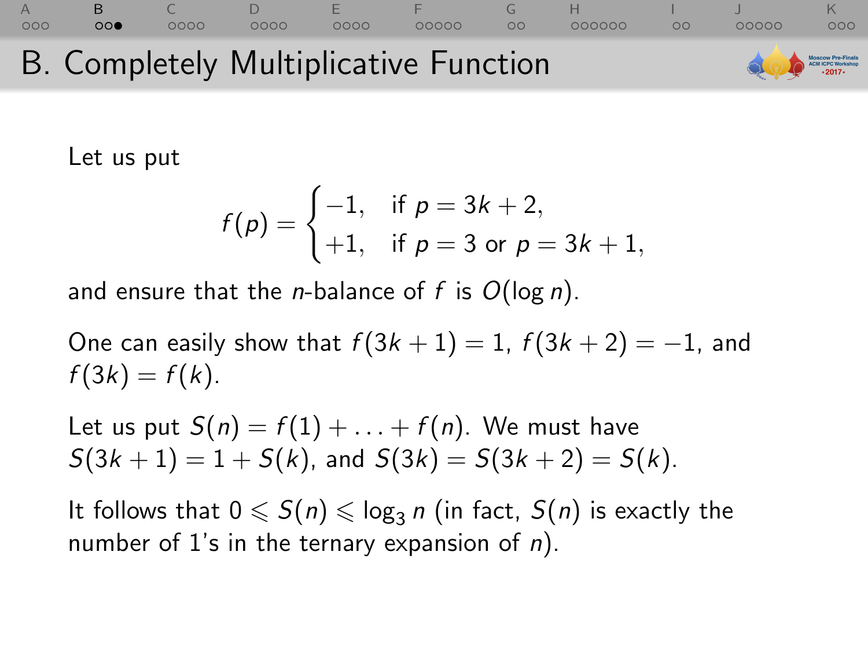#### [A](#page-1-0) [B](#page-7-0) [C](#page-16-0) [D](#page-28-0) [E](#page-37-0) [F](#page-45-0) [G](#page-56-0) [H](#page-60-0) [I](#page-79-0) [J](#page-82-0) [K](#page-88-0)  $0000$  $00000$  $00000$  $000$ B. Completely Multiplicative Function **Scow Pre-Final**<br>3M ICPC Werksho

Let us put

$$
f(p) = \begin{cases} -1, & \text{if } p = 3k + 2, \\ +1, & \text{if } p = 3 \text{ or } p = 3k + 1, \end{cases}
$$

and ensure that the *n*-balance of f is  $O(\log n)$ .

One can easily show that  $f(3k + 1) = 1$ ,  $f(3k + 2) = -1$ , and  $f(3k) = f(k)$ .

Let us put  $S(n) = f(1) + ... + f(n)$ . We must have  $S(3k + 1) = 1 + S(k)$ , and  $S(3k) = S(3k + 2) = S(k)$ .

It follows that  $0 \leqslant S(n) \leqslant \log_3 n$  (in fact,  $S(n)$  is exactly the number of 1's in the ternary expansion of  $n$ ).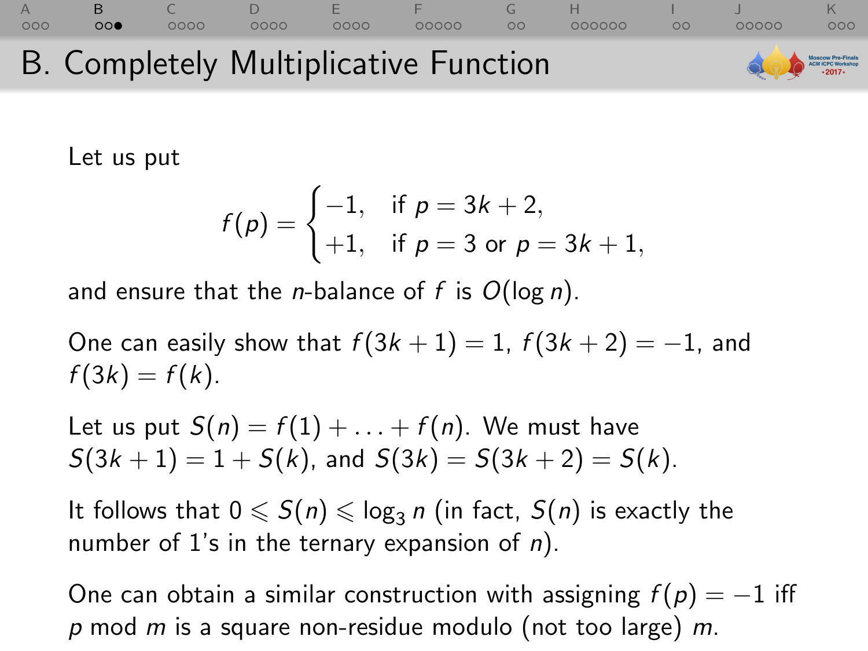#### [A](#page-1-0) [B](#page-7-0) [C](#page-16-0) [D](#page-28-0) [E](#page-37-0) [F](#page-45-0) [G](#page-56-0) [H](#page-60-0) [I](#page-79-0) [J](#page-82-0) [K](#page-88-0)  $00$  $0000$  $0000$  $00000$  $\Omega$ 000000  $00000$  $000$ B. Completely Multiplicative Function oscow Pre-Final<br>CN ICPC Werksho

Let us put

$$
f(p) = \begin{cases} -1, & \text{if } p = 3k + 2, \\ +1, & \text{if } p = 3 \text{ or } p = 3k + 1, \end{cases}
$$

and ensure that the *n*-balance of f is  $O(\log n)$ .

One can easily show that  $f(3k + 1) = 1$ ,  $f(3k + 2) = -1$ , and  $f(3k) = f(k)$ .

Let us put  $S(n) = f(1) + ... + f(n)$ . We must have  $S(3k + 1) = 1 + S(k)$ , and  $S(3k) = S(3k + 2) = S(k)$ .

It follows that  $0 \leqslant S(n) \leqslant \log_3 n$  (in fact,  $S(n)$  is exactly the number of 1's in the ternary expansion of  $n$ ).

One can obtain a similar construction with assigning  $f(p) = -1$  iff  $p$  mod  $m$  is a square non-residue modulo (not too large)  $m$ .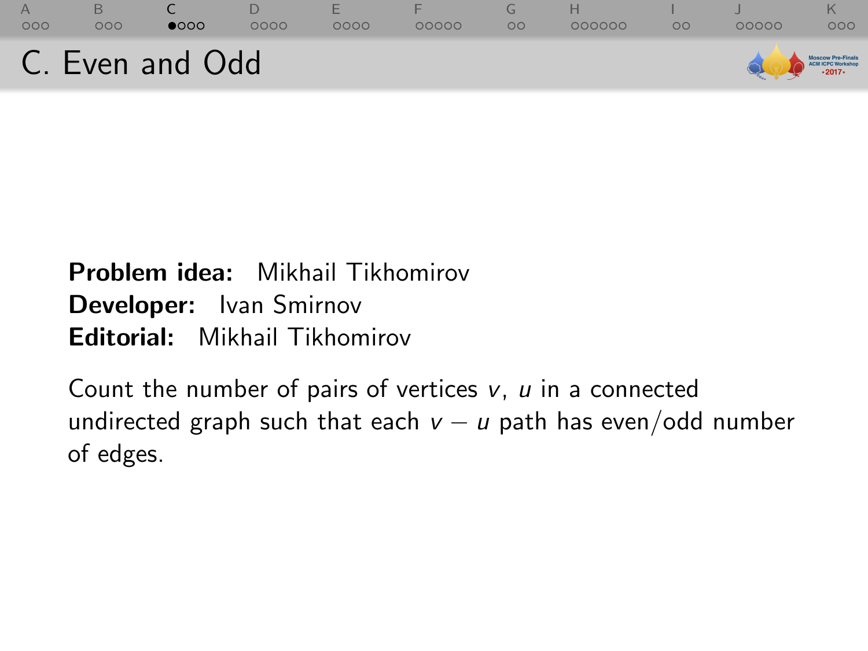<span id="page-16-0"></span>

### Problem idea: Mikhail Tikhomirov Developer: Ivan Smirnov Editorial: Mikhail Tikhomirov

Count the number of pairs of vertices  $v, u$  in a connected undirected graph such that each  $v - u$  path has even/odd number of edges.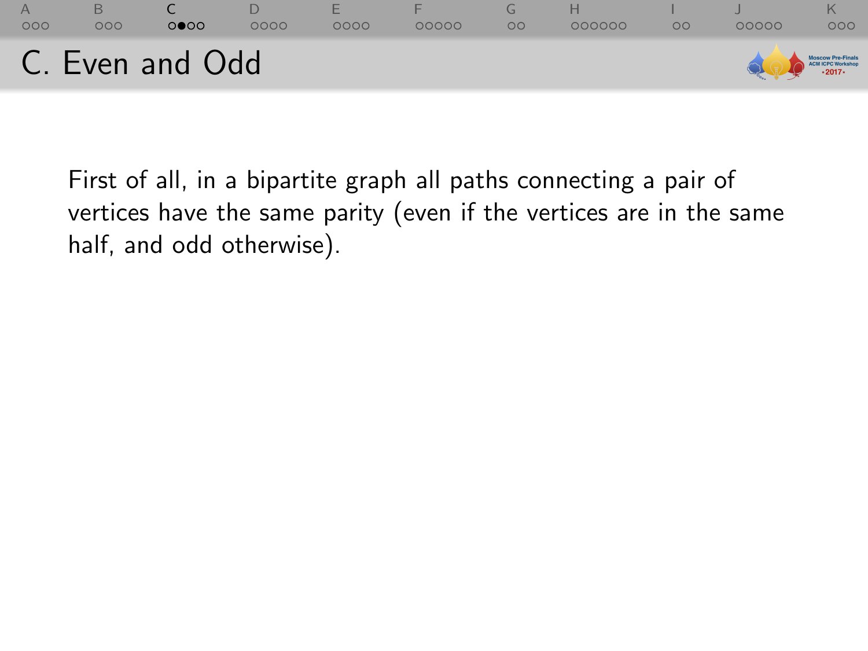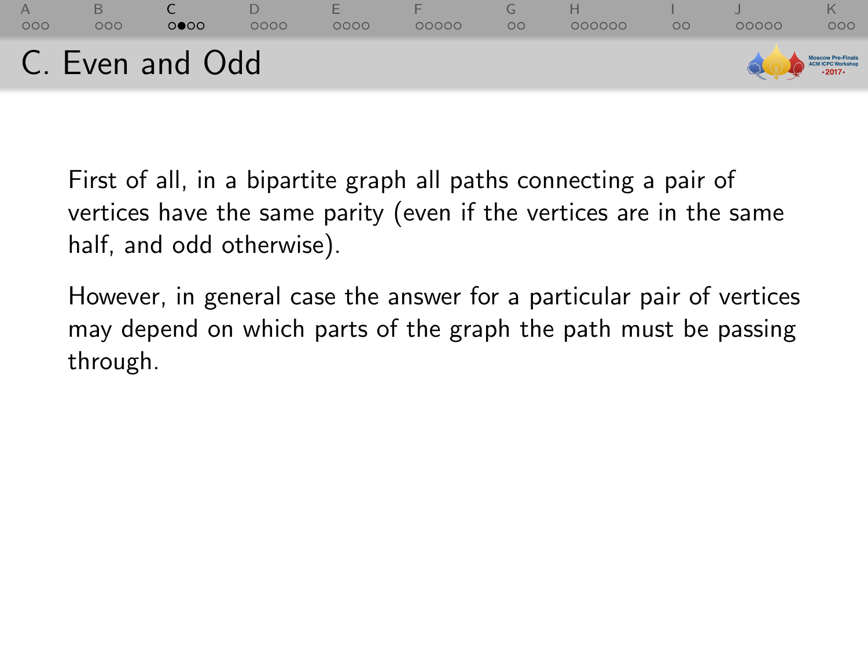

However, in general case the answer for a particular pair of vertices may depend on which parts of the graph the path must be passing through.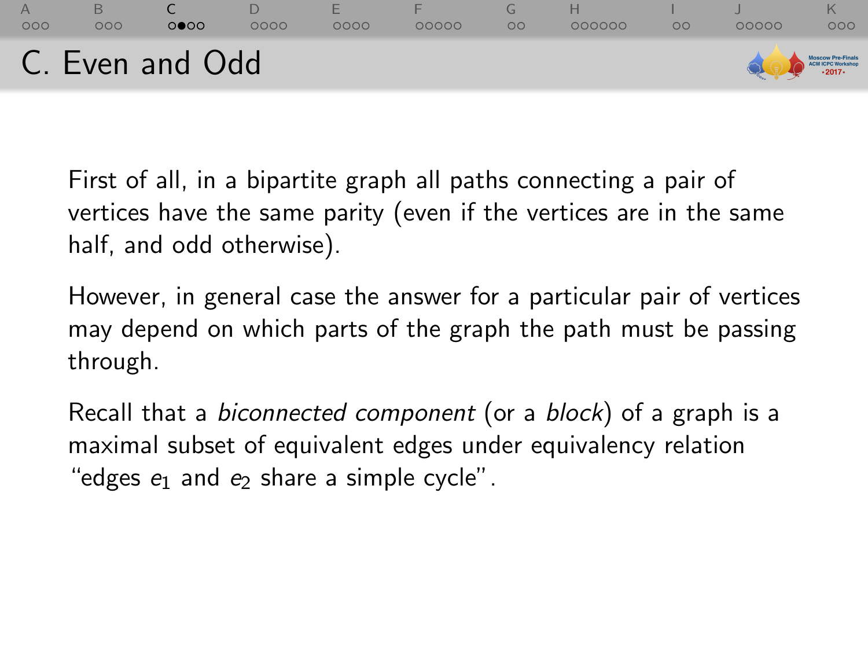

However, in general case the answer for a particular pair of vertices may depend on which parts of the graph the path must be passing through.

Recall that a biconnected component (or a block) of a graph is a maximal subset of equivalent edges under equivalency relation "edges  $e_1$  and  $e_2$  share a simple cycle".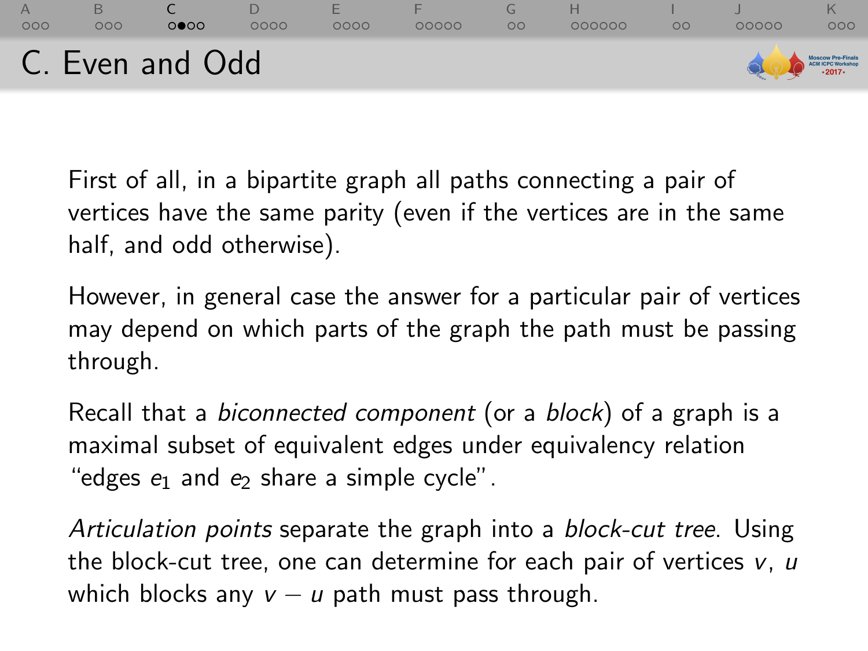

However, in general case the answer for a particular pair of vertices may depend on which parts of the graph the path must be passing through.

Recall that a biconnected component (or a block) of a graph is a maximal subset of equivalent edges under equivalency relation "edges  $e_1$  and  $e_2$  share a simple cycle".

Articulation points separate the graph into a block-cut tree. Using the block-cut tree, one can determine for each pair of vertices  $v, u$ which blocks any  $v - u$  path must pass through.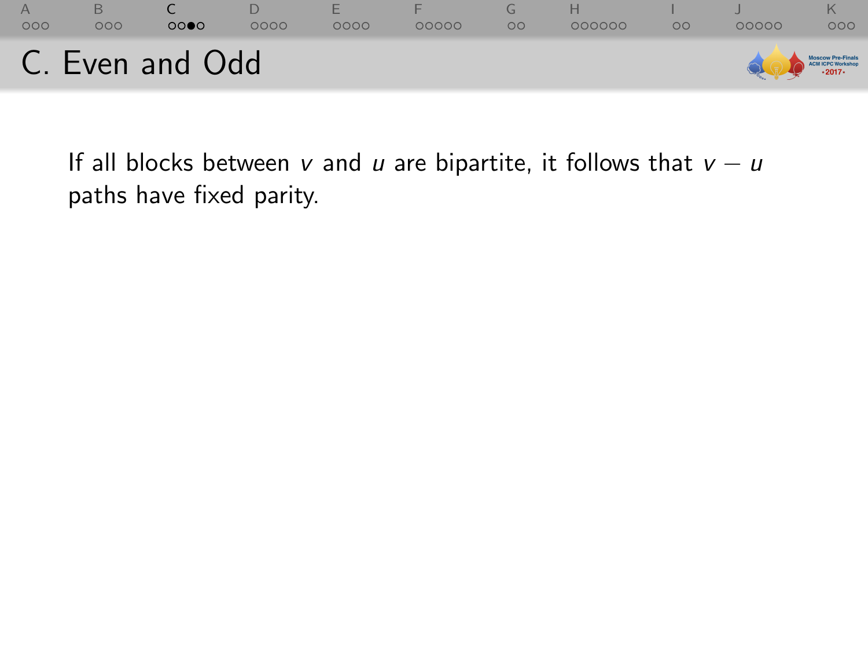

If all blocks between v and u are bipartite, it follows that  $v - u$ paths have fixed parity.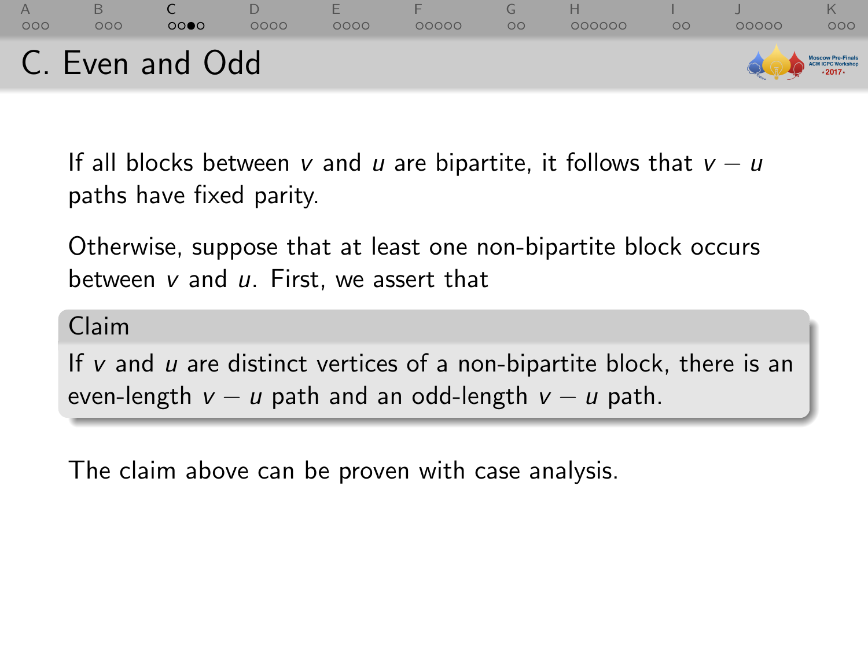

If all blocks between v and u are bipartite, it follows that  $v - u$ paths have fixed parity.

Otherwise, suppose that at least one non-bipartite block occurs between  $v$  and  $u$ . First, we assert that

Claim

If  $v$  and  $u$  are distinct vertices of a non-bipartite block, there is an even-length  $v - u$  path and an odd-length  $v - u$  path.

The claim above can be proven with case analysis.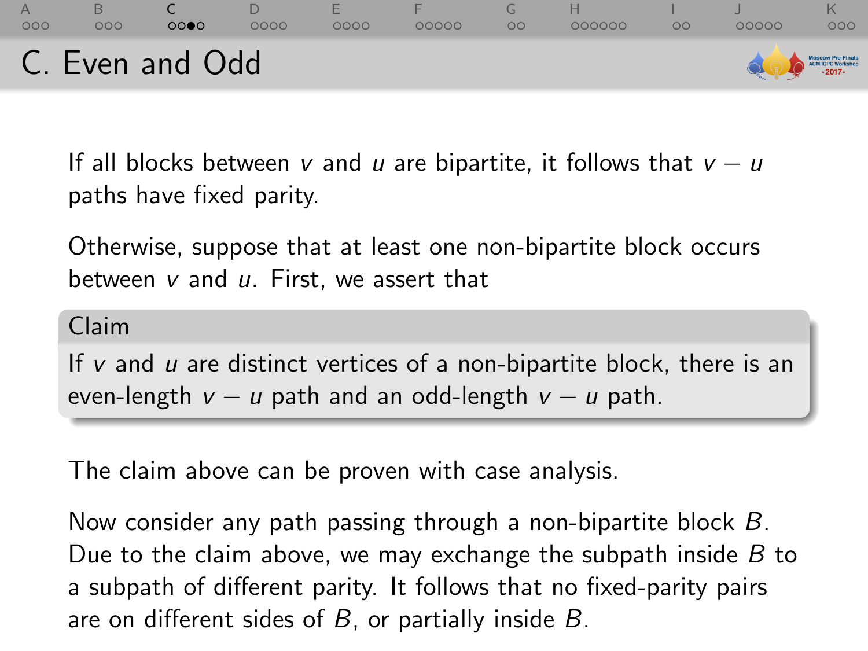

If all blocks between v and u are bipartite, it follows that  $v - u$ paths have fixed parity.

Otherwise, suppose that at least one non-bipartite block occurs between  $v$  and  $u$ . First, we assert that

Claim

If  $v$  and  $u$  are distinct vertices of a non-bipartite block, there is an even-length  $v - u$  path and an odd-length  $v - u$  path.

The claim above can be proven with case analysis.

Now consider any path passing through a non-bipartite block B. Due to the claim above, we may exchange the subpath inside  $B$  to a subpath of different parity. It follows that no fixed-parity pairs are on different sides of  $B$ , or partially inside  $B$ .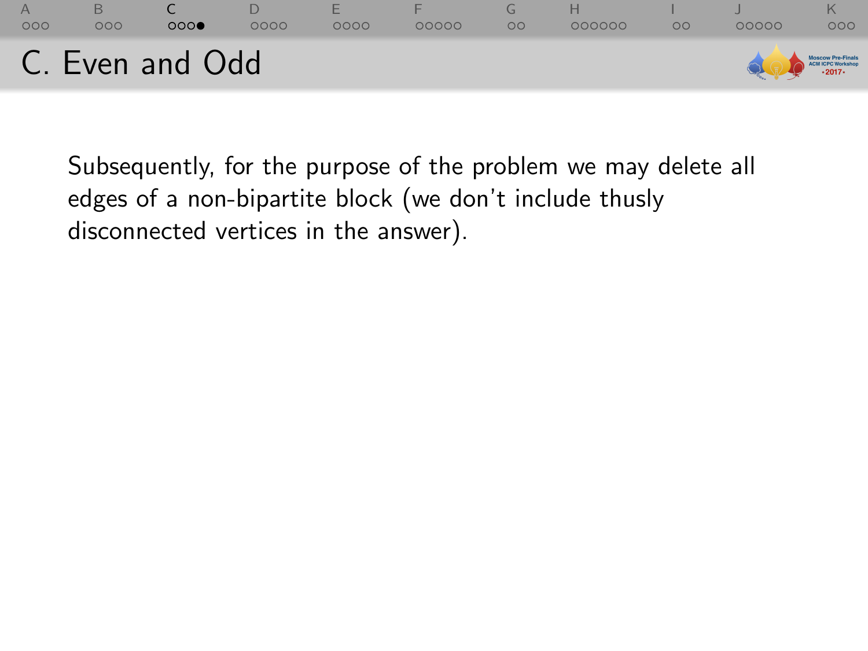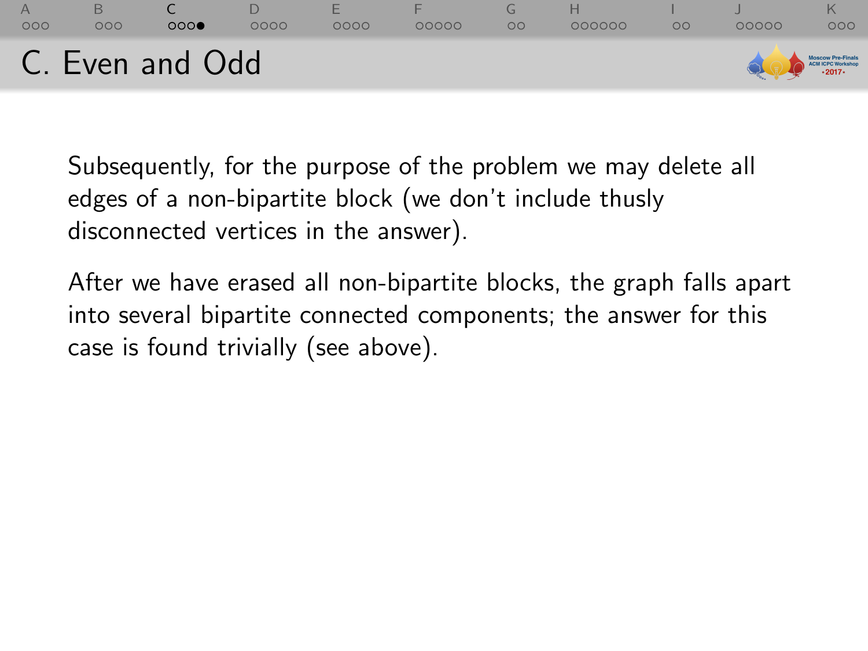

After we have erased all non-bipartite blocks, the graph falls apart into several bipartite connected components; the answer for this case is found trivially (see above).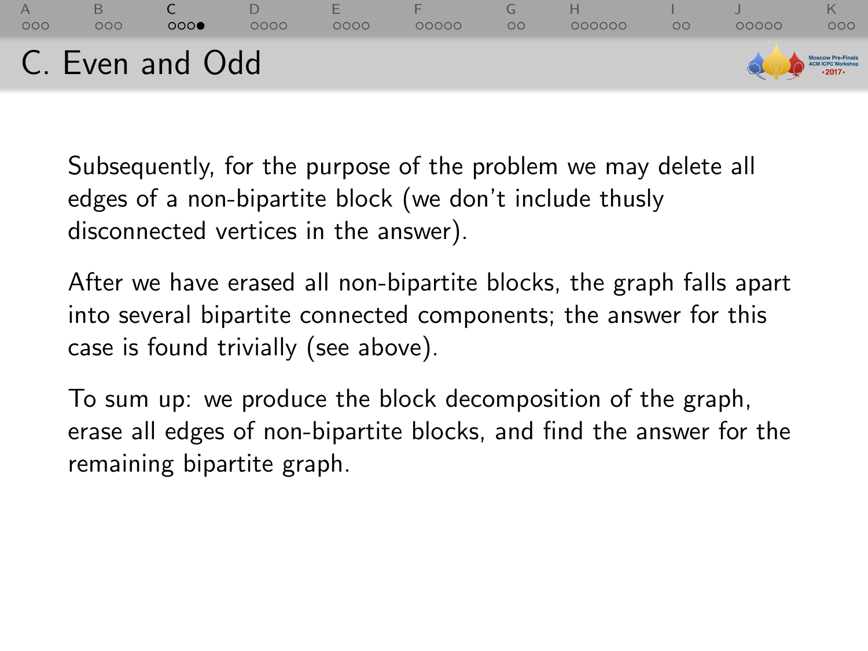

After we have erased all non-bipartite blocks, the graph falls apart into several bipartite connected components; the answer for this case is found trivially (see above).

To sum up: we produce the block decomposition of the graph, erase all edges of non-bipartite blocks, and find the answer for the remaining bipartite graph.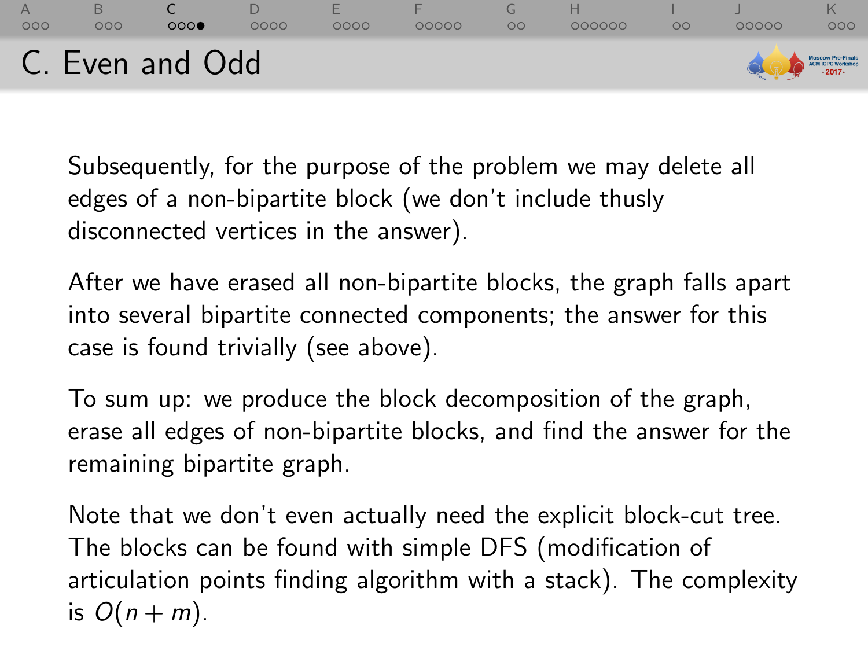

After we have erased all non-bipartite blocks, the graph falls apart into several bipartite connected components; the answer for this case is found trivially (see above).

To sum up: we produce the block decomposition of the graph, erase all edges of non-bipartite blocks, and find the answer for the remaining bipartite graph.

Note that we don't even actually need the explicit block-cut tree. The blocks can be found with simple DFS (modification of articulation points finding algorithm with a stack). The complexity is  $O(n+m)$ .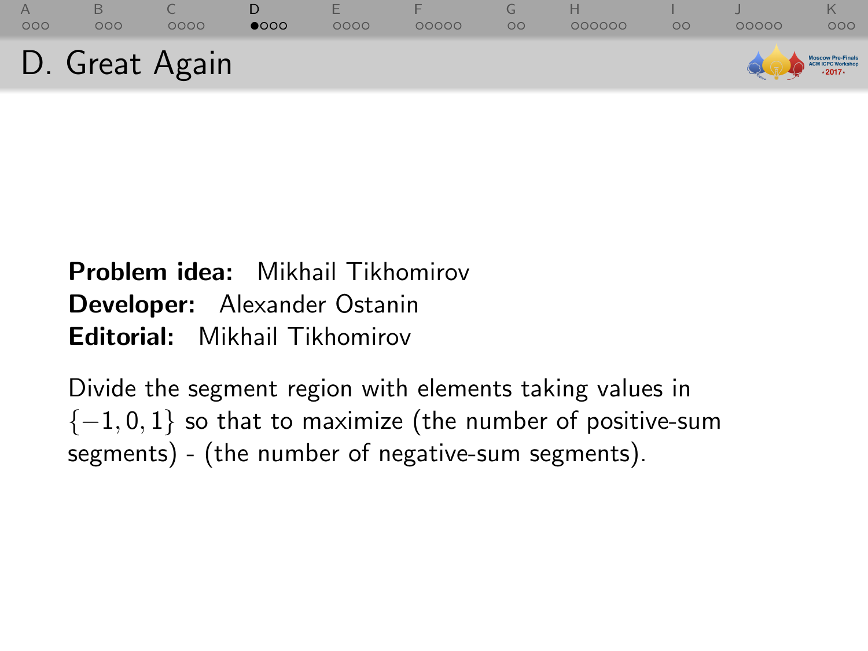<span id="page-28-0"></span>

| AA<br>000 | 000            | 0000 | $\bullet$ 000 | 0000 | 00000 | 000000 | $\circ$ | 00000                                             | 000 |
|-----------|----------------|------|---------------|------|-------|--------|---------|---------------------------------------------------|-----|
|           | D. Great Again |      |               |      |       |        |         | MOSCOW Pro-Finals<br>Call (CPC Workshop)<br>2017- |     |

# Problem idea: Mikhail Tikhomirov Developer: Alexander Ostanin Editorial: Mikhail Tikhomirov

Divide the segment region with elements taking values in  ${-1, 0, 1}$  so that to maximize (the number of positive-sum segments) - (the number of negative-sum segments).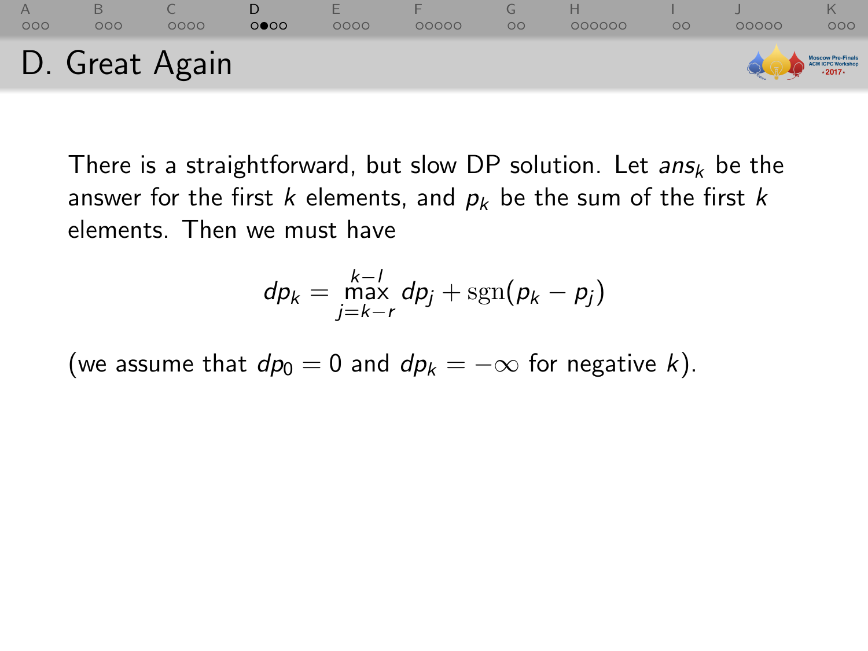

There is a straightforward, but slow DP solution. Let  $ans_k$  be the answer for the first k elements, and  $p_k$  be the sum of the first k elements. Then we must have

$$
dp_k = \max_{j=k-r}^{k-l} dp_j + \text{sgn}(p_k - p_j)
$$

(we assume that  $dp_0 = 0$  and  $dp_k = -\infty$  for negative k).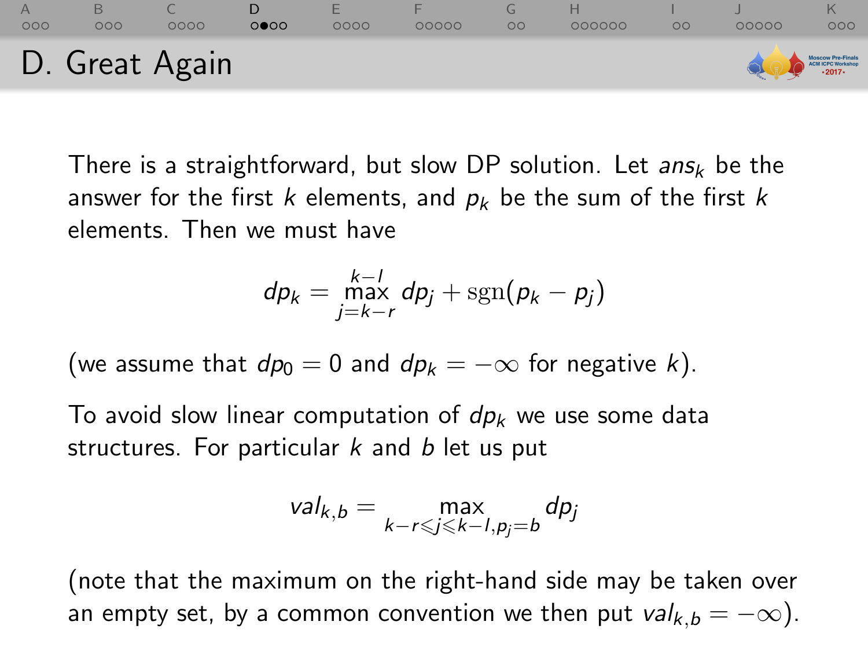

There is a straightforward, but slow DP solution. Let  $ans_k$  be the answer for the first k elements, and  $p_k$  be the sum of the first k elements. Then we must have

$$
dp_k = \max_{j=k-r}^{k-l} dp_j + \text{sgn}(p_k - p_j)
$$

(we assume that  $dp_0 = 0$  and  $dp_k = -\infty$  for negative k).

To avoid slow linear computation of  $dp_k$  we use some data structures. For particular  $k$  and  $b$  let us put

$$
val_{k,b} = \max_{k-r \leq j \leq k-l, p_j = b} dp_j
$$

(note that the maximum on the right-hand side may be taken over an empty set, by a common convention we then put  $val_{k,b} = -\infty$ ).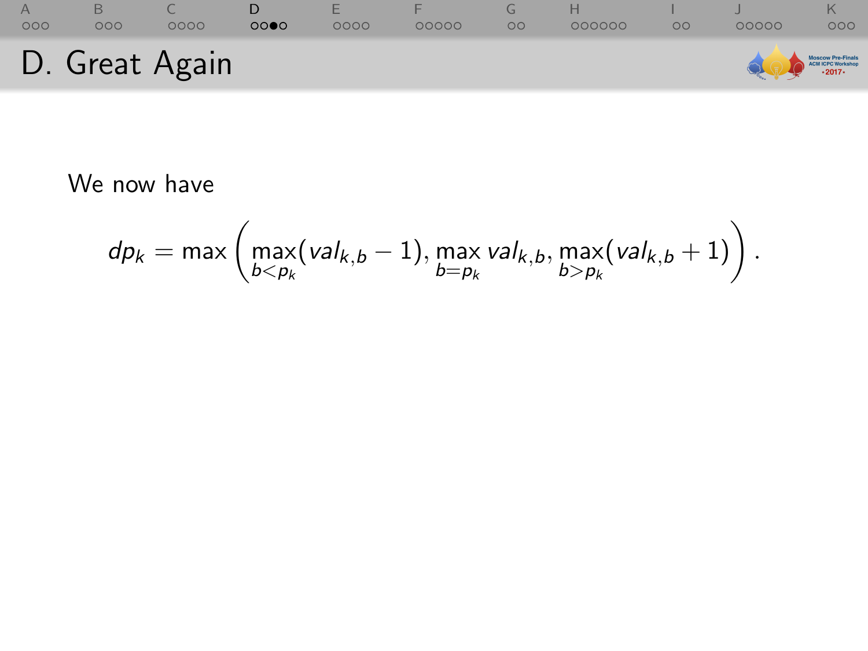

We now have

$$
dp_k = \max\left(\max_{b < p_k} (val_{k,b} - 1), \max_{b = p_k} val_{k,b}, \max_{b > p_k} (val_{k,b} + 1)\right).
$$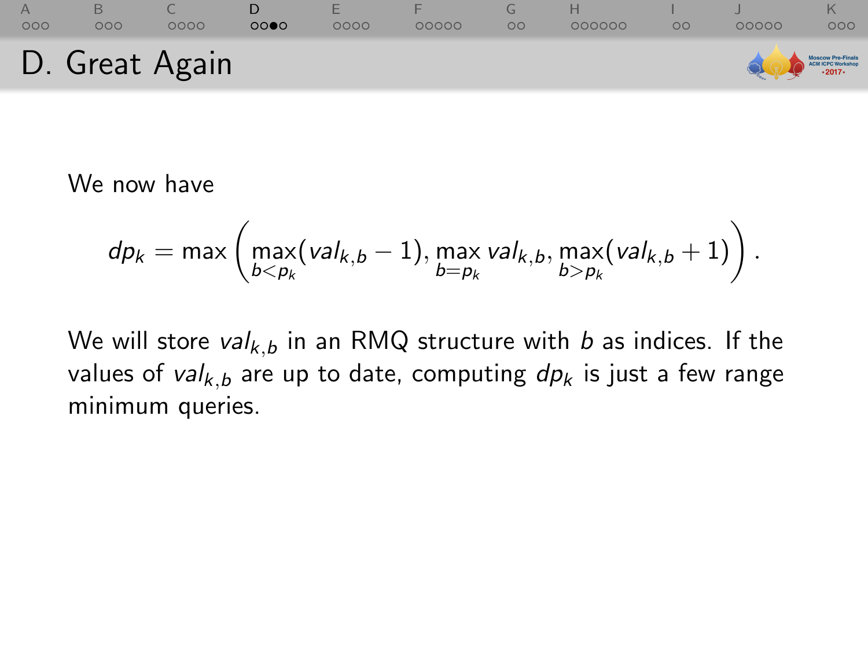

We now have

$$
\text{d} p_k = \max \left( \max_{b < p_k}(\text{val}_{k,b} - 1), \max_{b = p_k} \text{val}_{k,b}, \max_{b > p_k}(\text{val}_{k,b} + 1) \right).
$$

We will store  $val_{k,b}$  in an RMQ structure with b as indices. If the values of val<sub>k,b</sub> are up to date, computing  $dp_k$  is just a few range minimum queries.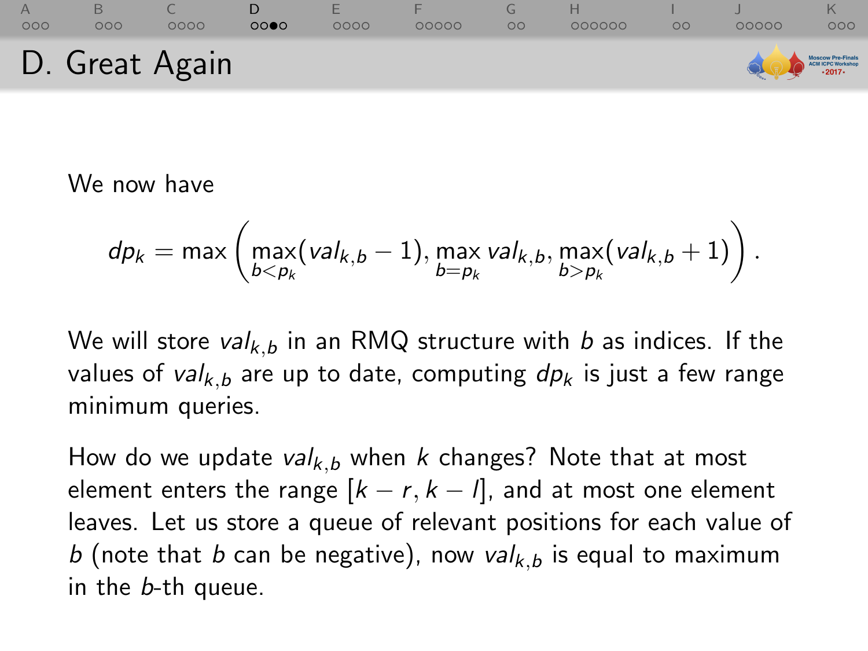

We now have

$$
\text{d} p_k = \max \left( \max_{b < p_k}(\text{val}_{k,b} - 1), \max_{b = p_k} \text{val}_{k,b}, \max_{b > p_k}(\text{val}_{k,b} + 1) \right).
$$

We will store  $val_{k,b}$  in an RMQ structure with b as indices. If the values of val<sub>k,b</sub> are up to date, computing  $dp_k$  is just a few range minimum queries.

How do we update val<sub>k, b</sub> when k changes? Note that at most element enters the range  $[k - r, k - l]$ , and at most one element leaves. Let us store a queue of relevant positions for each value of b (note that b can be negative), now val<sub>k, b</sub> is equal to maximum in the b-th queue.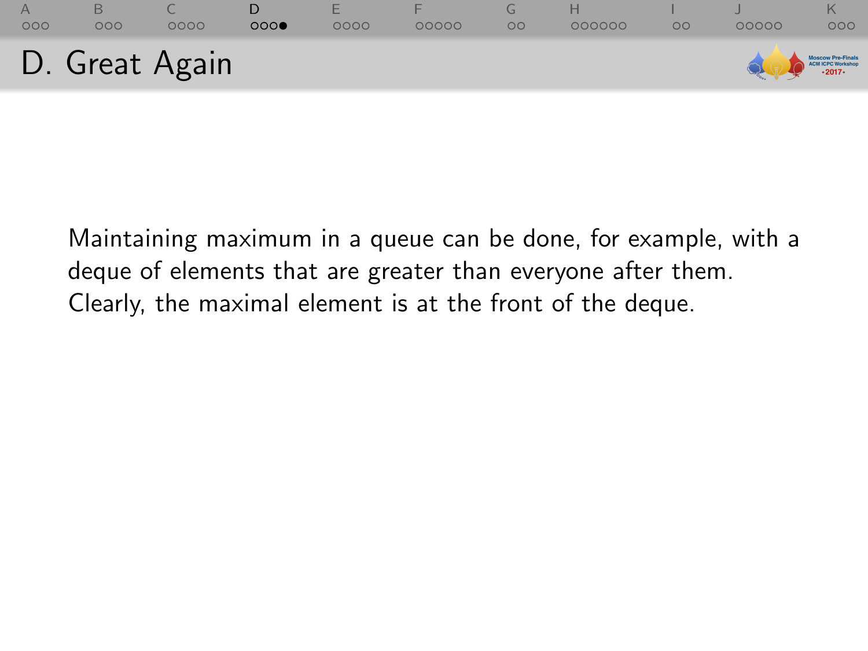| 000 | 000            | 0000 | 000 | 0000 | 00000 | $\circ$ | 000000 | $\circ$ | 00000             | 000 |
|-----|----------------|------|-----|------|-------|---------|--------|---------|-------------------|-----|
|     | D. Great Again |      |     |      |       |         |        |         | MOSCOW Pre-Finals |     |

Maintaining maximum in a queue can be done, for example, with a deque of elements that are greater than everyone after them. Clearly, the maximal element is at the front of the deque.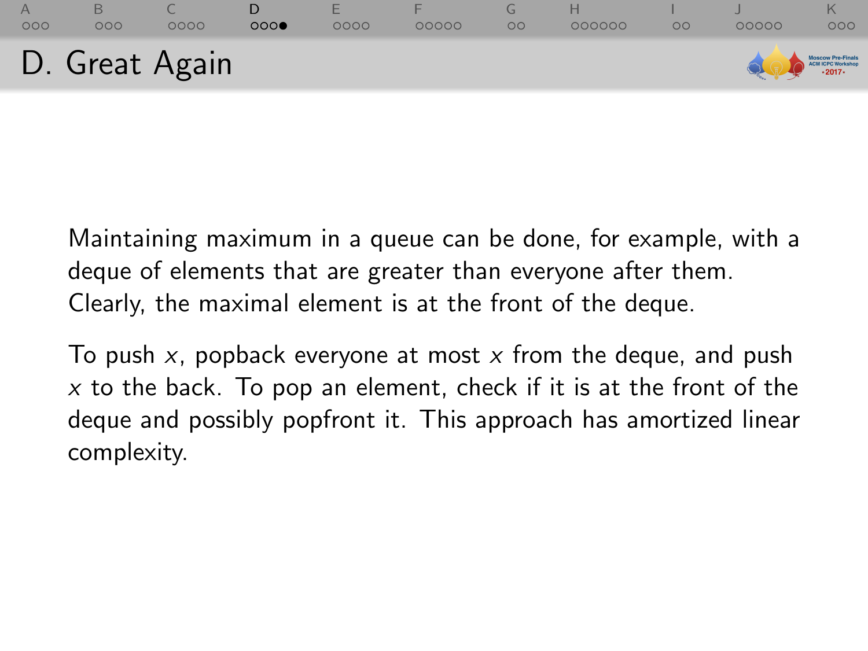|     |     | D. Great Again |     |            |       |         |        |         | MOSCOW Pre-Finals |     |
|-----|-----|----------------|-----|------------|-------|---------|--------|---------|-------------------|-----|
| 000 | 000 | 0000           | 000 | Е.<br>0000 | 00000 | $\circ$ | 000000 | $\circ$ | 00000             | 000 |

Maintaining maximum in a queue can be done, for example, with a deque of elements that are greater than everyone after them. Clearly, the maximal element is at the front of the deque.

To push  $x$ , popback everyone at most  $x$  from the deque, and push  $x$  to the back. To pop an element, check if it is at the front of the deque and possibly popfront it. This approach has amortized linear complexity.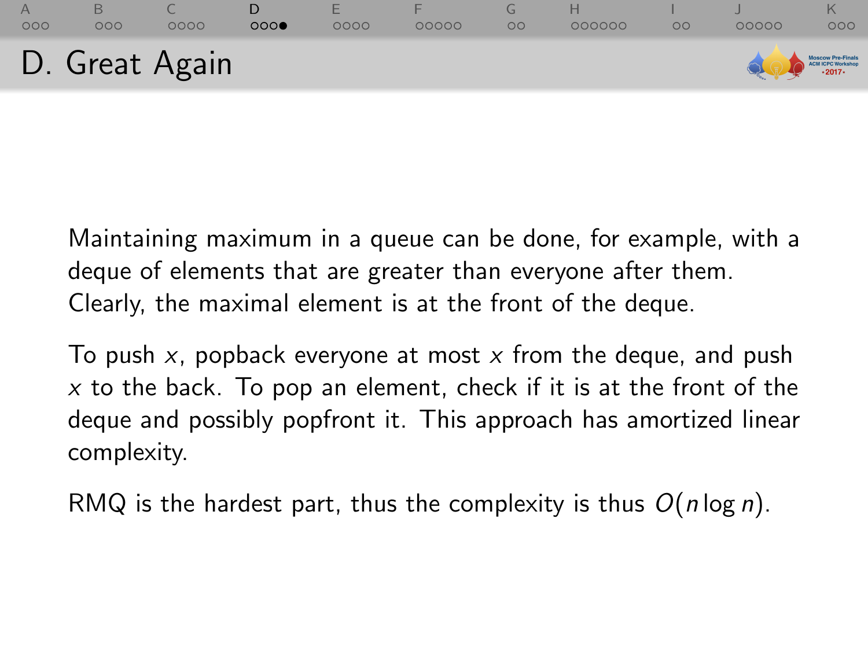|     |     | D. Great Again |     |            |       |         |        |         | MOSCOW Pre-Finals |     |
|-----|-----|----------------|-----|------------|-------|---------|--------|---------|-------------------|-----|
| 000 | 000 | 0000           | 000 | Е.<br>0000 | 00000 | $\circ$ | 000000 | $\circ$ | 00000             | 000 |

Maintaining maximum in a queue can be done, for example, with a deque of elements that are greater than everyone after them. Clearly, the maximal element is at the front of the deque.

To push  $x$ , popback everyone at most  $x$  from the deque, and push  $x$  to the back. To pop an element, check if it is at the front of the deque and possibly popfront it. This approach has amortized linear complexity.

RMQ is the hardest part, thus the complexity is thus  $O(n \log n)$ .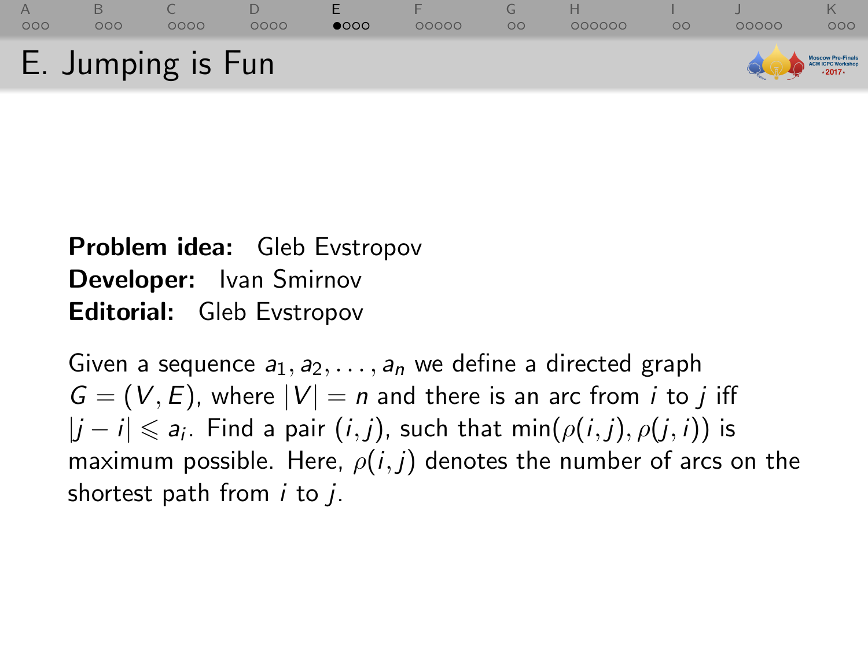<span id="page-37-0"></span>

## Problem idea: Gleb Evstropov Developer: Ivan Smirnov Editorial: Gleb Evstropov

Given a sequence  $a_1, a_2, \ldots, a_n$  we define a directed graph  $G = (V, E)$ , where  $|V| = n$  and there is an arc from *i* to *j* iff  $|j - i| \leqslant a_i$ . Find a pair  $(i, j)$ , such that min $(\rho(i, j), \rho(j, i))$  is maximum possible. Here,  $\rho(i, j)$  denotes the number of arcs on the shortest path from  $i$  to  $j$ .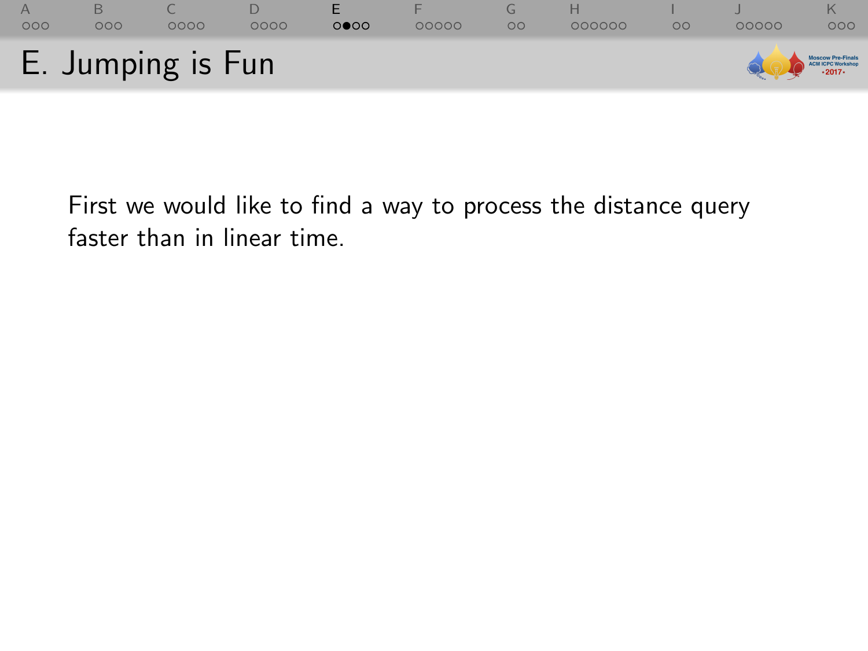

First we would like to find a way to process the distance query faster than in linear time.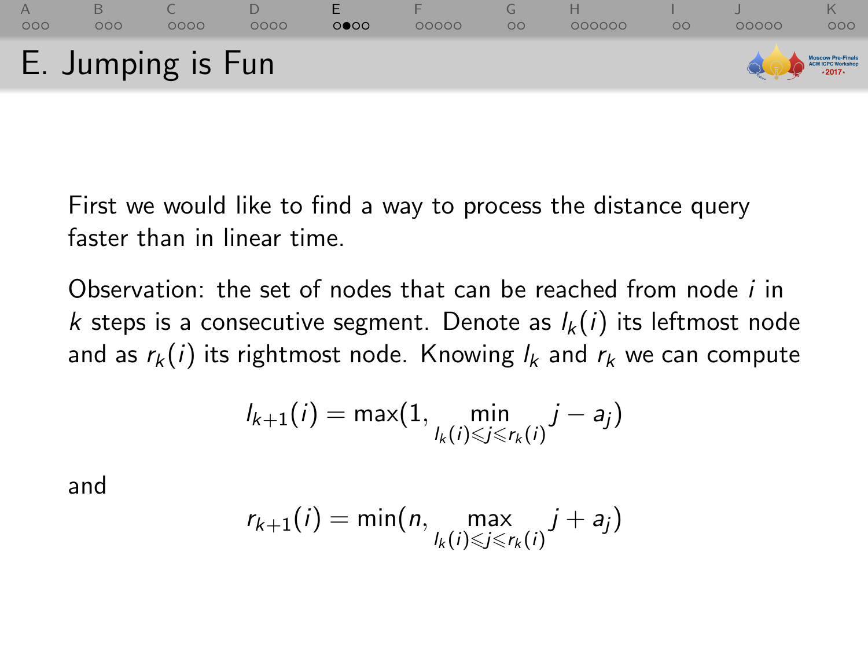

First we would like to find a way to process the distance query faster than in linear time.

Observation: the set of nodes that can be reached from node  *in* k steps is a consecutive segment. Denote as  $l_k(i)$  its leftmost node and as  $r_k(i)$  its rightmost node. Knowing  $l_k$  and  $r_k$  we can compute

$$
I_{k+1}(i) = \max(1, \min_{I_k(i) \leq j \leq r_k(i)} j - a_j)
$$

and

$$
r_{k+1}(i) = \min(n, \max_{l_k(i) \leq j \leq r_k(i)} j + a_j)
$$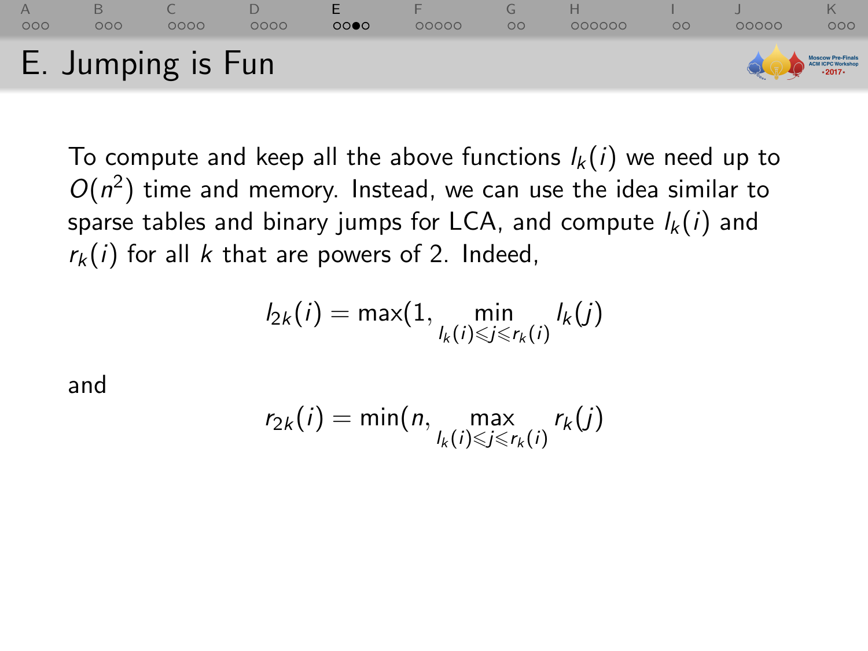### [A](#page-1-0) [B](#page-7-0) [C](#page-16-0) [D](#page-28-0) [E](#page-37-0) [F](#page-45-0) [G](#page-56-0) [H](#page-60-0) [I](#page-79-0) [J](#page-82-0) [K](#page-88-0)  $000$  $0000$  $0000$  $000$ E. Jumping is Fun **ICM ICPC Worksho**  $.2017.$

To compute and keep all the above functions  $l_k(i)$  we need up to  $O(n^2)$  time and memory. Instead, we can use the idea similar to sparse tables and binary jumps for LCA, and compute  $l_k(i)$  and  $r_k(i)$  for all k that are powers of 2. Indeed,

$$
I_{2k}(i) = \max(1, \min_{\substack{l_k(i) \leq j \leq r_k(i)}} l_k(j)
$$

and

$$
r_{2k}(i) = \min(n, \max_{l_k(i) \leq j \leq r_k(i)} r_k(j))
$$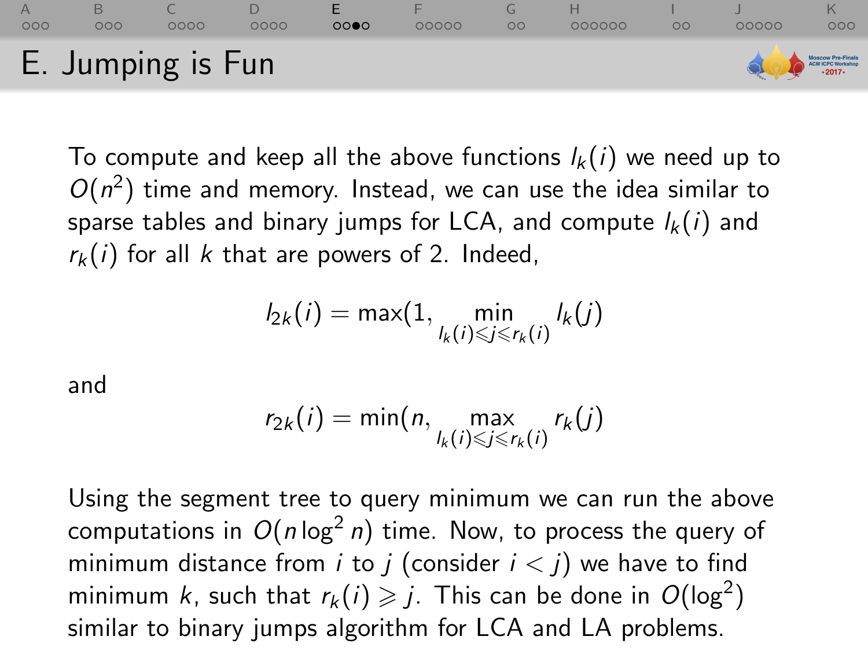#### [A](#page-1-0) [B](#page-7-0) [C](#page-16-0) [D](#page-28-0) [E](#page-37-0) [F](#page-45-0) [G](#page-56-0) [H](#page-60-0) [I](#page-79-0) [J](#page-82-0) [K](#page-88-0)  $000$ OOOC ററ⊜റ  $00000$ 000000  $\Omega$ OOOOC  $000$ E. Jumping is Fun **38 ICPC Workshe**

To compute and keep all the above functions  $l_k(i)$  we need up to  $O(n^2)$  time and memory. Instead, we can use the idea similar to sparse tables and binary jumps for LCA, and compute  $l_k(i)$  and  $r_k(i)$  for all k that are powers of 2. Indeed,

$$
I_{2k}(i) = \max(1, \min_{\substack{l_k(i) \leq j \leq r_k(i)}} l_k(j)
$$

and

$$
r_{2k}(i) = \min(n, \max_{l_k(i) \leq j \leq r_k(i)} r_k(j))
$$

Using the segment tree to query minimum we can run the above computations in  $O(n\log^2 n)$  time. Now, to process the query of minimum distance from *i* to *j* (consider  $i < j$ ) we have to find minimum  $k$ , such that  $r_k(i) \geqslant j$ . This can be done in  $O(\log^2)$ similar to binary jumps algorithm for LCA and LA problems.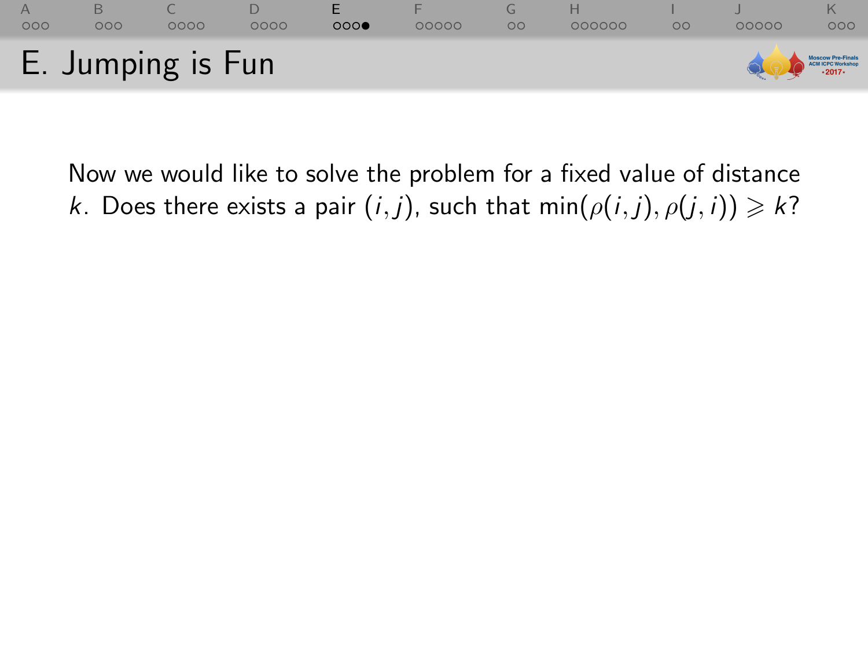

Now we would like to solve the problem for a fixed value of distance k. Does there exists a pair  $(i, j)$ , such that min $(\rho(i, j), \rho(j, i)) \geq k$ ?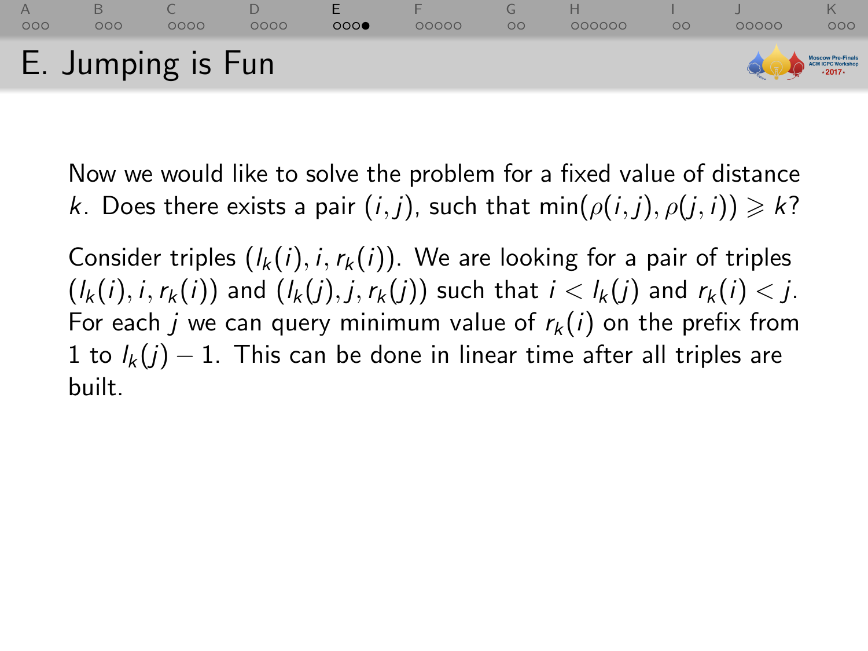

Now we would like to solve the problem for a fixed value of distance k. Does there exists a pair  $(i, j)$ , such that min $(\rho(i, j), \rho(j, i)) \geq k$ ?

Consider triples  $(l_k(i), i, r_k(i))$ . We are looking for a pair of triples  $(l_k(i), i, r_k(i))$  and  $(l_k(j), j, r_k(j))$  such that  $i < l_k(j)$  and  $r_k(i) < j$ . For each j we can query minimum value of  $r_k(i)$  on the prefix from 1 to  $l_k(j) - 1$ . This can be done in linear time after all triples are built.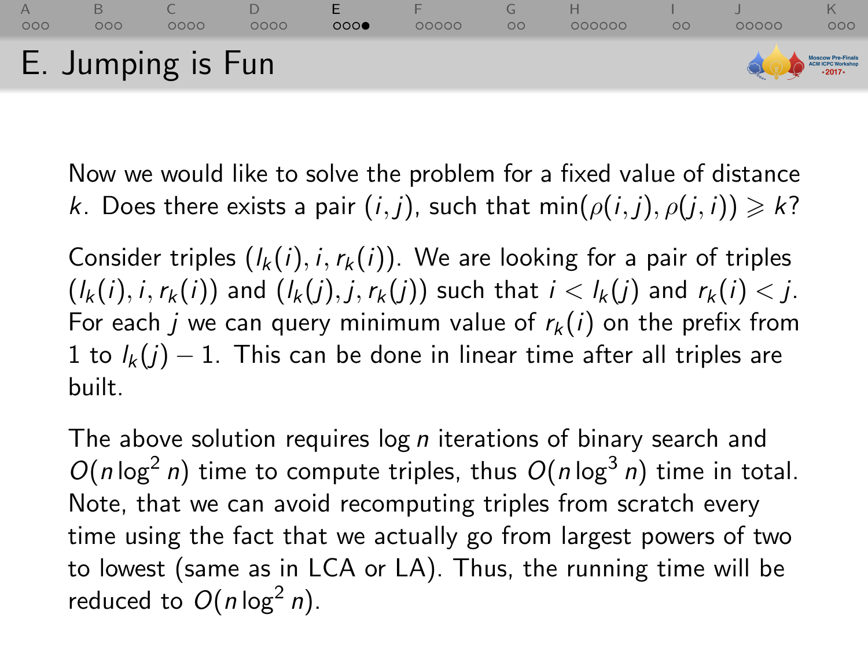#### [A](#page-1-0) [B](#page-7-0) [C](#page-16-0) [D](#page-28-0) [E](#page-37-0) [F](#page-45-0) [G](#page-56-0) [H](#page-60-0) [I](#page-79-0) [J](#page-82-0) [K](#page-88-0)  $000$  $000$  $0000$  $0000$  $000$  $00000$  $\Omega$  $000000$  $\Omega$ OOOOC  $000$ E. Jumping is Fun **ICPC Workshe**

Now we would like to solve the problem for a fixed value of distance k. Does there exists a pair  $(i, j)$ , such that min $(\rho(i, j), \rho(j, i)) \geq k$ ?

Consider triples  $(l_k(i), i, r_k(i))$ . We are looking for a pair of triples  $(l_k(i), i, r_k(i))$  and  $(l_k(j), i, r_k(j))$  such that  $i < l_k(j)$  and  $r_k(i) < j$ . For each *j* we can query minimum value of  $r_k(i)$  on the prefix from 1 to  $l_k(j) - 1$ . This can be done in linear time after all triples are built.

The above solution requires  $\log n$  iterations of binary search and  $O(n \log^2 n)$  time to compute triples, thus  $O(n \log^3 n)$  time in total. Note, that we can avoid recomputing triples from scratch every time using the fact that we actually go from largest powers of two to lowest (same as in LCA or LA). Thus, the running time will be reduced to  $O(n \log^2 n)$ .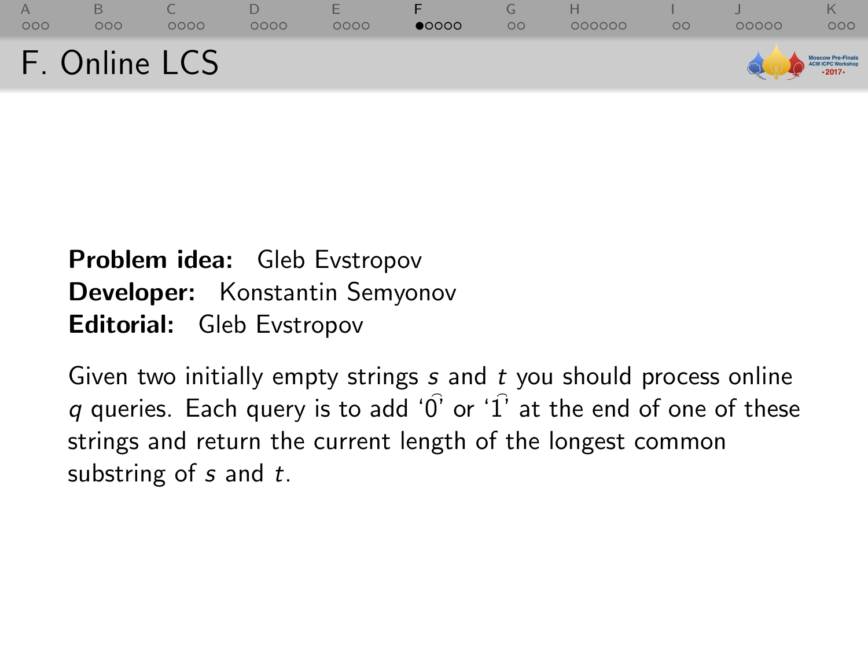<span id="page-45-0"></span>

| $\Delta$<br>OOC | OOC | 0000          | 0000 | 0000 | $\bullet$ 0000 | $\circ$ | 000000 | OO | 00000                                   | 000 |
|-----------------|-----|---------------|------|------|----------------|---------|--------|----|-----------------------------------------|-----|
|                 |     | F. Online LCS |      |      |                |         |        |    | Moscow Pro-Finals<br>Call LCPC Workshop |     |

## Problem idea: Gleb Evstropov Developer: Konstantin Semyonov Editorial: Gleb Evstropov

Given two initially empty strings  $s$  and  $t$  you should process online q queries. Each query is to add ' $\hat{0}$ ' or ' $\hat{1}$ ' at the end of one of these strings and return the current length of the longest common substring of  $s$  and  $t$ .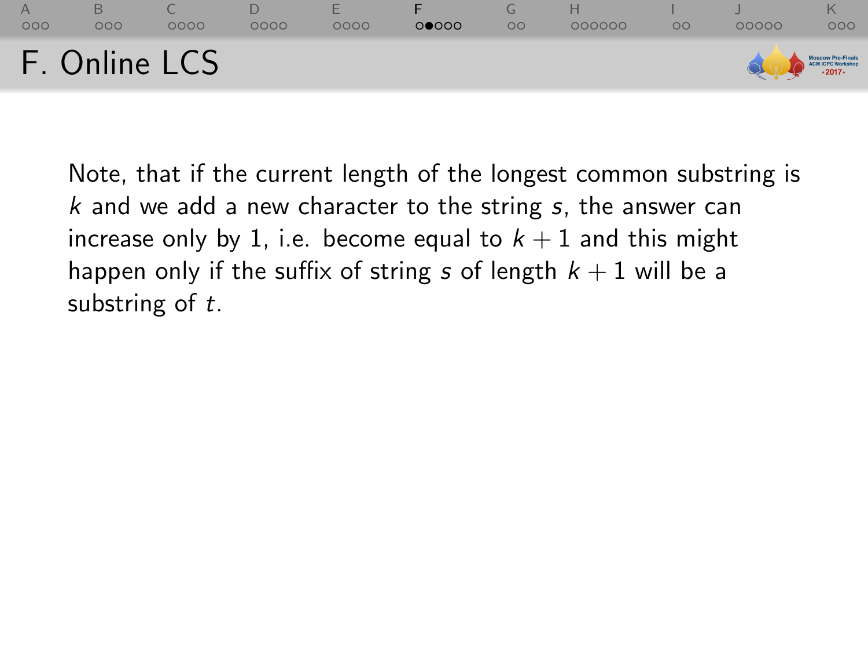

Note, that if the current length of the longest common substring is  $k$  and we add a new character to the string  $s$ , the answer can increase only by 1, i.e. become equal to  $k + 1$  and this might happen only if the suffix of string s of length  $k + 1$  will be a substring of t.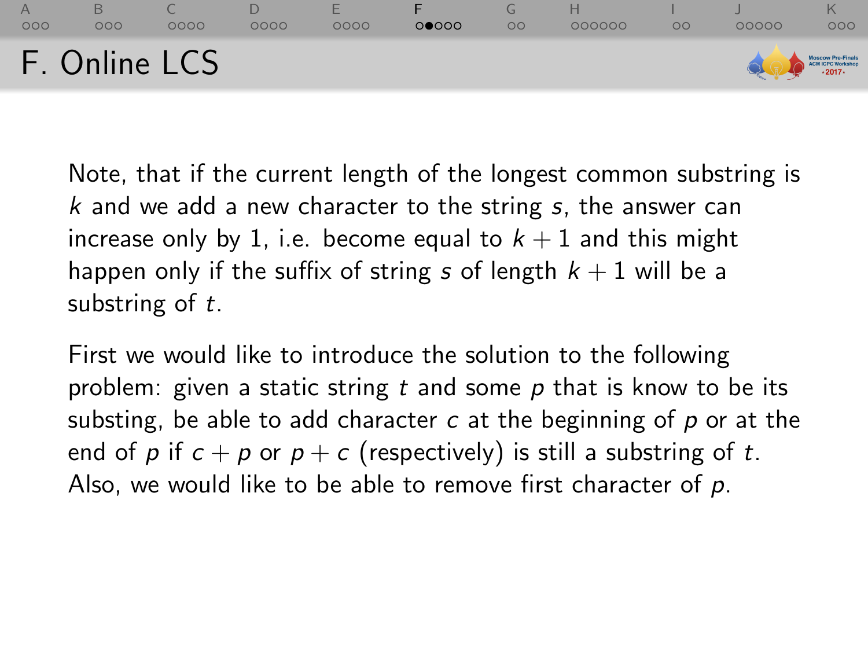

Note, that if the current length of the longest common substring is  $k$  and we add a new character to the string  $s$ , the answer can increase only by 1, i.e. become equal to  $k + 1$  and this might happen only if the suffix of string s of length  $k + 1$  will be a substring of t.

First we would like to introduce the solution to the following problem: given a static string t and some  $p$  that is know to be its substing, be able to add character  $c$  at the beginning of  $p$  or at the end of p if  $c + p$  or  $p + c$  (respectively) is still a substring of t. Also, we would like to be able to remove first character of  $p$ .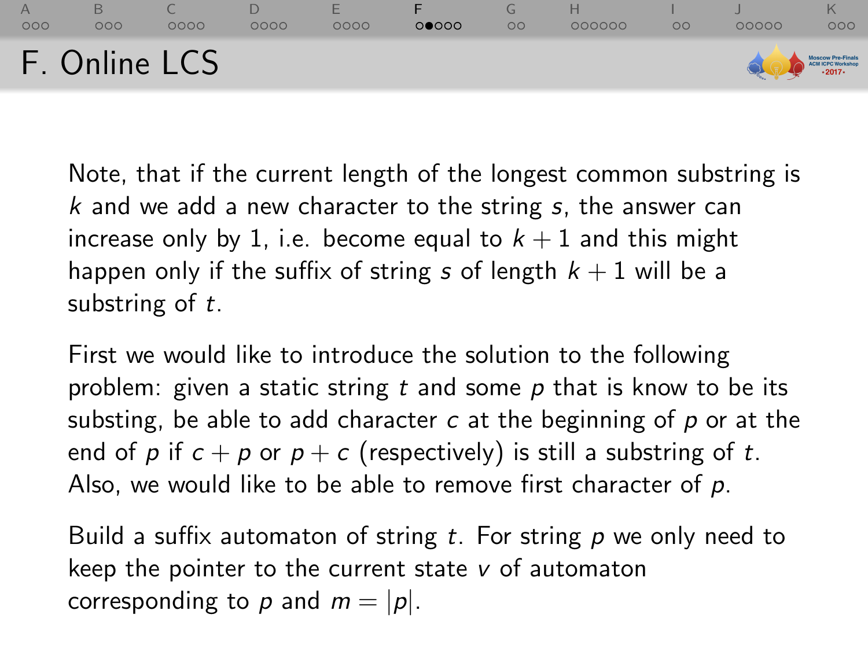| 000 | $\circ \circ \circ$ | 0000          | 0000 | 0000 | 00000 | $\circ$ | 000000 | OΟ | nnnnn | 000                                   |
|-----|---------------------|---------------|------|------|-------|---------|--------|----|-------|---------------------------------------|
|     |                     | F. Online LCS |      |      |       |         |        |    |       | Moscow Pre-Finals<br>ACHICPC Workshop |

Note, that if the current length of the longest common substring is  $k$  and we add a new character to the string  $s$ , the answer can increase only by 1, i.e. become equal to  $k + 1$  and this might happen only if the suffix of string s of length  $k + 1$  will be a substring of t.

First we would like to introduce the solution to the following problem: given a static string t and some  $p$  that is know to be its substing, be able to add character  $c$  at the beginning of  $p$  or at the end of p if  $c + p$  or  $p + c$  (respectively) is still a substring of t. Also, we would like to be able to remove first character of  $p$ .

Build a suffix automaton of string  $t$ . For string  $p$  we only need to keep the pointer to the current state  $\nu$  of automaton corresponding to p and  $m = |p|$ .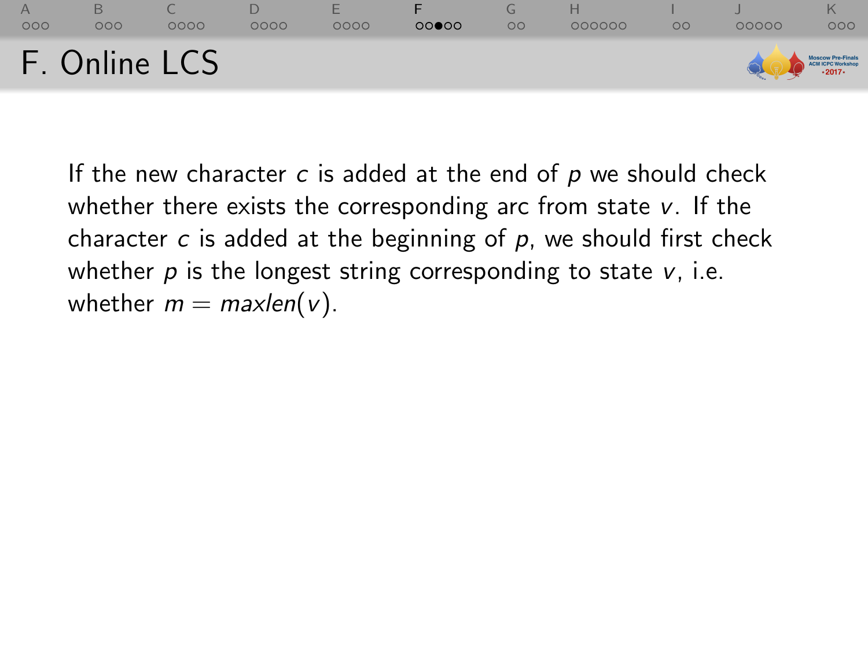

If the new character  $c$  is added at the end of  $p$  we should check whether there exists the corresponding arc from state  $v$ . If the character  $c$  is added at the beginning of  $p$ , we should first check whether  $p$  is the longest string corresponding to state  $v$ , i.e. whether  $m = maxlen(v)$ .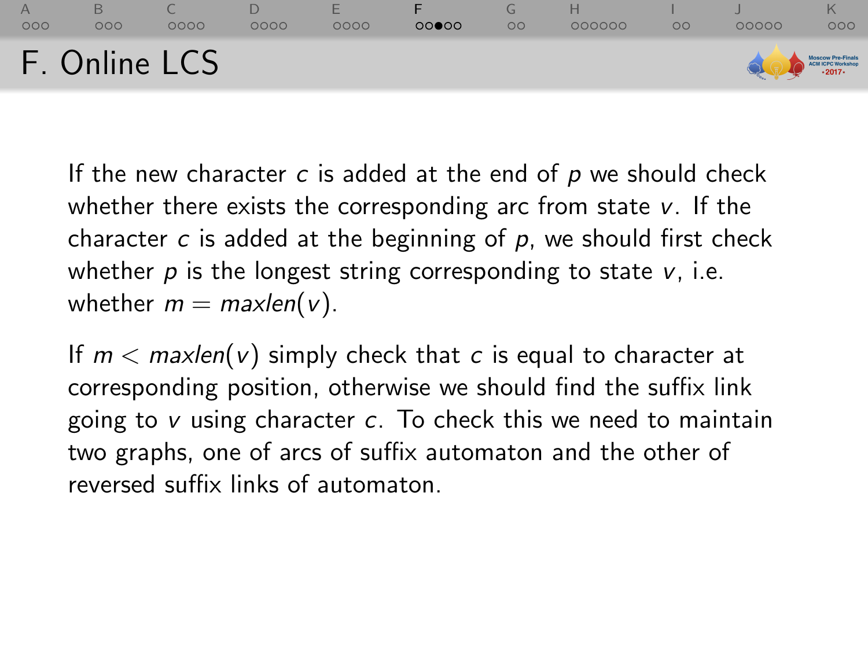### [A](#page-1-0) [B](#page-7-0) [C](#page-16-0) [D](#page-28-0) [E](#page-37-0) [F](#page-45-0) [G](#page-56-0) [H](#page-60-0) [I](#page-79-0) [J](#page-82-0) [K](#page-88-0)  $0000$  $0000$  $00000$  $000000$  $\Omega$  $000$ F. Online LCS CM ICPC Worksho

If the new character  $c$  is added at the end of  $p$  we should check whether there exists the corresponding arc from state  $v$ . If the character  $c$  is added at the beginning of  $p$ , we should first check whether  $p$  is the longest string corresponding to state  $v$ , i.e. whether  $m = maxlen(v)$ .

If  $m <$  maxlen(v) simply check that c is equal to character at corresponding position, otherwise we should find the suffix link going to  $v$  using character  $c$ . To check this we need to maintain two graphs, one of arcs of suffix automaton and the other of reversed suffix links of automaton.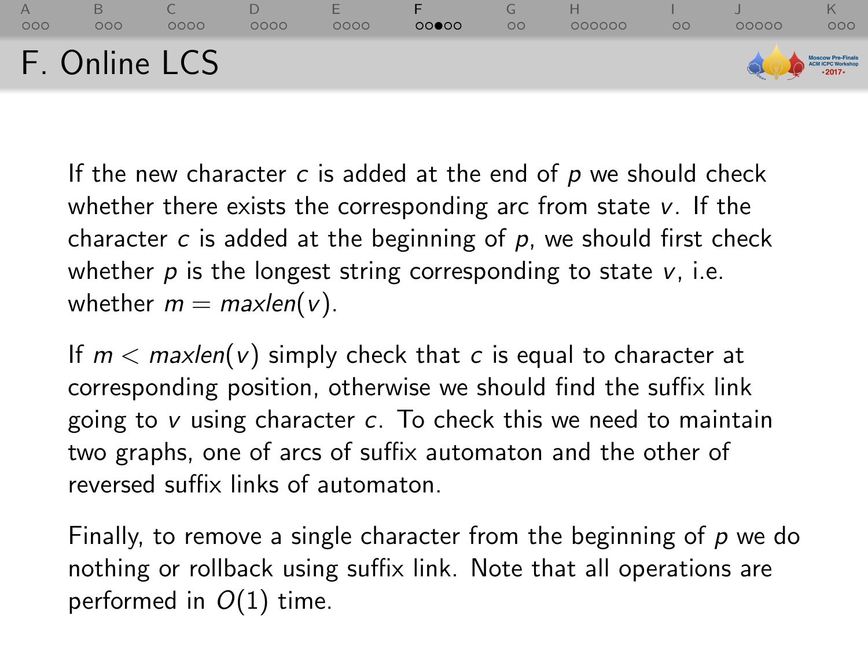#### [A](#page-1-0) [B](#page-7-0) [C](#page-16-0) [D](#page-28-0) [E](#page-37-0) [F](#page-45-0) [G](#page-56-0) [H](#page-60-0) [I](#page-79-0) [J](#page-82-0) [K](#page-88-0)  $0000$  $0000$  $00000$  $000000$  $\Omega$ OOOOC  $000$ F. Online LCS **38 ICPC Workshe**

If the new character  $c$  is added at the end of  $p$  we should check whether there exists the corresponding arc from state  $v$ . If the character  $c$  is added at the beginning of  $p$ , we should first check whether  $p$  is the longest string corresponding to state  $v$ , i.e. whether  $m = maxlen(v)$ .

If  $m <$  maxlen(v) simply check that c is equal to character at corresponding position, otherwise we should find the suffix link going to  $v$  using character  $c$ . To check this we need to maintain two graphs, one of arcs of suffix automaton and the other of reversed suffix links of automaton.

Finally, to remove a single character from the beginning of  $p$  we do nothing or rollback using suffix link. Note that all operations are performed in  $O(1)$  time.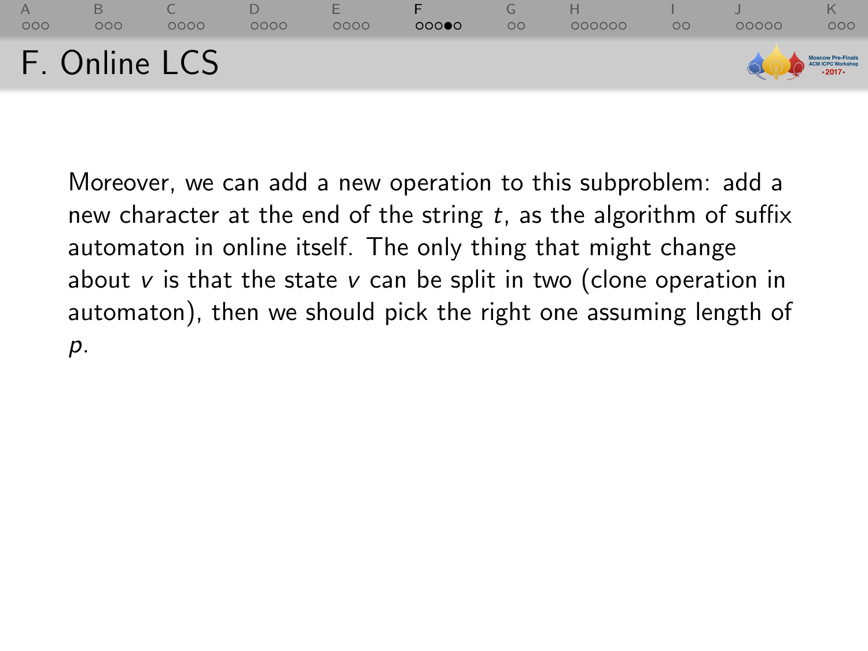

Moreover, we can add a new operation to this subproblem: add a new character at the end of the string  $t$ , as the algorithm of suffix automaton in online itself. The only thing that might change about  $v$  is that the state  $v$  can be split in two (clone operation in automaton), then we should pick the right one assuming length of p.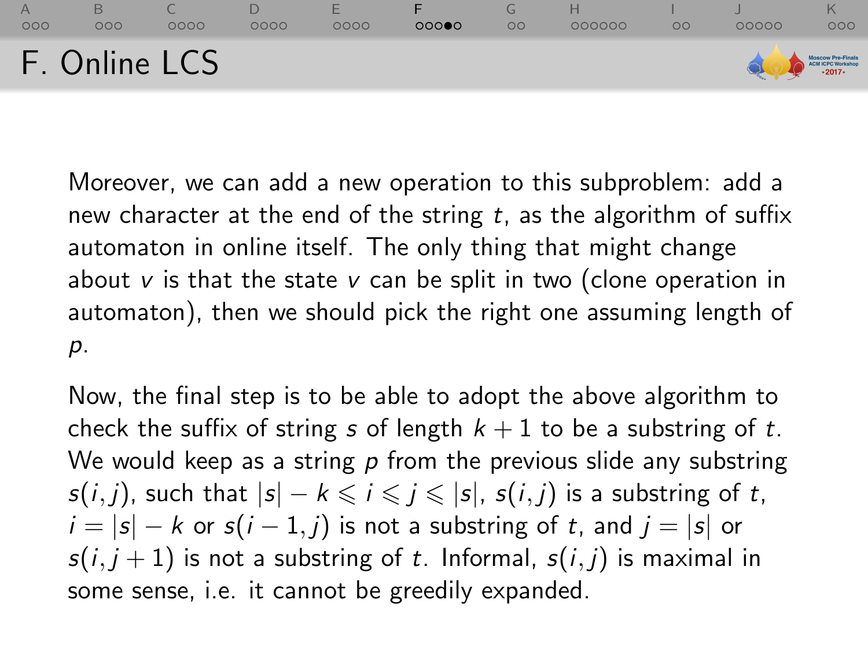

Moreover, we can add a new operation to this subproblem: add a new character at the end of the string  $t$ , as the algorithm of suffix automaton in online itself. The only thing that might change about  $v$  is that the state  $v$  can be split in two (clone operation in automaton), then we should pick the right one assuming length of p.

Now, the final step is to be able to adopt the above algorithm to check the suffix of string s of length  $k + 1$  to be a substring of t. We would keep as a string  $p$  from the previous slide any substring  $s(i, j)$ , such that  $|s| - k \leq i \leq j \leq |s|$ ,  $s(i, j)$  is a substring of t,  $i = |s| - k$  or  $s(i - 1, j)$  is not a substring of t, and  $j = |s|$  or  $s(i, j + 1)$  is not a substring of t. Informal,  $s(i, j)$  is maximal in some sense, i.e. it cannot be greedily expanded.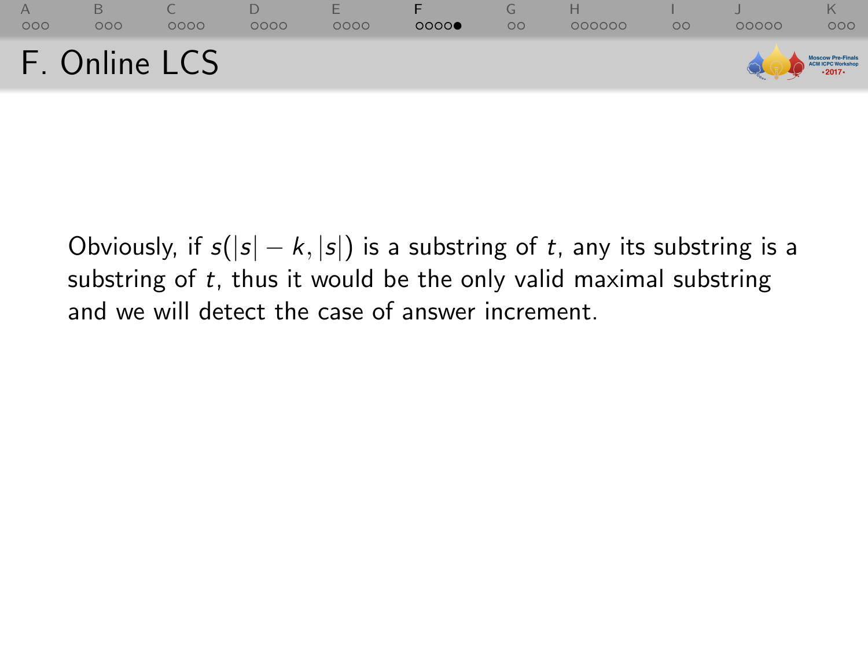| 000 | 000 | 0000          | 0000 | æ<br>0000 | 0000 | $\circ$ | 000000 | OΟ | 00000                                   | 000 |
|-----|-----|---------------|------|-----------|------|---------|--------|----|-----------------------------------------|-----|
|     |     | F. Online LCS |      |           |      |         |        |    | Moscow Pro-Finals<br>Call LCPC Workshop |     |

Obviously, if  $s(|s| - k, |s|)$  is a substring of t, any its substring is a substring of  $t$ , thus it would be the only valid maximal substring and we will detect the case of answer increment.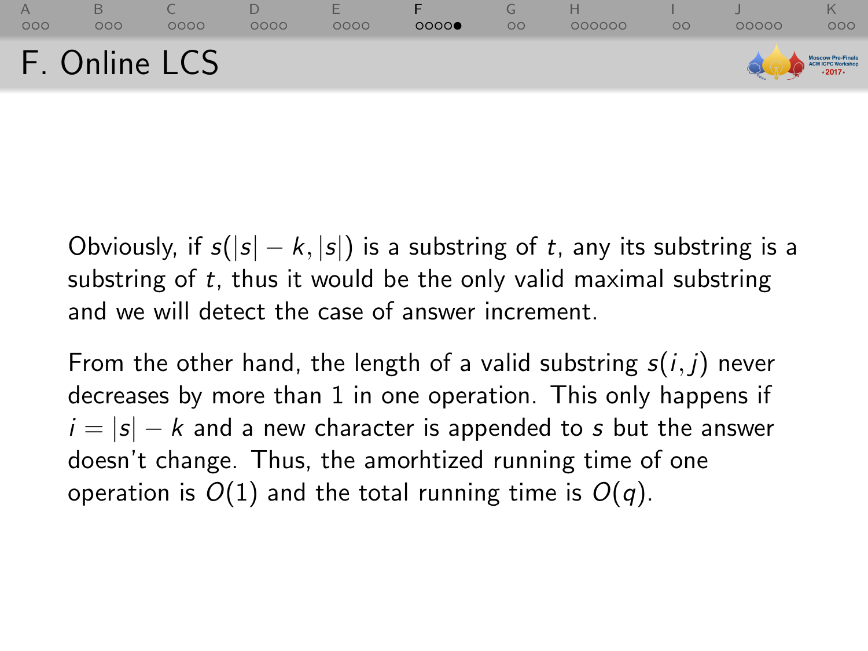| 000 | 000 | 0000          | 0000 | E<br>0000 | 0000 | $\circ$ | 000000 | OΟ | 00000             | റററ |
|-----|-----|---------------|------|-----------|------|---------|--------|----|-------------------|-----|
|     |     | F. Online LCS |      |           |      |         |        |    | MOSCOW Pre-Finals |     |

Obviously, if  $s(|s| - k, |s|)$  is a substring of t, any its substring is a substring of t, thus it would be the only valid maximal substring and we will detect the case of answer increment.

From the other hand, the length of a valid substring  $s(i, j)$  never decreases by more than 1 in one operation. This only happens if  $i = |s| - k$  and a new character is appended to s but the answer doesn't change. Thus, the amorhtized running time of one operation is  $O(1)$  and the total running time is  $O(q)$ .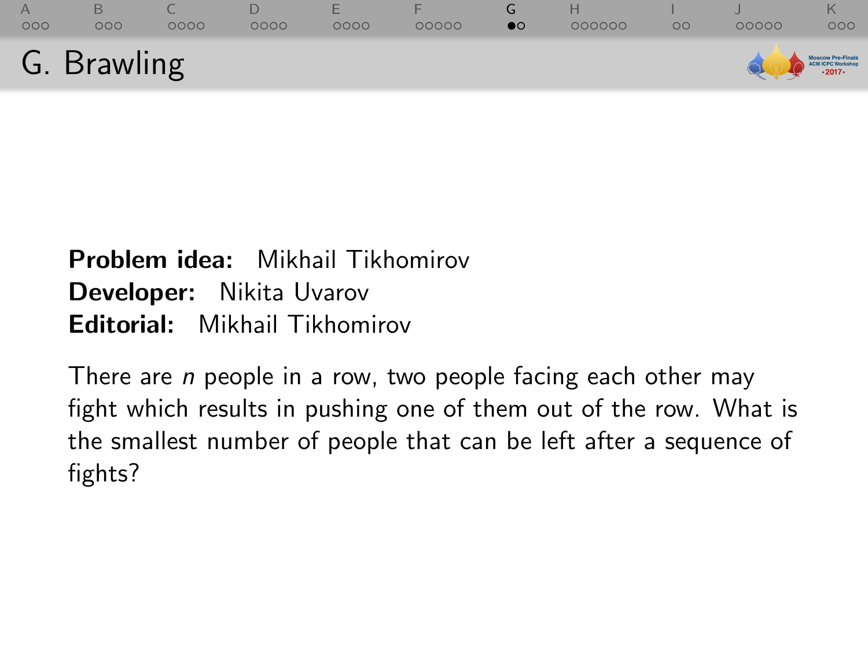<span id="page-56-0"></span>

|                 | G. Brawling |      |      |                  |       |           |        |         | MOSCOW Pro-Finals |     |
|-----------------|-------------|------|------|------------------|-------|-----------|--------|---------|-------------------|-----|
| $\Delta$<br>000 | 000         | 0000 | 0000 | <b>1</b><br>0000 | 00000 | $\bullet$ | 000000 | $\circ$ | 00000             | 000 |

# Problem idea: Mikhail Tikhomirov Developer: Nikita Uvarov Editorial: Mikhail Tikhomirov

There are *n* people in a row, two people facing each other may fight which results in pushing one of them out of the row. What is the smallest number of people that can be left after a sequence of fights?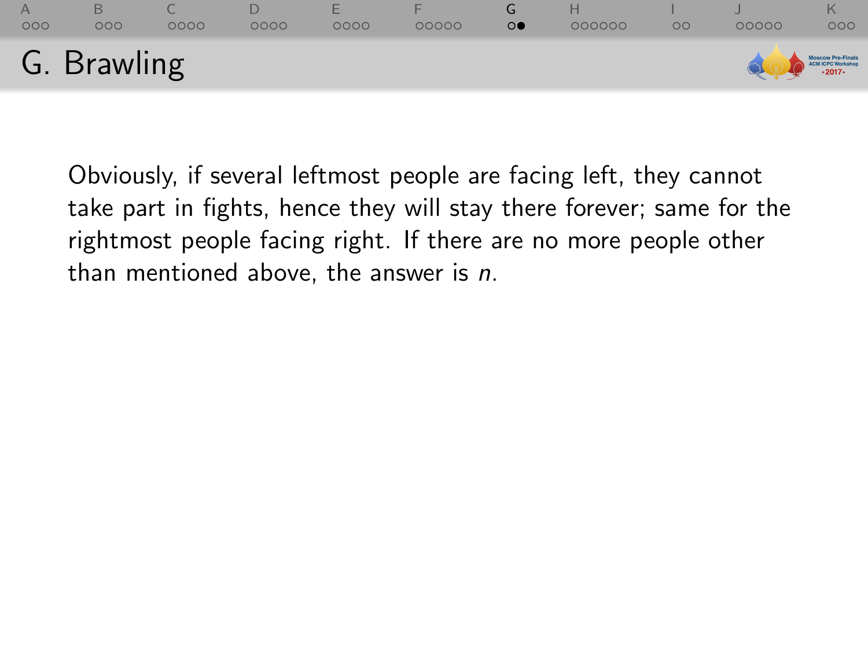|     | G. Brawling         |      |      |      |       |         |        |         |       | Moscow Pre-Finals<br>ACN ICPC Workshop<br>- 2017- |
|-----|---------------------|------|------|------|-------|---------|--------|---------|-------|---------------------------------------------------|
| 000 | $\circ \circ \circ$ | 0000 | 0000 | 0000 | 00000 | $\circ$ | 000000 | $\circ$ | 00000 | 000                                               |

Obviously, if several leftmost people are facing left, they cannot take part in fights, hence they will stay there forever; same for the rightmost people facing right. If there are no more people other than mentioned above, the answer is  $n$ .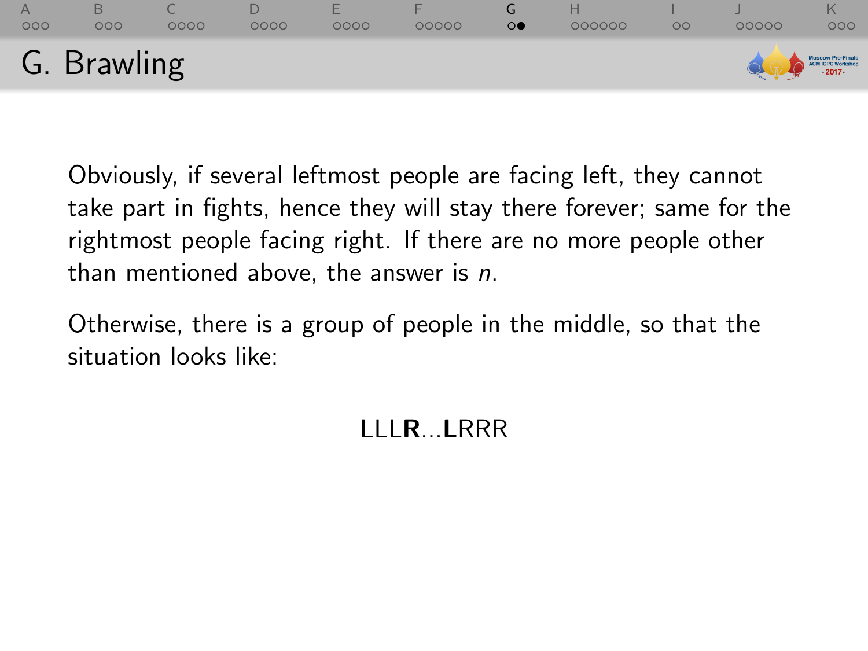|     | G. Brawling         |      |      |      |       |         |        |         |       | Moscow Pre-Finals<br>ACN ICPC Workshop<br>- 2017 |
|-----|---------------------|------|------|------|-------|---------|--------|---------|-------|--------------------------------------------------|
| 000 | $\circ \circ \circ$ | 0000 | 0000 | 0000 | 00000 | $\circ$ | 000000 | $\circ$ | 00000 | 000                                              |

Obviously, if several leftmost people are facing left, they cannot take part in fights, hence they will stay there forever; same for the rightmost people facing right. If there are no more people other than mentioned above, the answer is  $n$ .

Otherwise, there is a group of people in the middle, so that the situation looks like:

# LLLR...LRRR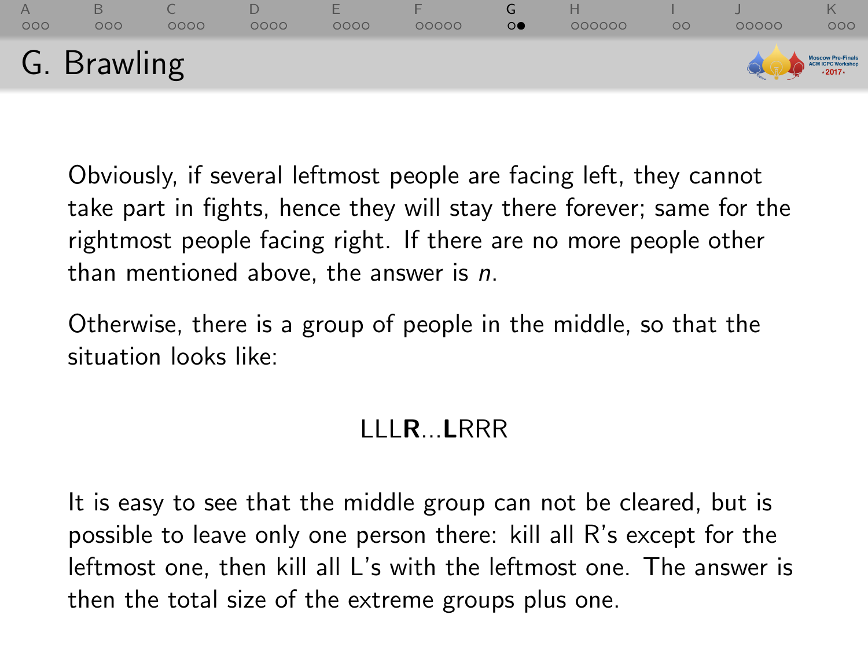|     | G. Brawling         |      |      |      |       |         |        |         |       | Moscow Pre-Finals<br>CALCHICPC Workshop<br>2017- |
|-----|---------------------|------|------|------|-------|---------|--------|---------|-------|--------------------------------------------------|
| 000 | $\circ \circ \circ$ | 0000 | 0000 | 0000 | 00000 | $\circ$ | 000000 | $\circ$ | 00000 | 000                                              |

Obviously, if several leftmost people are facing left, they cannot take part in fights, hence they will stay there forever; same for the rightmost people facing right. If there are no more people other than mentioned above, the answer is  $n$ .

Otherwise, there is a group of people in the middle, so that the situation looks like:

## LLLR...LRRR

It is easy to see that the middle group can not be cleared, but is possible to leave only one person there: kill all R's except for the leftmost one, then kill all L's with the leftmost one. The answer is then the total size of the extreme groups plus one.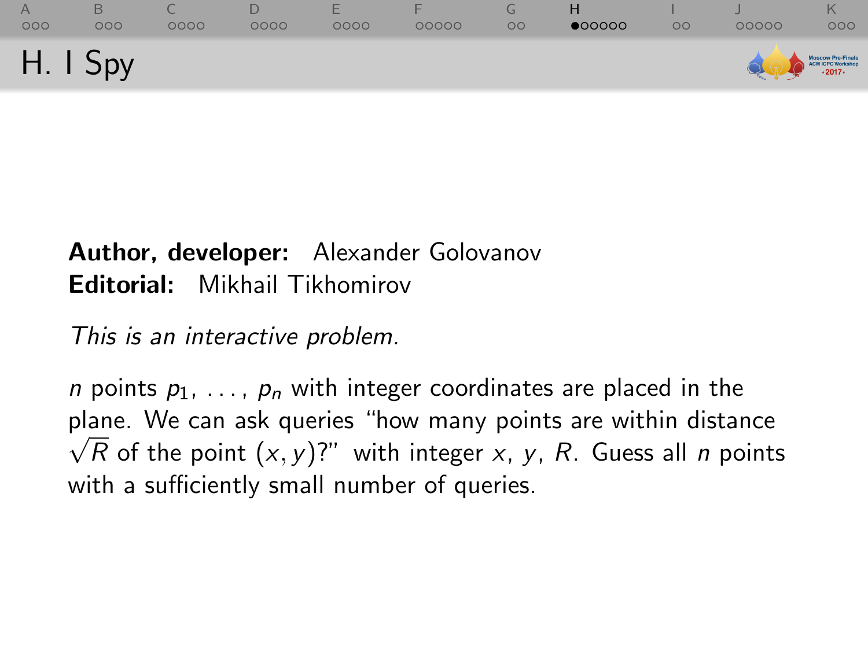<span id="page-60-0"></span>

| 000<br>H. I Spy | 000 | 0000 | 0000 | 0000 | 00000 | $\circ$ | $\bullet$ 00000 | $\circ$ | 00000<br>MOSCOW Pro-Finals | 000 |
|-----------------|-----|------|------|------|-------|---------|-----------------|---------|----------------------------|-----|
|                 |     |      |      |      |       |         |                 |         |                            |     |

### Author, developer: Alexander Golovanov Editorial: Mikhail Tikhomirov

This is an interactive problem.

*n* points  $p_1, \ldots, p_n$  with integer coordinates are placed in the plane. We can ask queries "how many points are within distance  $\sqrt{R}$  of the point  $(x, y)$ ?" with integer x, y, R. Guess all n points with a sufficiently small number of queries.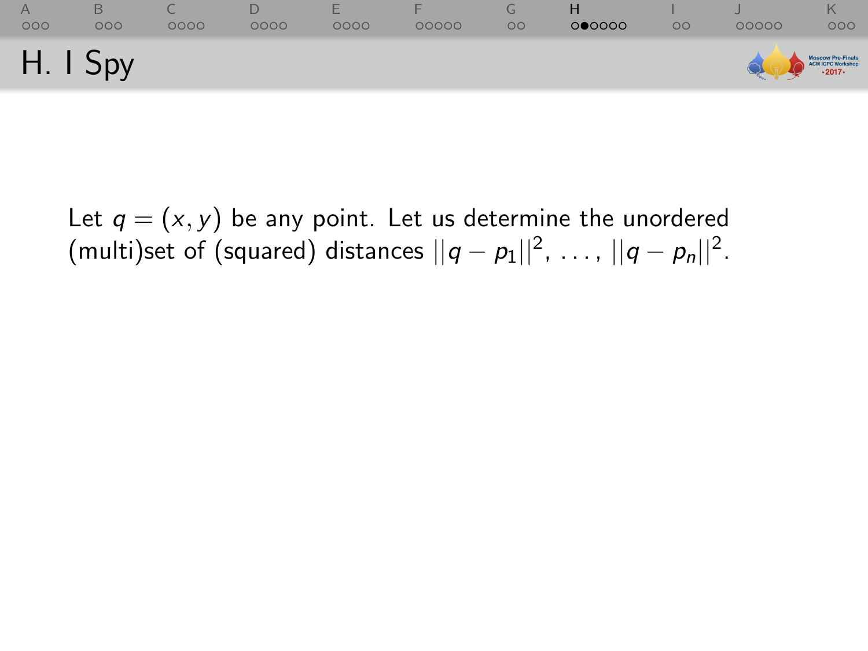| 000      | 000 | 0000 | 0000 | ⊢<br>0000 | 00000 | $\circ$ | 000000 | $\circ$ | 00000 | 000                                            |
|----------|-----|------|------|-----------|-------|---------|--------|---------|-------|------------------------------------------------|
| H. I Spy |     |      |      |           |       |         |        |         |       | Moscow Pro-Finals<br>CHI CPC Workshop<br>2017- |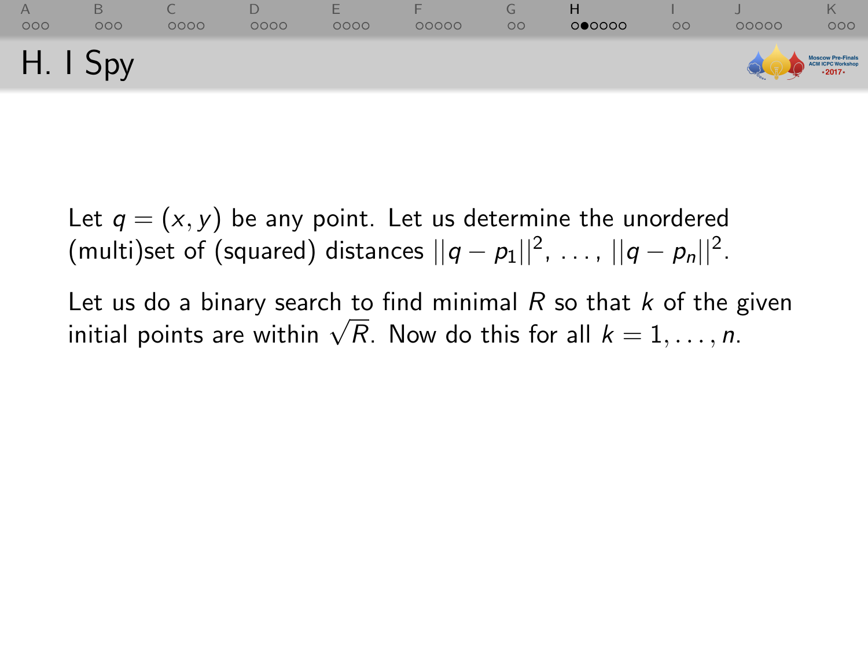| 000      | 000 | 0000 | 0000 | 0000 | 00000 | $\circ$ | 000000 | $\circ$ | 00000 | 000                                              |
|----------|-----|------|------|------|-------|---------|--------|---------|-------|--------------------------------------------------|
| H. I Spy |     |      |      |      |       |         |        |         |       | Moscow Pre-Finals<br>ACN ICPC Workshop<br>- 2017 |

Let us do a binary search to find minimal  $R$  so that  $k$  of the given Let us do a binary search to find minimal R so that k of the  $\chi$ <br>initial points are within  $\sqrt{R}$ . Now do this for all  $k = 1, \ldots, n$ .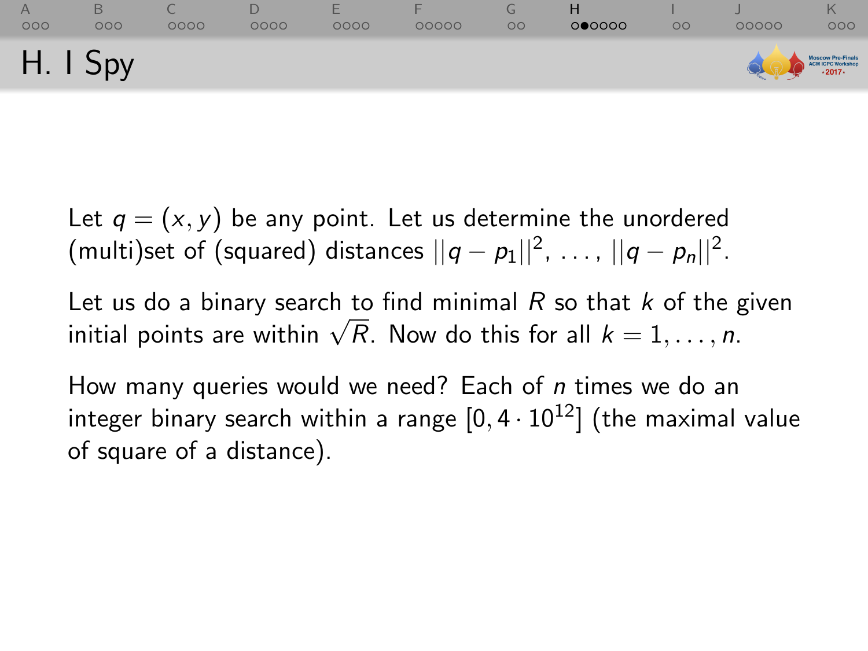| 000      | 000 | 0000 | 0000 | ⊢<br>0000 | 00000 | $\circ$ | 000000 | $\circ$ | 00000             | 000 |
|----------|-----|------|------|-----------|-------|---------|--------|---------|-------------------|-----|
| H. I Spy |     |      |      |           |       |         |        |         | Moscow Pre-Finals |     |

Let us do a binary search to find minimal  $R$  so that  $k$  of the given Let us do a binary search to find minimal R so that k of the  $\chi$ <br>initial points are within  $\sqrt{R}$ . Now do this for all  $k = 1, \ldots, n$ .

How many queries would we need? Each of *n* times we do an integer binary search within a range  $[0, 4 \cdot 10^{12}]$  (the maximal value of square of a distance).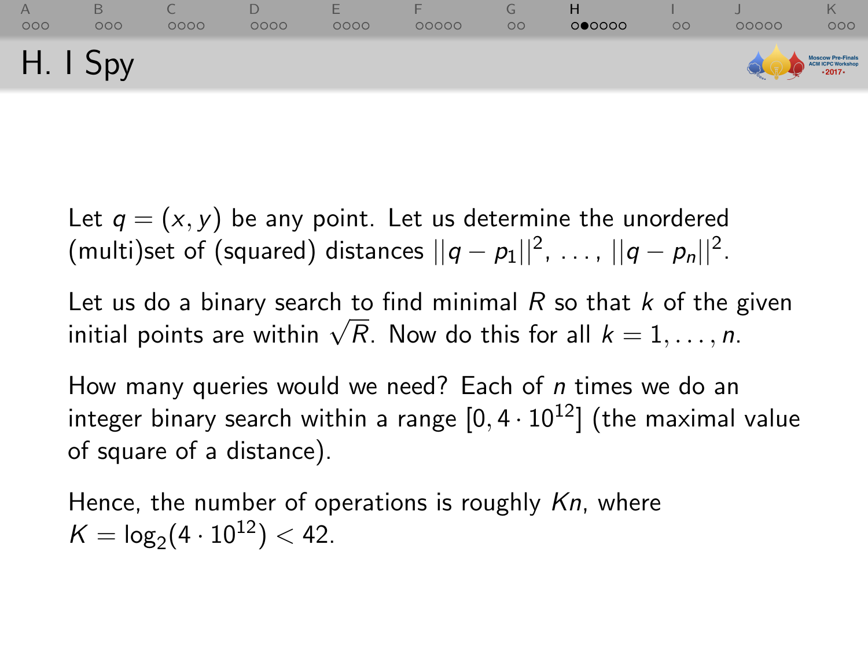| 000      | 000 | 0000 | 0000 | -<br>0000 | 00000 | $\circ$ | 000000 | $\circ$ | 00000 | 000                                              |
|----------|-----|------|------|-----------|-------|---------|--------|---------|-------|--------------------------------------------------|
| H. I Spy |     |      |      |           |       |         |        |         |       | Moscow Pre-Finals<br>ACN ICPC Workshop<br>-2017- |

Let us do a binary search to find minimal  $R$  so that  $k$  of the given Let us do a binary search to find minimal R so that k of the  $\chi$ <br>initial points are within  $\sqrt{R}$ . Now do this for all  $k = 1, \ldots, n$ .

How many queries would we need? Each of *n* times we do an integer binary search within a range  $[0, 4 \cdot 10^{12}]$  (the maximal value of square of a distance).

Hence, the number of operations is roughly Kn, where  $K = \log_2(4 \cdot 10^{12}) < 42.$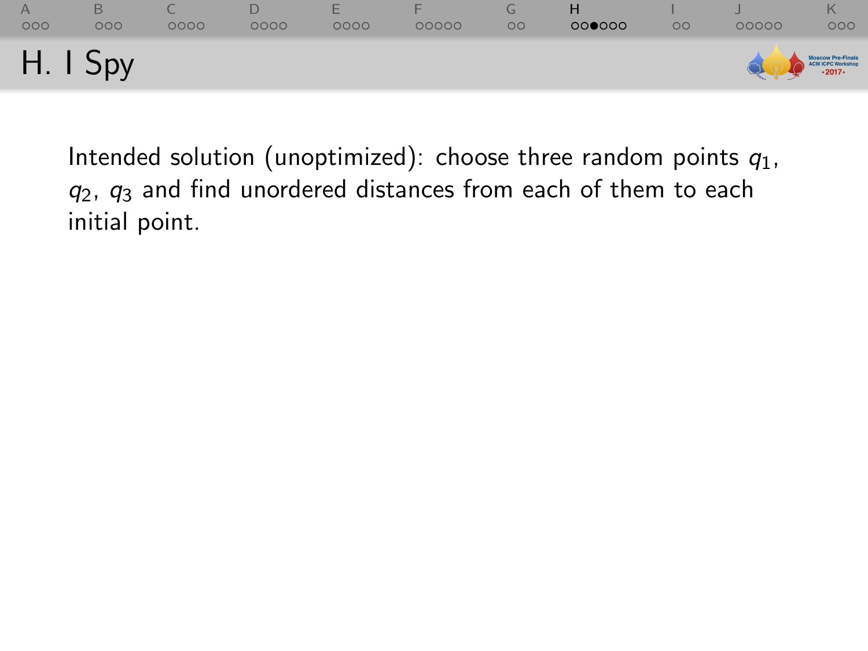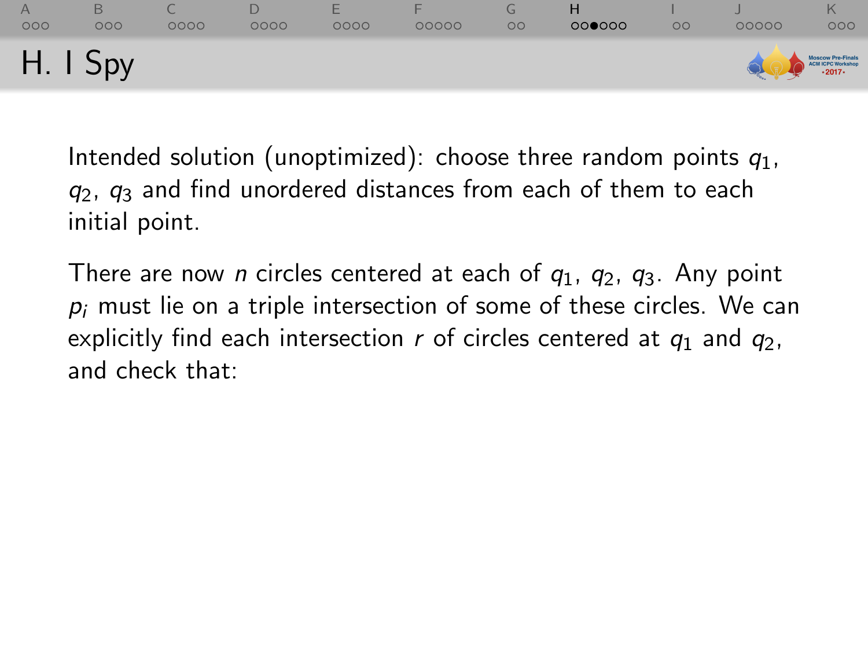| 000        | 000 | 0000 | 0000 | ⊢<br>0000 | 00000 | $\circ$ | 000000 | OO | 00000 | ĸ<br>000                                          |
|------------|-----|------|------|-----------|-------|---------|--------|----|-------|---------------------------------------------------|
| $H.$ I Spy |     |      |      |           |       |         |        |    |       | Moscow Pre-Finals<br>ACN ICPC Workshop<br>- 2017- |

There are now *n* circles centered at each of  $q_1$ ,  $q_2$ ,  $q_3$ . Any point  $p_i$  must lie on a triple intersection of some of these circles. We can explicitly find each intersection r of circles centered at  $q_1$  and  $q_2$ , and check that: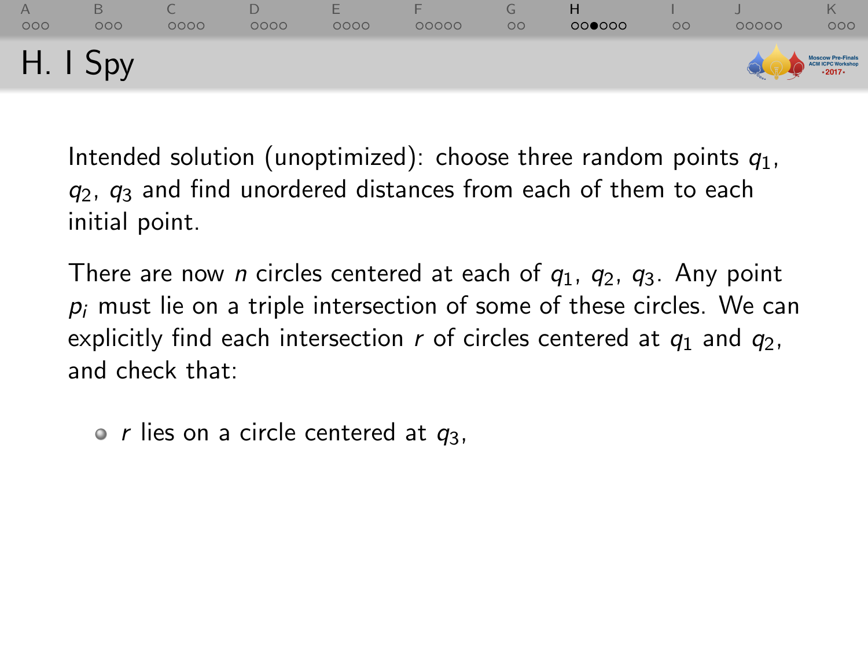| 000        | 000 | 0000 | 0000 | ⊢<br>0000 | 00000 | $\circ$ | 000000 | OO | 00000 | ĸ<br>000                                          |
|------------|-----|------|------|-----------|-------|---------|--------|----|-------|---------------------------------------------------|
| $H.$ I Spy |     |      |      |           |       |         |        |    |       | Moscow Pre-Finals<br>ACN ICPC Workshop<br>- 2017- |

There are now *n* circles centered at each of  $q_1$ ,  $q_2$ ,  $q_3$ . Any point  $p_i$  must lie on a triple intersection of some of these circles. We can explicitly find each intersection r of circles centered at  $q_1$  and  $q_2$ , and check that:

 $\circ$  r lies on a circle centered at  $q_3$ ,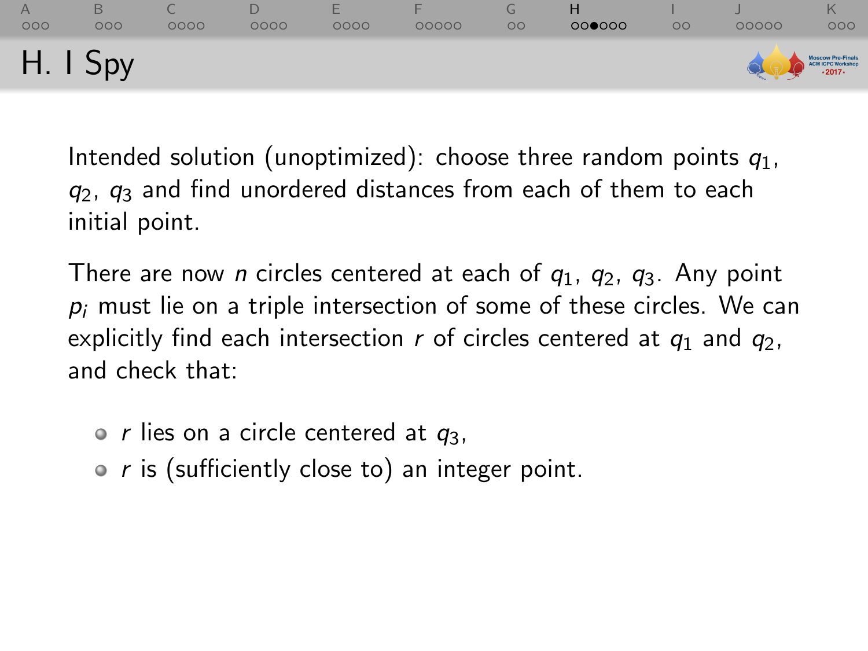| 000      | 000 | 0000 | 0000 | 0000 | 00000 | $\circ$ | 000000 | $\circ$ | 00000 | 000                                    |
|----------|-----|------|------|------|-------|---------|--------|---------|-------|----------------------------------------|
| H. I Spy |     |      |      |      |       |         |        |         |       | Moscow Pre-Finals<br>ACN ICPC Workshop |

There are now *n* circles centered at each of  $q_1$ ,  $q_2$ ,  $q_3$ . Any point  $p_i$  must lie on a triple intersection of some of these circles. We can explicitly find each intersection r of circles centered at  $q_1$  and  $q_2$ , and check that:

 $\circ$  r lies on a circle centered at  $q_3$ ,

•  $r$  is (sufficiently close to) an integer point.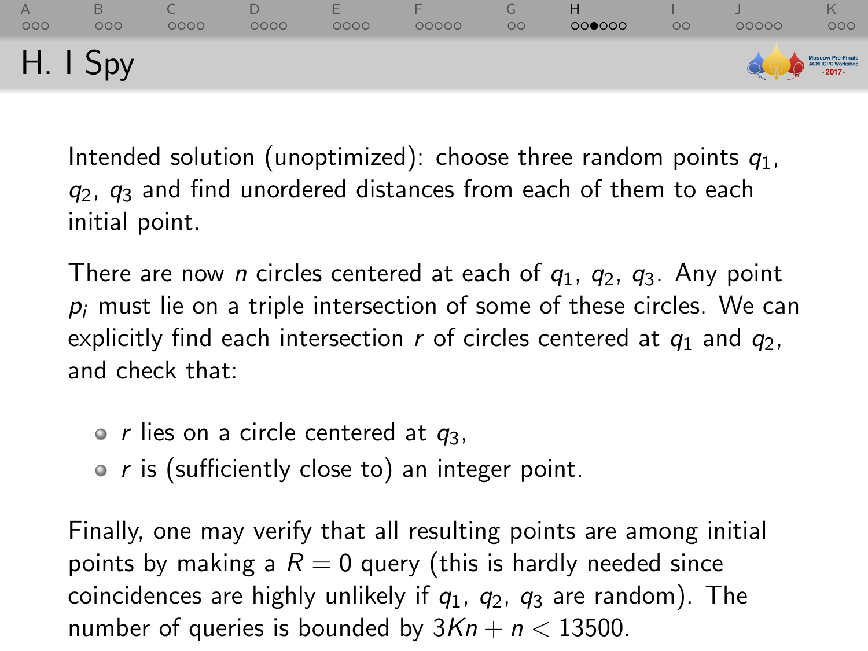| 000        | 000 | 0000 | 0000 | ⊢<br>0000 | 00000 | $\circ$ | 000000 | OO | 00000 | ĸ<br>000                                          |
|------------|-----|------|------|-----------|-------|---------|--------|----|-------|---------------------------------------------------|
| $H.$ I Spy |     |      |      |           |       |         |        |    |       | Moscow Pre-Finals<br>ACN ICPC Workshop<br>- 2017- |

There are now *n* circles centered at each of  $q_1$ ,  $q_2$ ,  $q_3$ . Any point  $p_i$  must lie on a triple intersection of some of these circles. We can explicitly find each intersection r of circles centered at  $q_1$  and  $q_2$ , and check that:

 $\circ$  r lies on a circle centered at  $q_3$ ,

•  $r$  is (sufficiently close to) an integer point.

Finally, one may verify that all resulting points are among initial points by making a  $R = 0$  query (this is hardly needed since coincidences are highly unlikely if  $q_1$ ,  $q_2$ ,  $q_3$  are random). The number of queries is bounded by  $3Kn + n < 13500$ .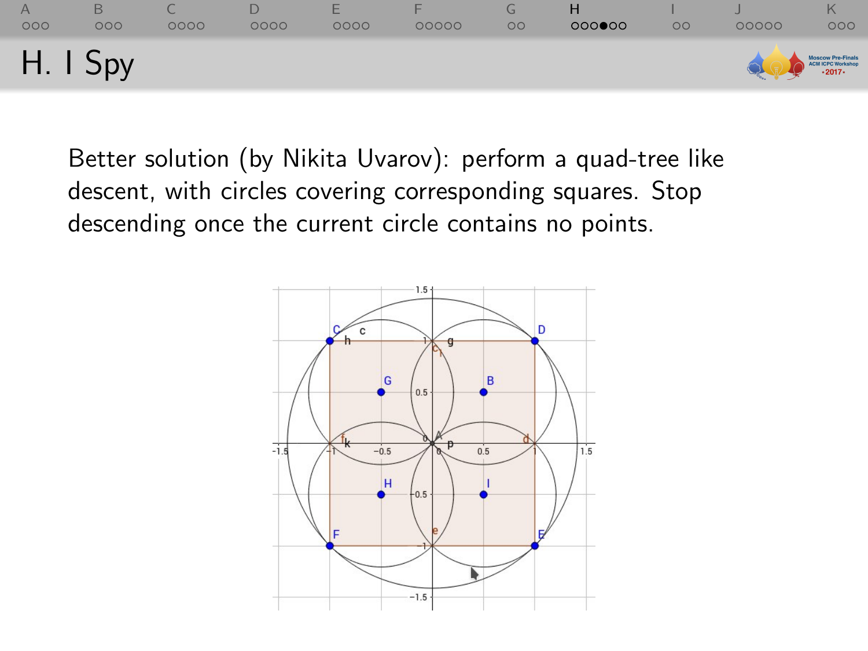| 000        | 000 | 0000 | 0000 | ⊢<br>0000 | 00000 | $\mathbf{G}$<br>$\circ$ | 000000 | $\circ$ | 00000 | 000                                 |
|------------|-----|------|------|-----------|-------|-------------------------|--------|---------|-------|-------------------------------------|
| $H.$ I Spy |     |      |      |           |       |                         |        |         |       | Moscow Pre-Finals<br>CHICPC Workhop |

Better solution (by Nikita Uvarov): perform a quad-tree like descent, with circles covering corresponding squares. Stop descending once the current circle contains no points.

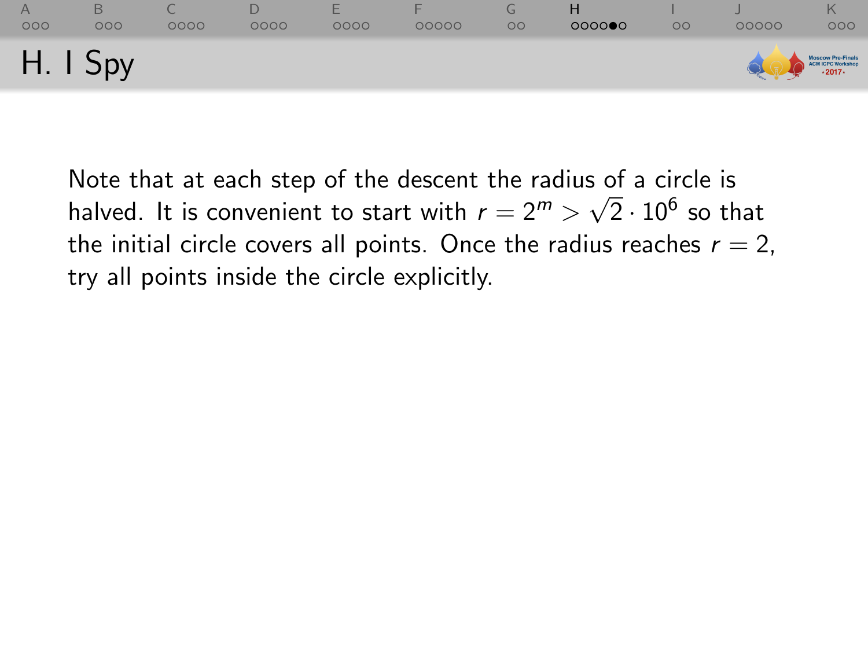| 000        | 000 | 0000 | 0000 | ⊢<br>0000 | 00000 | L.<br>$\circ$ | 000000 | $\circ$ | 00000 | 000                                              |
|------------|-----|------|------|-----------|-------|---------------|--------|---------|-------|--------------------------------------------------|
| $H.$ I Spy |     |      |      |           |       |               |        |         |       | Moscow Pre-Finals<br>ACN ICPC Workshop<br>-2017- |

Note that at each step of the descent the radius of a circle is Note that at each step of the descent the radius of a circle is<br>halved. It is convenient to start with  $r = 2^m > \sqrt{2} \cdot 10^6$  so that the initial circle covers all points. Once the radius reaches  $r = 2$ , try all points inside the circle explicitly.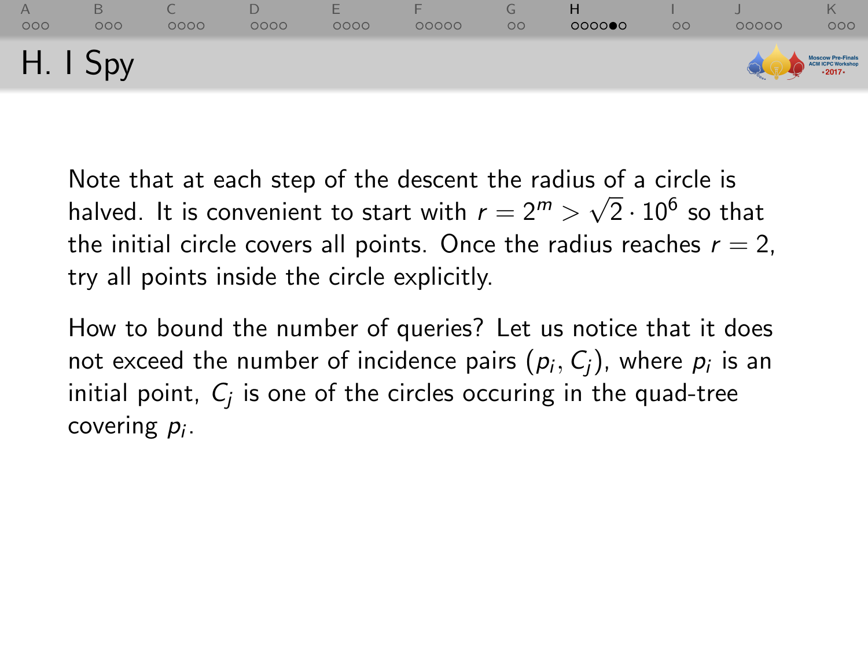| 000        | 000 | 0000 | 0000 | ⊢<br>0000 | 00000 | L٦<br>$\circ$ | 000000 | $\circ$ | 00000 | 000                                              |
|------------|-----|------|------|-----------|-------|---------------|--------|---------|-------|--------------------------------------------------|
| $H.$ I Spy |     |      |      |           |       |               |        |         |       | Moscow Pre-Finals<br>ACN ICPC Workshop<br>-2017- |

Note that at each step of the descent the radius of a circle is halved. It is convenient to start with  $r=2^m>\sqrt{2}\cdot 10^6$  so that the initial circle covers all points. Once the radius reaches  $r = 2$ , try all points inside the circle explicitly.

How to bound the number of queries? Let us notice that it does not exceed the number of incidence pairs  $(\rho_i, \mathcal{C}_j)$ , where  $\rho_i$  is an initial point,  $\mathit{C}_{j}$  is one of the circles occuring in the quad-tree covering  $p_i$ .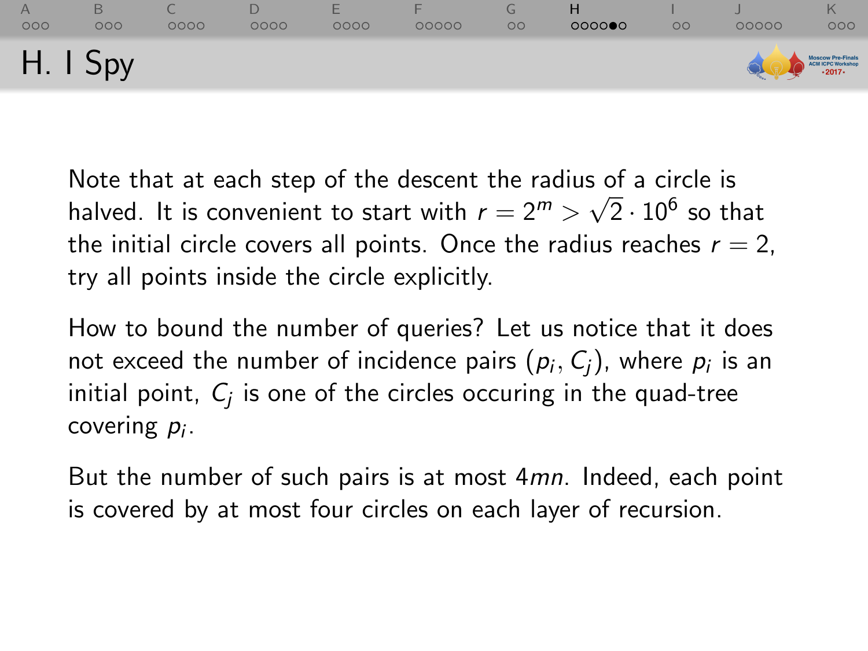| 000        | 000 | 0000 | 0000 | ⊢<br>0000 | 00000 | L٦<br>$\circ$ | 000000 | $\circ$ | 00000 | 000                                              |
|------------|-----|------|------|-----------|-------|---------------|--------|---------|-------|--------------------------------------------------|
| $H.$ I Spy |     |      |      |           |       |               |        |         |       | Moscow Pre-Finals<br>ACN ICPC Workshop<br>-2017- |

Note that at each step of the descent the radius of a circle is halved. It is convenient to start with  $r=2^m>\sqrt{2}\cdot 10^6$  so that the initial circle covers all points. Once the radius reaches  $r = 2$ , try all points inside the circle explicitly.

How to bound the number of queries? Let us notice that it does not exceed the number of incidence pairs  $(\rho_i, \mathcal{C}_j)$ , where  $\rho_i$  is an initial point,  $\mathit{C}_{j}$  is one of the circles occuring in the quad-tree covering  $p_i$ .

But the number of such pairs is at most 4mn. Indeed, each point is covered by at most four circles on each layer of recursion.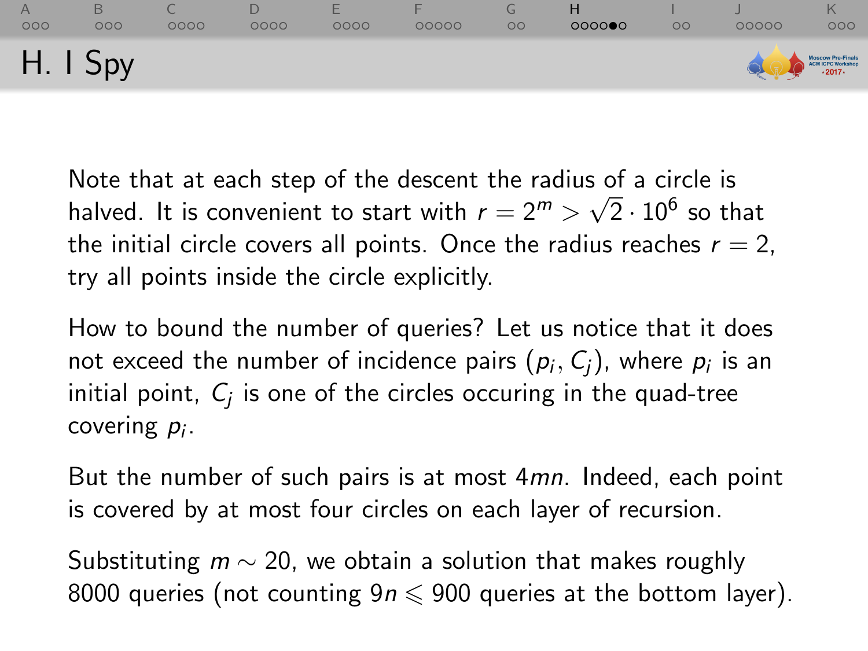| 000      | 000 | 0000 | 0000 | ⊢<br>0000 | 00000 | $\circ$ | 000000 | $\circ$ | 00000 | 000                                              |
|----------|-----|------|------|-----------|-------|---------|--------|---------|-------|--------------------------------------------------|
| H. I Spy |     |      |      |           |       |         |        |         |       | Moscow Pre-Finals<br>ACN ICPC Workshop<br>-2017- |

Note that at each step of the descent the radius of a circle is Note that at each step of the descent the radius of a circle is<br>halved. It is convenient to start with  $r = 2^m > \sqrt{2} \cdot 10^6$  so that the initial circle covers all points. Once the radius reaches  $r = 2$ , try all points inside the circle explicitly.

How to bound the number of queries? Let us notice that it does not exceed the number of incidence pairs  $(\rho_i, \mathcal{C}_j)$ , where  $\rho_i$  is an initial point,  $\mathit{C}_{j}$  is one of the circles occuring in the quad-tree covering  $p_i$ .

But the number of such pairs is at most 4mn. Indeed, each point is covered by at most four circles on each layer of recursion.

Substituting  $m \sim 20$ , we obtain a solution that makes roughly 8000 queries (not counting  $9n \le 900$  queries at the bottom layer).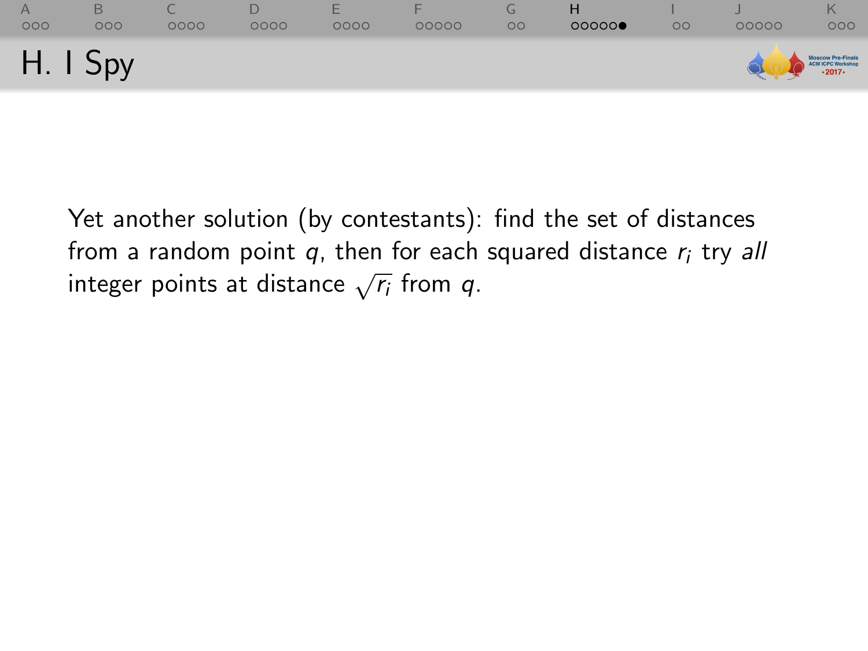| 000      | 000 | 0000 | 0000 | ⊢<br>0000 | 00000 | $\mathbf{G}$<br>$\circ$ | н<br>000000 | $\circ$ c | 00000 | 000                                              |
|----------|-----|------|------|-----------|-------|-------------------------|-------------|-----------|-------|--------------------------------------------------|
| H. I Spy |     |      |      |           |       |                         |             |           |       | Moscow Pre-Finals<br>ACN ICPC Workshop<br>-2017- |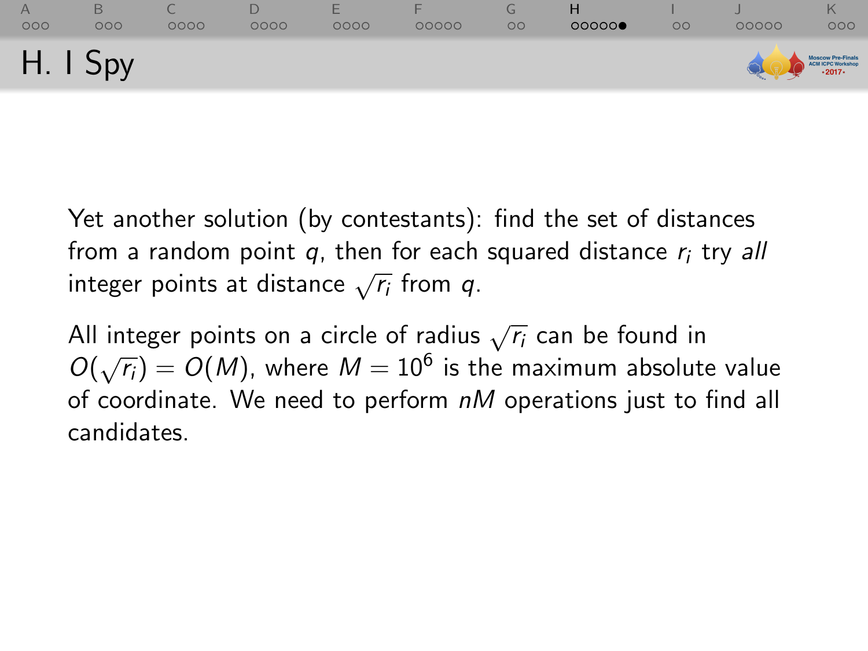| 000      | 000 | 0000 | 0000 | ⊢<br>0000 | 00000 | $\circ$ | 00000 | $\circ$ | 00000 | 000                                              |
|----------|-----|------|------|-----------|-------|---------|-------|---------|-------|--------------------------------------------------|
| H. I Spy |     |      |      |           |       |         |       |         |       | Moscow Pre-Finals<br>ACN ICPC Workshop<br>-2017- |

All integer points on a circle of radius  $\sqrt{r_i}$  can be found in  $O(\sqrt{r_i}) = O(M)$ , where  $M = 10^6$  is the maximum absolute value of coordinate. We need to perform  $nM$  operations just to find all candidates.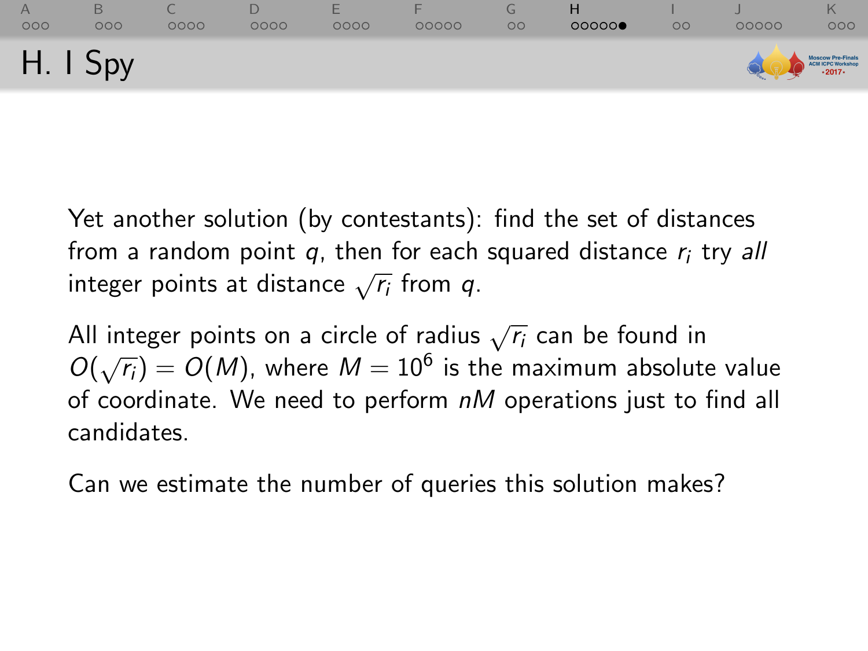| 000      | 000 | 0000 | 0000 | ⊢<br>0000 | 00000 | $\circ$ | 00000 | $\circ$ | 00000 | 000                                              |
|----------|-----|------|------|-----------|-------|---------|-------|---------|-------|--------------------------------------------------|
| H. I Spy |     |      |      |           |       |         |       |         |       | Moscow Pre-Finals<br>ACN ICPC Workshop<br>-2017- |

All integer points on a circle of radius  $\sqrt{r_i}$  can be found in  $O(\sqrt{r_i}) = O(M)$ , where  $M = 10^6$  is the maximum absolute value of coordinate. We need to perform  $nM$  operations just to find all candidates.

Can we estimate the number of queries this solution makes?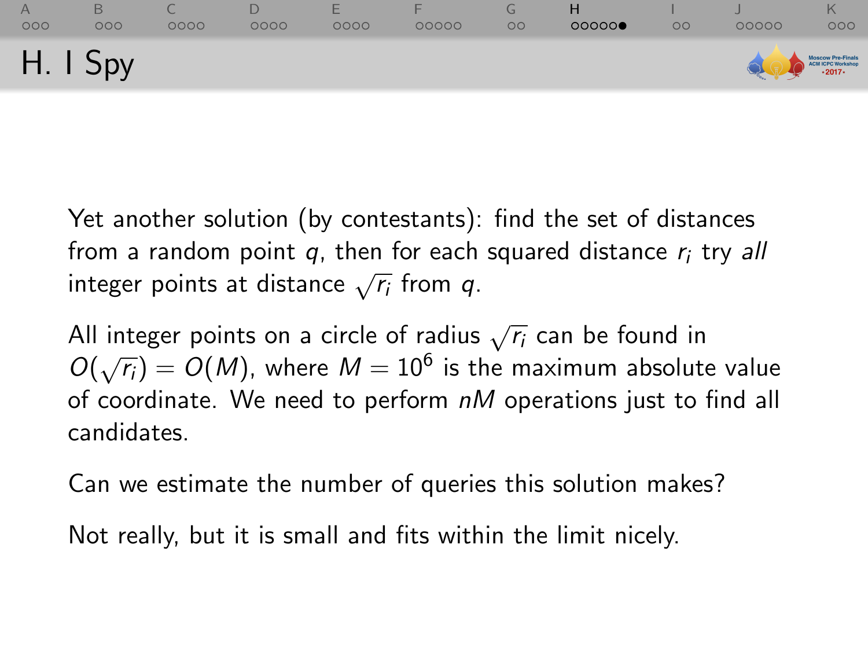| 000      | 000 | 0000 | 0000 | ⊢<br>0000 | 00000 | $\circ$ | 00000 | $\circ$ | 00000 | 000                                              |
|----------|-----|------|------|-----------|-------|---------|-------|---------|-------|--------------------------------------------------|
| H. I Spy |     |      |      |           |       |         |       |         |       | Moscow Pre-Finals<br>ACN ICPC Workshop<br>-2017- |

All integer points on a circle of radius  $\sqrt{r_i}$  can be found in  $O(\sqrt{r_i}) = O(M)$ , where  $M = 10^6$  is the maximum absolute value of coordinate. We need to perform  $nM$  operations just to find all candidates.

Can we estimate the number of queries this solution makes?

Not really, but it is small and fits within the limit nicely.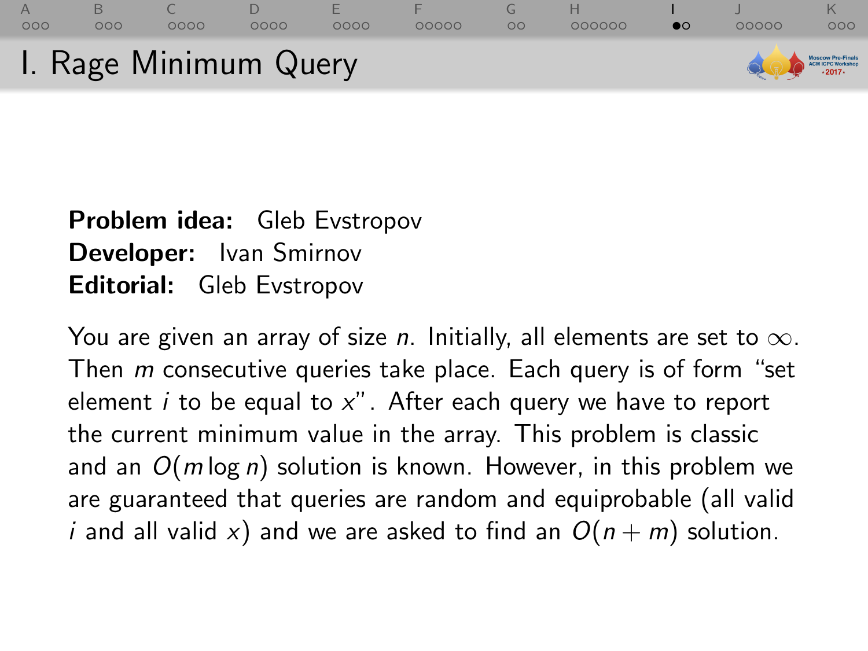<span id="page-79-0"></span>

## Problem idea: Gleb Evstropov Developer: Ivan Smirnov Editorial: Gleb Evstropov

You are given an array of size n. Initially, all elements are set to  $\infty$ . Then *m* consecutive queries take place. Each query is of form "set element  $i$  to be equal to  $x''$ . After each query we have to report the current minimum value in the array. This problem is classic and an  $O(m \log n)$  solution is known. However, in this problem we are guaranteed that queries are random and equiprobable (all valid *i* and all valid x) and we are asked to find an  $O(n + m)$  solution.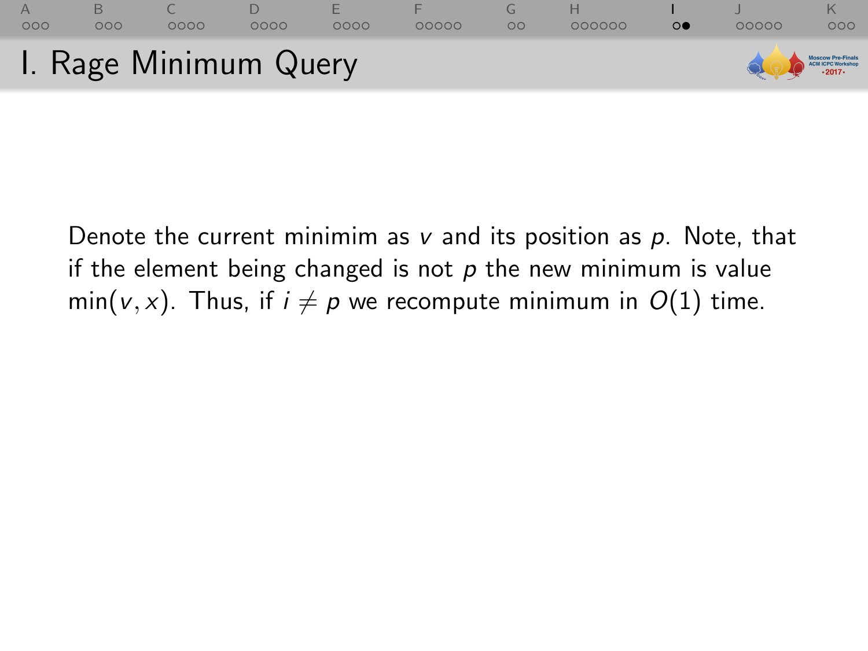

Denote the current minimim as  $v$  and its position as  $p$ . Note, that if the element being changed is not  $p$  the new minimum is value min(v, x). Thus, if  $i \neq p$  we recompute minimum in  $O(1)$  time.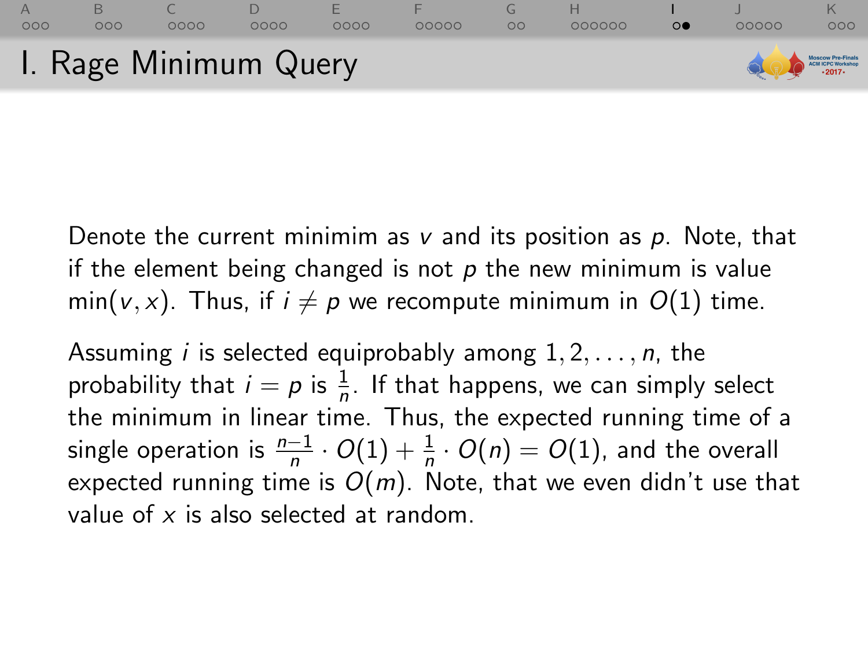

Denote the current minimim as  $v$  and its position as  $p$ . Note, that if the element being changed is not  $p$  the new minimum is value  $min(v, x)$ . Thus, if  $i \neq p$  we recompute minimum in  $O(1)$  time.

Assuming *i* is selected equiprobably among  $1, 2, \ldots, n$ , the probability that  $i = p$  is  $\frac{1}{n}$ . If that happens, we can simply select the minimum in linear time. Thus, the expected running time of a single operation is  $\frac{n-1}{n}\cdot O(1)+\frac{1}{n}\cdot O(n)=O(1),$  and the overall expected running time is  $O(m)$ . Note, that we even didn't use that value of  $x$  is also selected at random.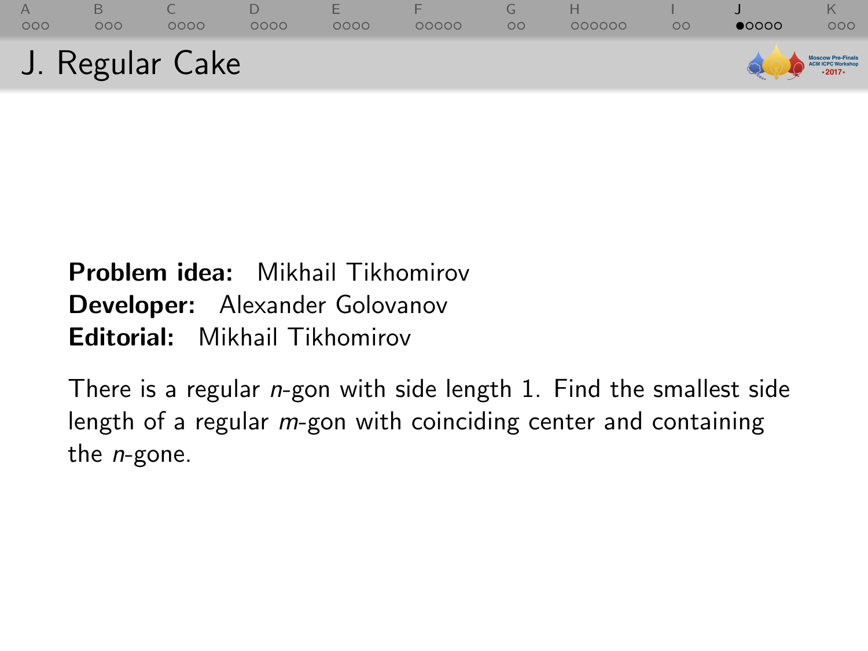<span id="page-82-0"></span>

# Problem idea: Mikhail Tikhomirov Developer: Alexander Golovanov Editorial: Mikhail Tikhomirov

There is a regular *n*-gon with side length 1. Find the smallest side length of a regular *m*-gon with coinciding center and containing the  $n$ -gone.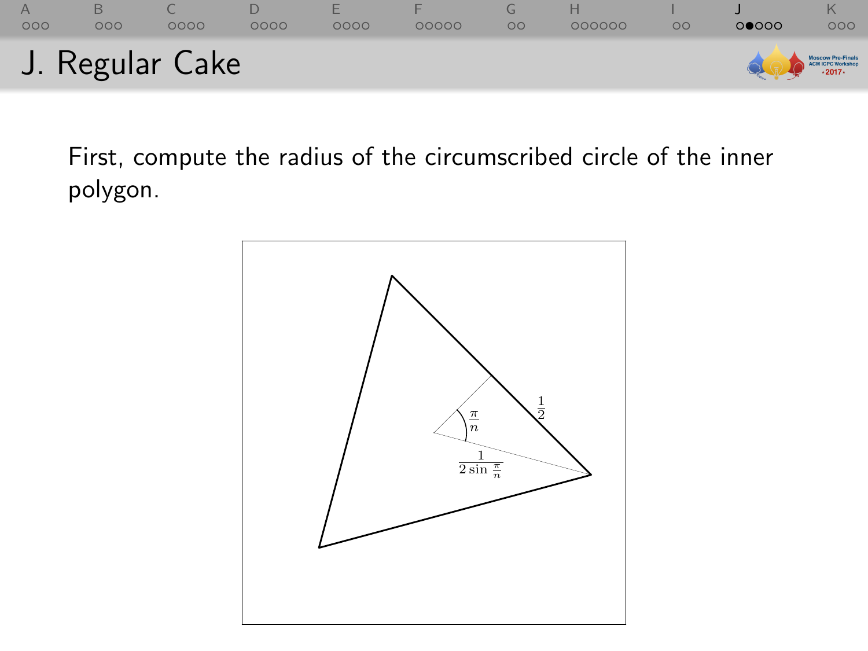

First, compute the radius of the circumscribed circle of the inner polygon.

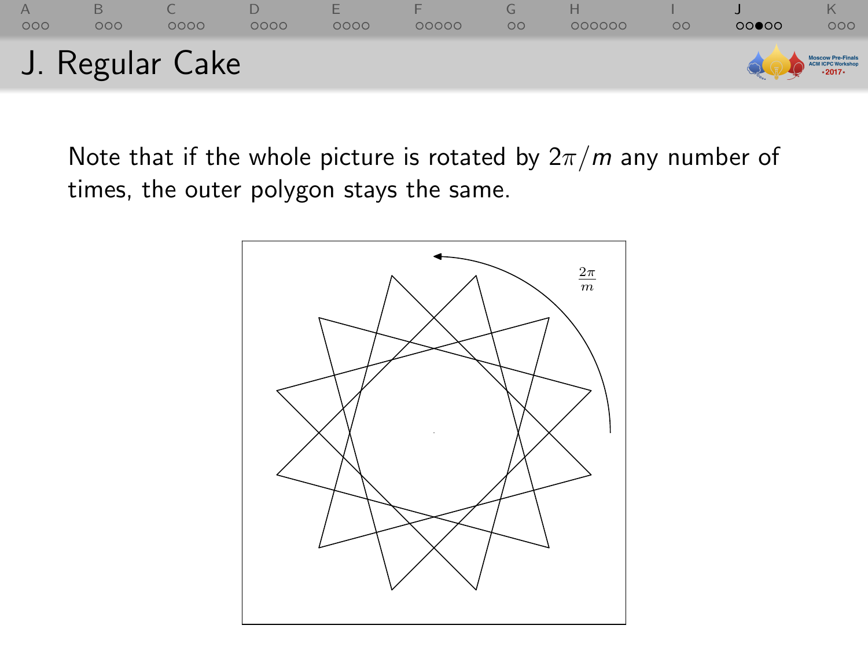

Note that if the whole picture is rotated by  $2\pi/m$  any number of times, the outer polygon stays the same.

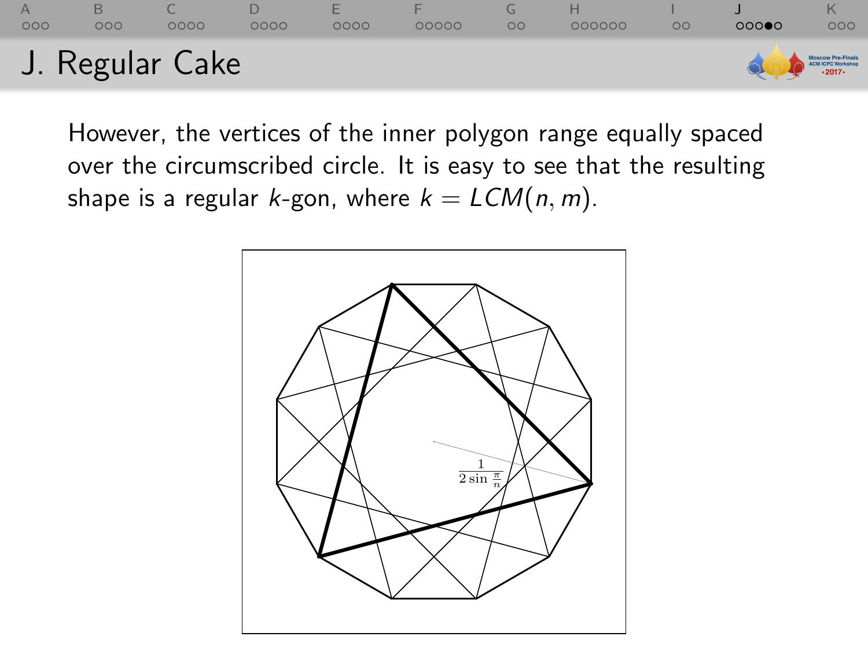

However, the vertices of the inner polygon range equally spaced over the circumscribed circle. It is easy to see that the resulting shape is a regular k-gon, where  $k = LCM(n, m)$ .

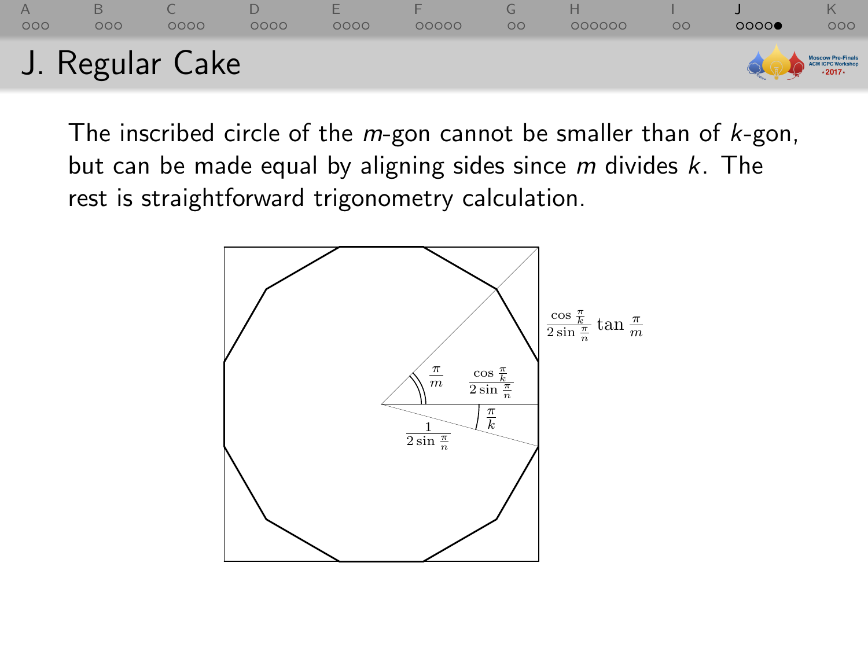

The inscribed circle of the  $m$ -gon cannot be smaller than of  $k$ -gon, but can be made equal by aligning sides since  $m$  divides  $k$ . The rest is straightforward trigonometry calculation.

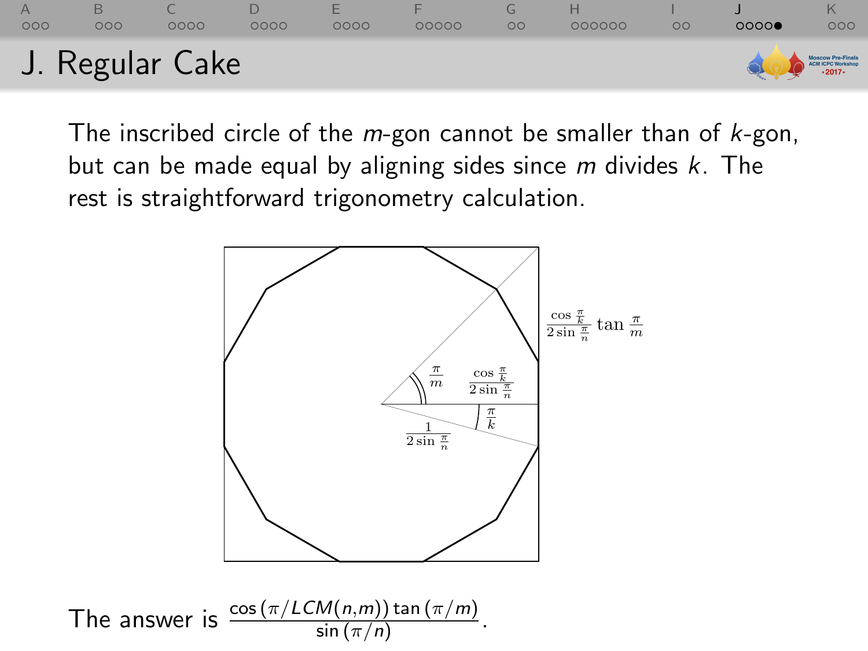

The inscribed circle of the  $m$ -gon cannot be smaller than of  $k$ -gon, but can be made equal by aligning sides since  $m$  divides  $k$ . The rest is straightforward trigonometry calculation.

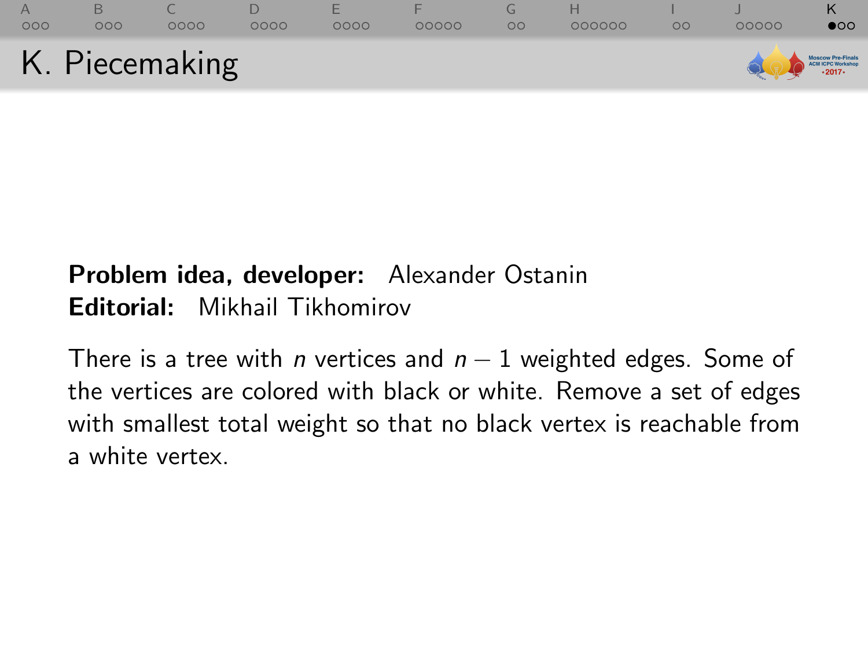<span id="page-88-0"></span>

# Problem idea, developer: Alexander Ostanin Editorial: Mikhail Tikhomirov

There is a tree with *n* vertices and  $n - 1$  weighted edges. Some of the vertices are colored with black or white. Remove a set of edges with smallest total weight so that no black vertex is reachable from a white vertex.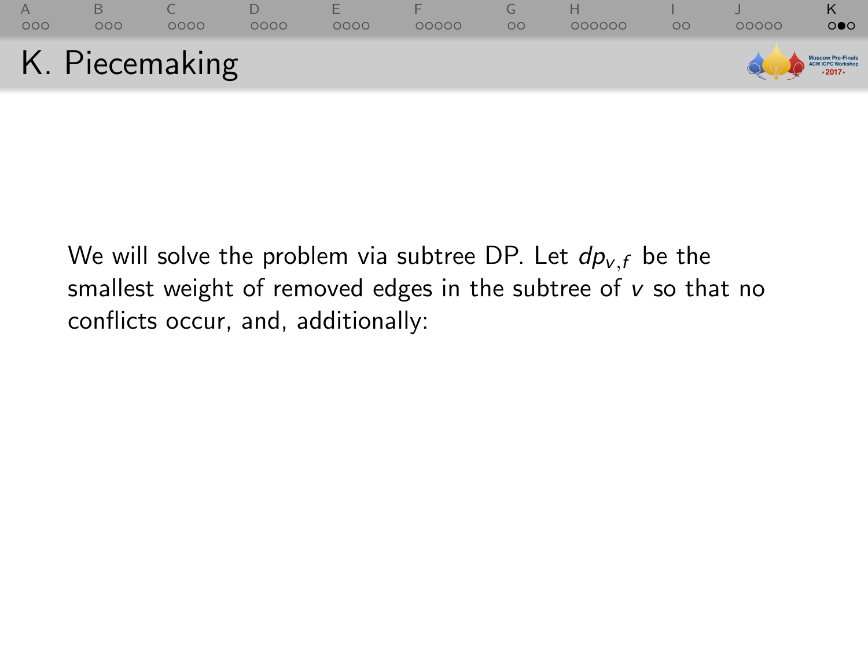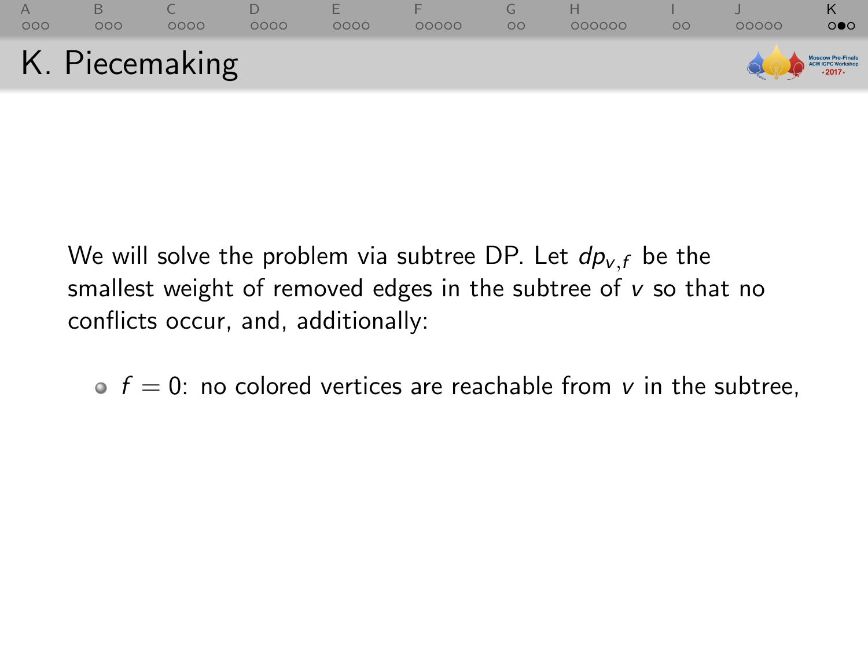

 $\bullet$  f = 0: no colored vertices are reachable from v in the subtree,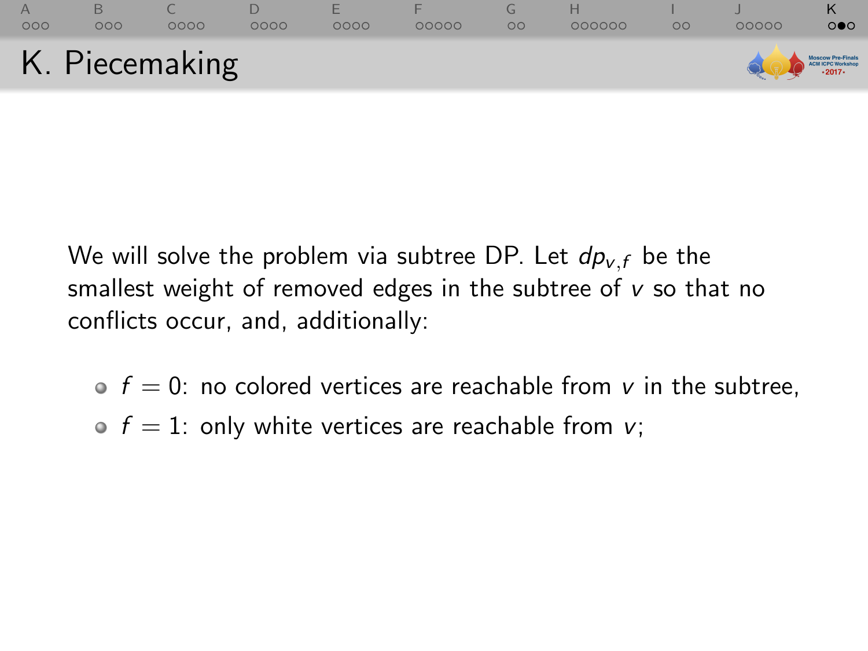

- $\bullet$  f = 0: no colored vertices are reachable from v in the subtree,
- $\bullet$  f = 1: only white vertices are reachable from v;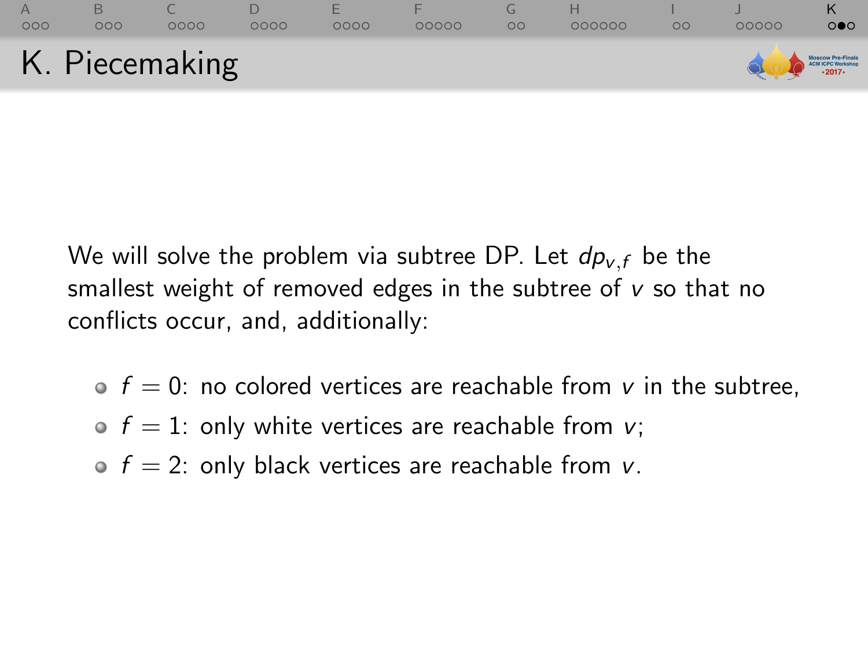

- $\bullet$  f = 0: no colored vertices are reachable from v in the subtree,
- $\bullet$  f = 1: only white vertices are reachable from v;
- $\bullet$  f = 2: only black vertices are reachable from v.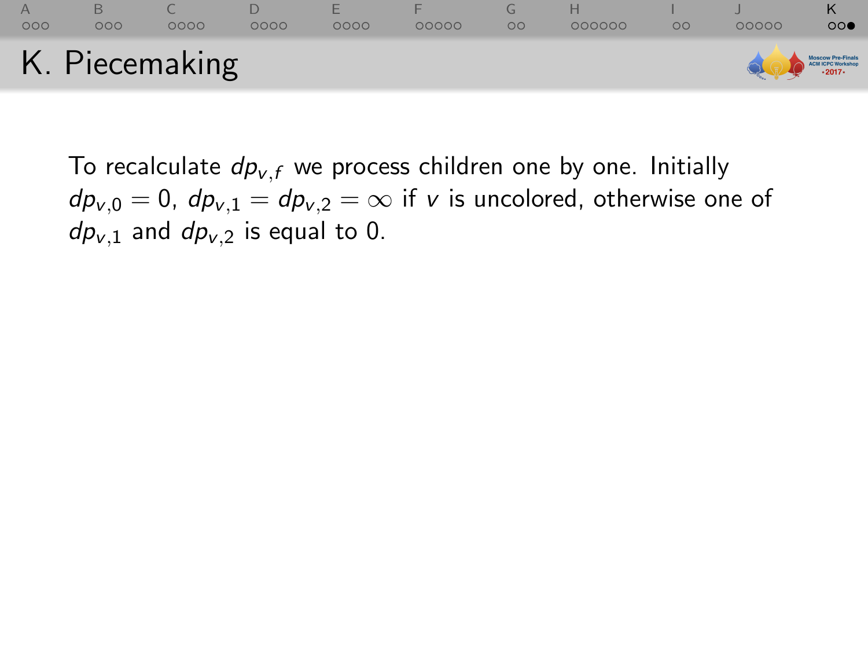

To recalculate  $dp_{v,f}$  we process children one by one. Initially  $dp_{v,0} = 0$ ,  $dp_{v,1} = dp_{v,2} = \infty$  if v is uncolored, otherwise one of  $dp_{v,1}$  and  $dp_{v,2}$  is equal to 0.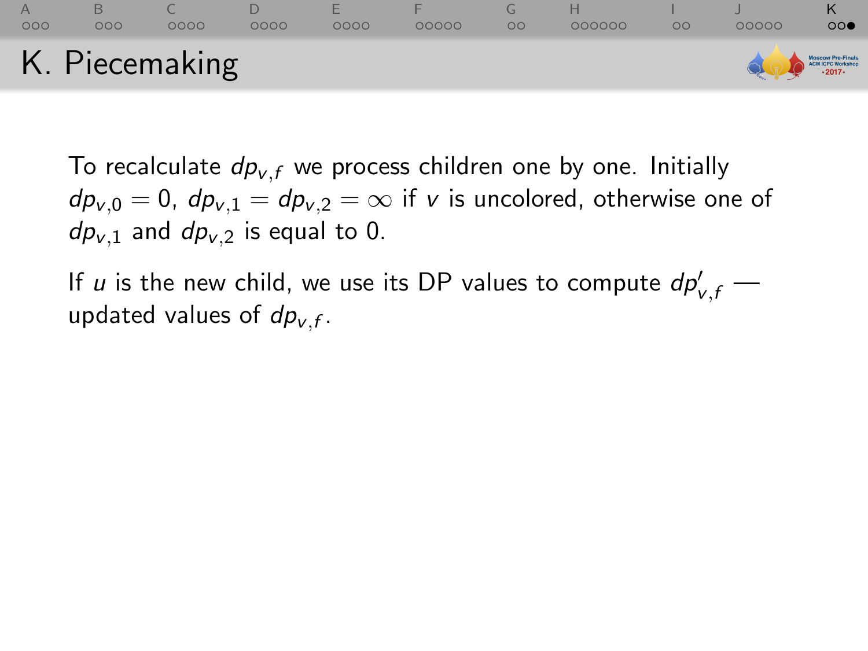## [A](#page-1-0) [B](#page-7-0) [C](#page-16-0) [D](#page-28-0) [E](#page-37-0) [F](#page-45-0) [G](#page-56-0) [H](#page-60-0) [I](#page-79-0) [J](#page-82-0) [K](#page-88-0)  $0000$ K. Piecemaking **ICPC Worksho**

To recalculate  $dp_{v,f}$  we process children one by one. Initially  $dp_{v,0} = 0$ ,  $dp_{v,1} = dp_{v,2} = \infty$  if v is uncolored, otherwise one of  $dp_{v,1}$  and  $dp_{v,2}$  is equal to 0.

If  $u$  is the new child, we use its DP values to compute  $dp'_{v,f}$  updated values of  $dp_{v,f}$ .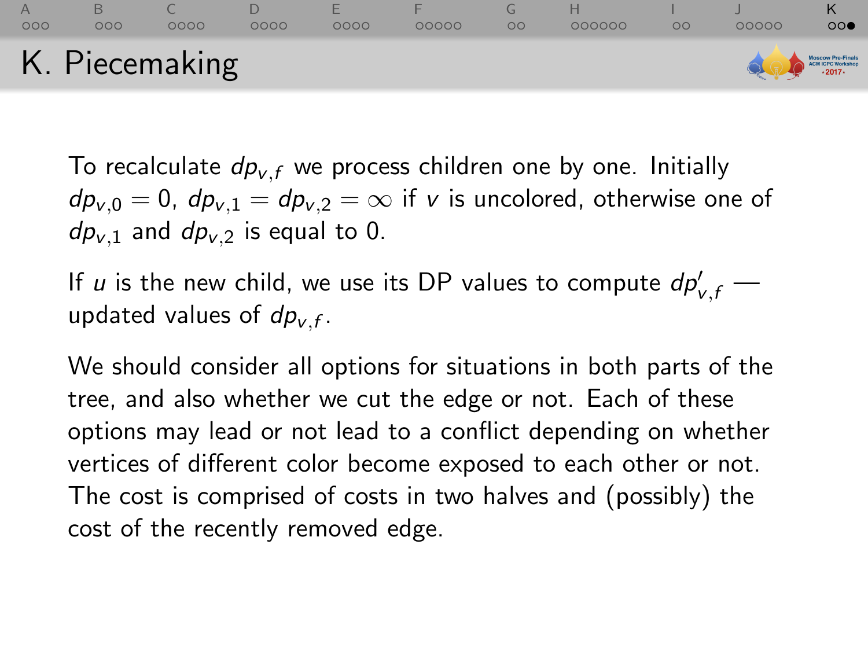### [A](#page-1-0) [B](#page-7-0) [C](#page-16-0) [D](#page-28-0) [E](#page-37-0) [F](#page-45-0) [G](#page-56-0) [H](#page-60-0) [I](#page-79-0) [J](#page-82-0) [K](#page-88-0)  $000$  $0000$  $0000$  $0000$  $00000$  $000000$  $\Omega$  $00$ K. Piecemaking **CPC Worksh**

To recalculate  $dp_{v,f}$  we process children one by one. Initially  $dp_{v,0} = 0$ ,  $dp_{v,1} = dp_{v,2} = \infty$  if v is uncolored, otherwise one of  $dp_{v,1}$  and  $dp_{v,2}$  is equal to 0.

If  $u$  is the new child, we use its DP values to compute  $dp'_{v,f}$  updated values of  $dp_{v,f}$ .

We should consider all options for situations in both parts of the tree, and also whether we cut the edge or not. Each of these options may lead or not lead to a conflict depending on whether vertices of different color become exposed to each other or not. The cost is comprised of costs in two halves and (possibly) the cost of the recently removed edge.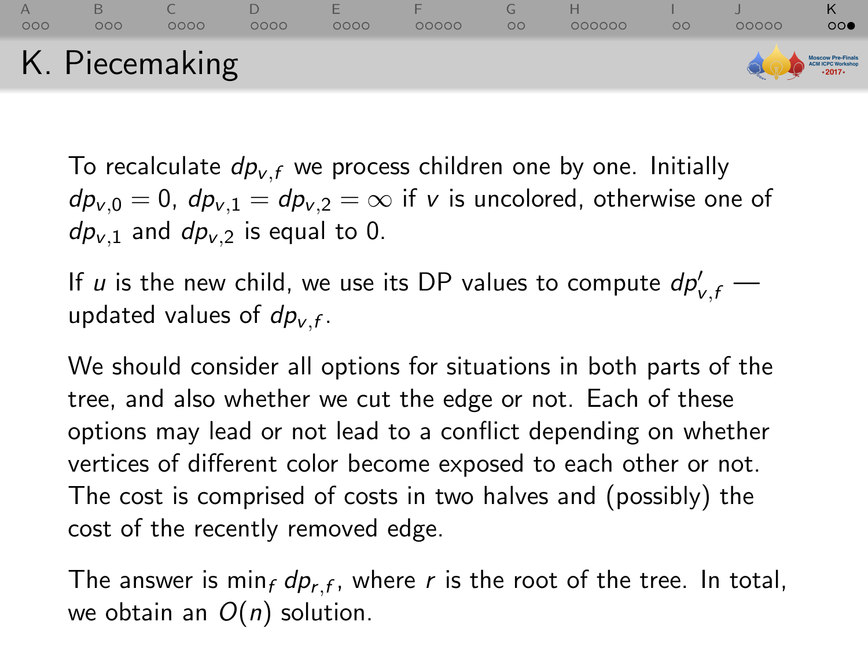### [A](#page-1-0) [B](#page-7-0) [C](#page-16-0) [D](#page-28-0) [E](#page-37-0) [F](#page-45-0) [G](#page-56-0) [H](#page-60-0) [I](#page-79-0) [J](#page-82-0) [K](#page-88-0)  $000$  $0000$  $0000$  $0000$  $00000$  $000000$  $\Omega$ 0000C  $00$ K. Piecemaking

To recalculate  $dp_{v,f}$  we process children one by one. Initially  $dp_{v,0} = 0$ ,  $dp_{v,1} = dp_{v,2} = \infty$  if v is uncolored, otherwise one of  $dp_{v,1}$  and  $dp_{v,2}$  is equal to 0.

If  $u$  is the new child, we use its DP values to compute  $dp'_{v,f}$  updated values of  $dp_{v,f}$ .

We should consider all options for situations in both parts of the tree, and also whether we cut the edge or not. Each of these options may lead or not lead to a conflict depending on whether vertices of different color become exposed to each other or not. The cost is comprised of costs in two halves and (possibly) the cost of the recently removed edge.

The answer is min<sub>f</sub>  $dp_{r,f}$ , where r is the root of the tree. In total, we obtain an  $O(n)$  solution.